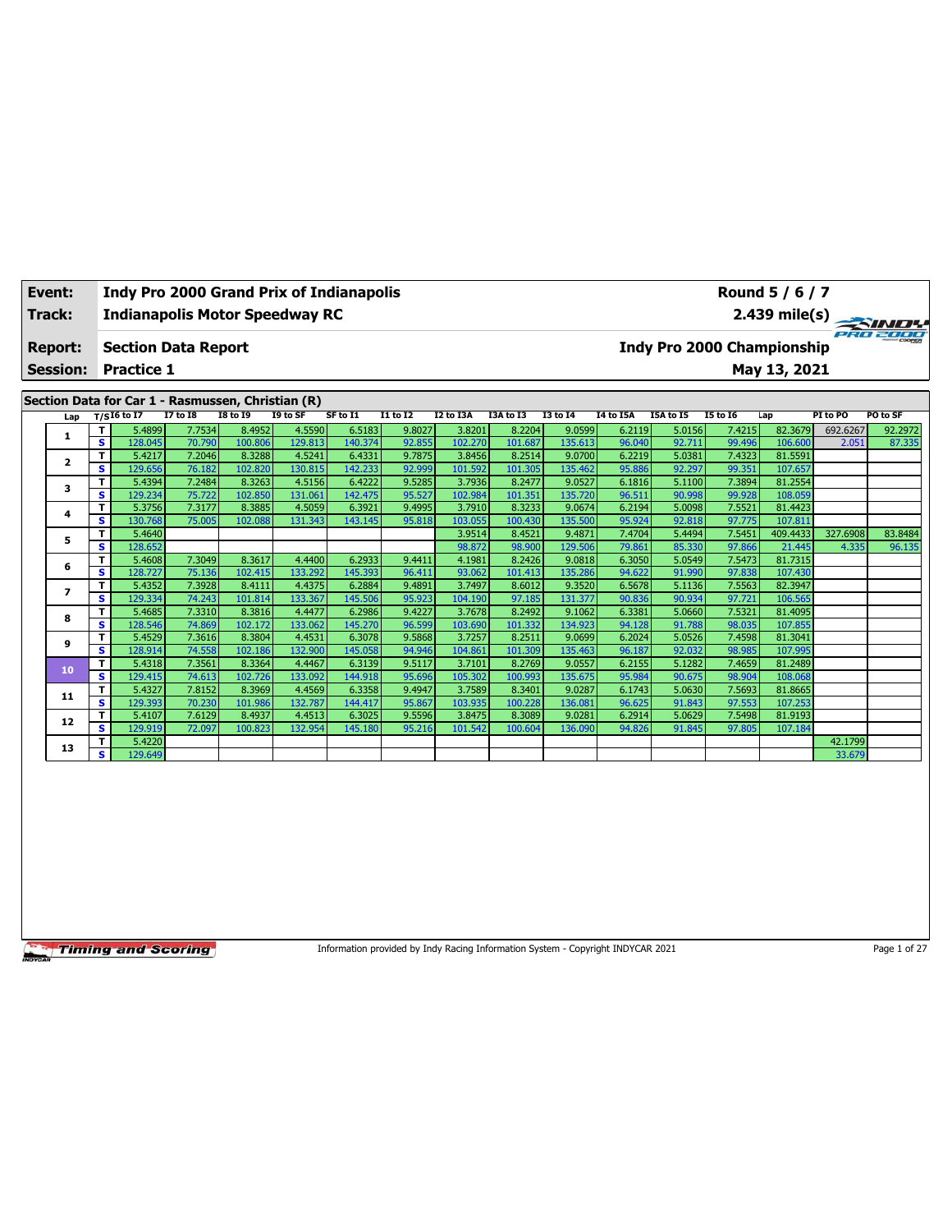| Event:<br>Track:        | <b>Indy Pro 2000 Grand Prix of Indianapolis</b><br><b>Indianapolis Motor Speedway RC</b> |                                                   |                  |                   |                   |                   |                  |                   |                   |                   |                  |                  |                                      | Round 5 / 6 / 7                   |          | $\overrightarrow{2.439}$ mile(s) |
|-------------------------|------------------------------------------------------------------------------------------|---------------------------------------------------|------------------|-------------------|-------------------|-------------------|------------------|-------------------|-------------------|-------------------|------------------|------------------|--------------------------------------|-----------------------------------|----------|----------------------------------|
| <b>Report:</b>          |                                                                                          | <b>Section Data Report</b>                        |                  |                   |                   |                   |                  |                   |                   |                   |                  |                  |                                      | <b>Indy Pro 2000 Championship</b> |          |                                  |
| <b>Session:</b>         |                                                                                          | <b>Practice 1</b>                                 |                  |                   |                   |                   |                  |                   |                   |                   |                  |                  |                                      | May 13, 2021                      |          |                                  |
|                         |                                                                                          | Section Data for Car 1 - Rasmussen, Christian (R) |                  |                   |                   |                   |                  |                   |                   |                   |                  |                  |                                      |                                   |          |                                  |
| Lap                     |                                                                                          | $T/SI6$ to I7                                     | <b>I7 to 18</b>  | <b>I8 to 19</b>   | I9 to SF          | SF to I1          | <b>I1 to I2</b>  | I2 to I3A         | I3A to I3         | <b>I3 to 14</b>   | <b>I4 to I5A</b> | I5A to I5        | <b>I5 to 16</b>                      | Lap                               | PI to PO | PO to SF                         |
| 1                       | T.                                                                                       | 5.4899                                            | 7.7534           | 8.4952            | 4.5590            | 6.5183            | 9.8027           | 3.8201            | 8.2204            | 9.0599            | 6.2119           | 5.0156           | 7.4215                               | 82.3679                           | 692.6267 | 92.2972                          |
|                         | $\overline{\mathbf{s}}$<br>т                                                             | 128.045<br>5.4217                                 | 70.790<br>7.2046 | 100.806<br>8.3288 | 129.813<br>4.5241 | 140.374<br>6.4331 | 92.855<br>9.7875 | 102.270<br>3.8456 | 101.687<br>8.2514 | 135.613<br>9.0700 | 96.040<br>6.2219 | 92.711<br>5.0381 | 99.496<br>7.4323                     | 106.600<br>81.5591                | 2.051    | 87.335                           |
| $\overline{\mathbf{2}}$ | $\mathbf{s}$                                                                             | 129.656                                           | 76.182           | 102.820           | 130.815           | 142.233           | 92.999           | 101.592           | 101.305           | 135.462           | 95.886           | 92.297           | 99.351                               | 107.657                           |          |                                  |
|                         | т                                                                                        | 5.4394                                            | 7.2484           | 8.3263            | 4.5156            | 6.4222            | 9.5285           | 3.7936            | 8.2477            | 9.0527            | 6.1816           | 5.1100           | 7.3894                               | 81.2554                           |          |                                  |
| з                       | s                                                                                        | 129.234                                           | 75.722           | 102.850           | 131.061           | 142.475           | 95.527           | 102.984           | 101.351           | 135.720           | 96.511           | 90.998           | 99.928                               | 108.059                           |          |                                  |
|                         | T                                                                                        | 5.3756                                            | 7.3177           | 8.3885            | 4.5059            | 6.3921            | 9.4995           | 3.7910            | 8.3233            | 9.0674            | 6.2194           | 5.0098           | 7.5521                               | 81.4423                           |          |                                  |
| 4                       | s                                                                                        | 130.768                                           | 75.005           | 102.088           | 131.343           | 143.145           | 95.818           | 103.055           | 100.430           | 135.500           | 95.924           | 92.818           | 97.775                               | 107.811                           |          |                                  |
| 5                       | T.                                                                                       | 5.4640                                            |                  |                   |                   |                   |                  | 3.9514            | 8.4521            | 9.4871            | 7.4704           | 5.4494           | 7.5451                               | 409.4433                          | 327.6908 | 83.8484                          |
|                         | s                                                                                        | 128.652                                           |                  |                   |                   |                   |                  | 98.872            | 98.900            | 129.506           | 79.861           | 85.330           | 97.866                               | 21.445                            | 4.335    | 96.135                           |
| 6                       | т                                                                                        | 5.4608                                            | 7.3049           | 8.3617            | 4.4400            | 6.2933            | 9.4411           | 4.1981            | 8.2426            | 9.0818            | 6.3050           | 5.0549           | 7.5473                               | 81.7315                           |          |                                  |
|                         | $\mathbf{s}$                                                                             | 128.727                                           | 75.136           | 102.415           | 133.292           | 145.393           | 96.411           | 93.062            | 101.413           | 135.286           | 94.622           | 91.990           | 97.838                               | 107.430                           |          |                                  |
| 7                       | т                                                                                        | 5.4352                                            | 7.3928           | 8.4111            | 4.4375            | 6.2884            | 9.4891           | 3.7497            | 8.6012            | 9.3520            | 6.5678           | 5.1136           | 7.5563                               | 82.3947                           |          |                                  |
|                         | s                                                                                        | 129.334                                           | 74.243           | 101.814           | 133.367           | 145.506           | 95.923           | 104.190           | 97.185            | 131.377           | 90.836           | 90.934           | 97.721                               | 106.565                           |          |                                  |
| 8                       | т                                                                                        | 5.4685                                            | 7.3310<br>74.869 | 8.3816<br>102.172 | 4.4477<br>133.062 | 6.2986            | 9.4227<br>96.599 | 3.7678<br>103.690 | 8.2492<br>101.332 | 9.1062<br>134.923 | 6.3381           | 5.0660<br>91.788 | 7.5321<br>98.035                     | 81.4095<br>107.855                |          |                                  |
|                         | s<br>T                                                                                   | 128.546<br>5.4529                                 | 7.3616           | 8.3804            | 4.4531            | 145.270<br>6.3078 | 9.5868           | 3.7257            | 8.2511            | 9.0699            | 94.128<br>6.2024 | 5.0526           | 7.4598                               | 81.3041                           |          |                                  |
| 9                       | $\mathbf{s}$                                                                             | 128.914                                           | 74.558           | 102.186           | 132.900           | 145.058           | 94.946           | 104.861           | 101.309           | 135.463           | 96.187           | 92.032           | 98.985                               | 107.995                           |          |                                  |
|                         | T                                                                                        | 5.4318                                            | 7.3561           | 8.3364            | 4.4467            | 6.3139            | 9.5117           | 3.7101            | 8.2769            | 9.0557            | 6.2155           | 5.1282           | 7.4659                               | 81.2489                           |          |                                  |
| 10                      | s                                                                                        | 129.415                                           | 74.613           | 102.726           | 133.092           | 144.918           | 95.696           | 105.302           | 100.993           | 135.675           | 95.984           | 90.675           | 98.904                               | 108.068                           |          |                                  |
|                         | $\equiv$                                                                                 | 5.022                                             | 70000            | a posol           | $\sim$ $\sim$     | <b>Control</b>    | 0.4047           | 27.25             | 0.201             | 0.0207            | $2 - 2 - 1$      | $F = 0.000$      | $\sim$ = $\sim$ $\sim$ $\sim$ $\sim$ | 0.0000                            |          |                                  |

Information provided by Indy Racing Information System - Copyright INDYCAR 2021 Page 1 of 27

٦

**<sup>11</sup> <sup>T</sup>** 5.4327 7.8152 8.3969 4.4569 6.3358 9.4947 3.7589 8.3401 9.0287 6.1743 5.0630 7.5693 81.8665 **S** 129.393 70.230 101.986 132.787 144.417 95.867 103.935 100.228 136.081 96.625 91.843 97.553 107.253 **<sup>12</sup> <sup>T</sup>** 5.4107 7.6129 8.4937 4.4513 6.3025 9.5596 3.8475 8.3089 9.0281 6.2914 5.0629 7.5498 81.9193 **S** 129.919 72.097 100.823 132.954 145.180 95.216 101.542 100.604 136.090 94.826 91.845 97.805 107.184

**<sup>13</sup> <sup>T</sup>** 5.4220 42.1799 **S** 129.649 23.679 23.679 23.679 23.679 23.679 23.679 23.679 23.679 23.679 23.679 23.679 23.679 23.679 23.679 23.679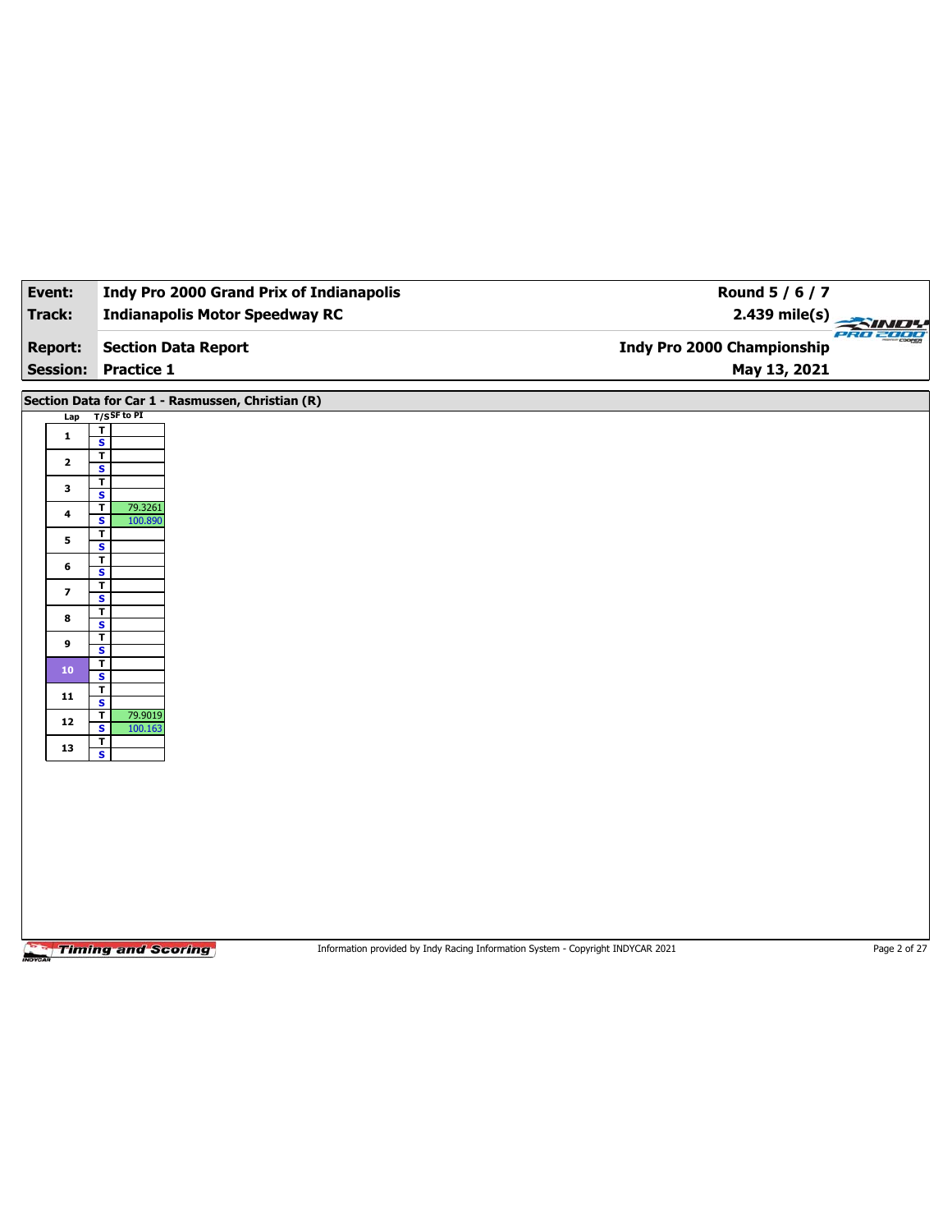| Event:                   | <b>Indy Pro 2000 Grand Prix of Indianapolis</b>                                                              | Round 5 / 6 / 7                   |               |
|--------------------------|--------------------------------------------------------------------------------------------------------------|-----------------------------------|---------------|
| Track:                   | <b>Indianapolis Motor Speedway RC</b>                                                                        | 2.439 mile(s)                     | $\rightarrow$ |
| <b>Report:</b>           | <b>Section Data Report</b>                                                                                   | <b>Indy Pro 2000 Championship</b> | PRO 2000      |
| <b>Session:</b>          | <b>Practice 1</b>                                                                                            | May 13, 2021                      |               |
|                          | Section Data for Car 1 - Rasmussen, Christian (R)                                                            |                                   |               |
| Lap                      | $T/S$ SF to PI                                                                                               |                                   |               |
| $\mathbf 1$              | $\overline{\mathbf{r}}$<br>$\overline{\mathbf{s}}$                                                           |                                   |               |
| $\mathbf{2}$             | $\overline{\mathsf{r}}$<br>S                                                                                 |                                   |               |
| 3                        | $\mathbf{T}$<br>$\overline{\mathbf{s}}$                                                                      |                                   |               |
| 4                        | $\overline{\mathbf{r}}$<br>79.3261                                                                           |                                   |               |
|                          | S<br>100.890<br>T                                                                                            |                                   |               |
| 5                        | $\overline{\mathbf{s}}$<br>T                                                                                 |                                   |               |
| 6                        | S<br>$\overline{\mathbf{r}}$                                                                                 |                                   |               |
| $\overline{\phantom{a}}$ | $\overline{\mathbf{s}}$                                                                                      |                                   |               |
| 8                        | T<br>S                                                                                                       |                                   |               |
| 9                        | $\overline{\mathbf{r}}$<br>$\overline{\mathbf{s}}$                                                           |                                   |               |
| 10                       | T<br>S                                                                                                       |                                   |               |
| 11                       | T                                                                                                            |                                   |               |
| 12                       | $\overline{\mathbf{s}}$<br>$\overline{\mathbf{r}}$<br>79.9019                                                |                                   |               |
|                          | S<br>100.163<br>$\mathbf{T}$                                                                                 |                                   |               |
| 13                       | $\overline{\mathbf{s}}$                                                                                      |                                   |               |
|                          |                                                                                                              |                                   |               |
|                          |                                                                                                              |                                   |               |
|                          |                                                                                                              |                                   |               |
|                          |                                                                                                              |                                   |               |
|                          |                                                                                                              |                                   |               |
|                          |                                                                                                              |                                   |               |
|                          |                                                                                                              |                                   |               |
|                          | <b>Timing and Scoring</b><br>Information provided by Indy Racing Information System - Copyright INDYCAR 2021 |                                   | Page 2 of 27  |
|                          |                                                                                                              |                                   |               |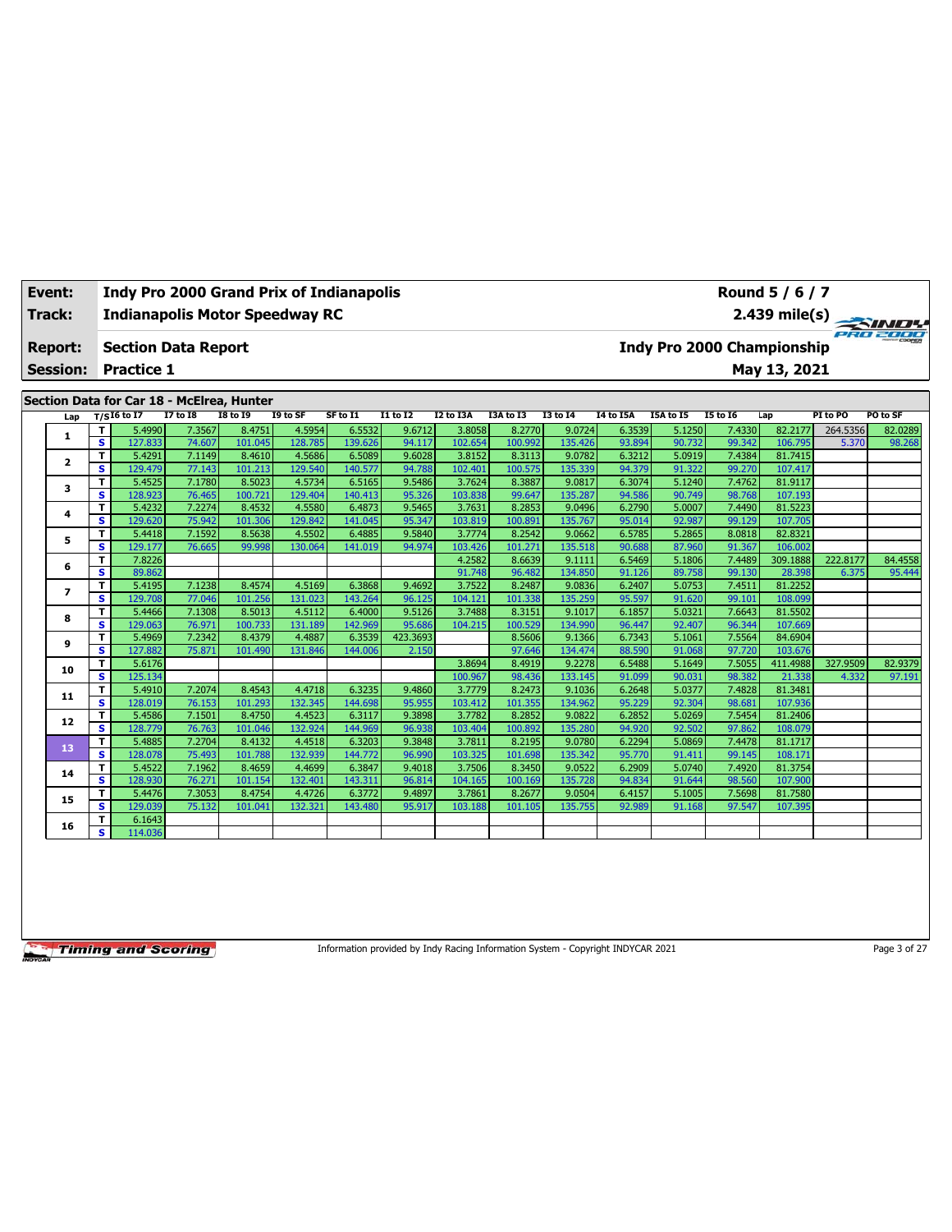| Event:          |                                           | <b>Indy Pro 2000 Grand Prix of Indianapolis</b> |                 |          |                                          |               |           |           |                 |                  |           |                                   | Round 5 / 6 / 7 |          |               |
|-----------------|-------------------------------------------|-------------------------------------------------|-----------------|----------|------------------------------------------|---------------|-----------|-----------|-----------------|------------------|-----------|-----------------------------------|-----------------|----------|---------------|
| Track:          |                                           | <b>Indianapolis Motor Speedway RC</b>           |                 |          |                                          |               |           |           |                 |                  |           |                                   |                 |          | 2.439 mile(s) |
| <b>Report:</b>  |                                           | <b>Section Data Report</b>                      |                 |          |                                          |               |           |           |                 |                  |           | <b>Indy Pro 2000 Championship</b> |                 |          | eRO 2000      |
| <b>Session:</b> | <b>Practice 1</b>                         |                                                 |                 |          |                                          |               |           |           |                 |                  |           |                                   | May 13, 2021    |          |               |
|                 | Section Data for Car 18 - McElrea, Hunter |                                                 |                 |          |                                          |               |           |           |                 |                  |           |                                   |                 |          |               |
|                 |                                           |                                                 |                 |          |                                          |               |           |           |                 |                  |           |                                   |                 |          |               |
| Lap             | $T/SI6$ to I7                             | <b>I7 to I8</b>                                 | <b>I8 to I9</b> | I9 to SF | SF to I1                                 | I1 to I2      | I2 to I3A | I3A to I3 | <b>I3 to 14</b> | <b>I4 to I5A</b> | I5A to I5 | <b>I5 to I6</b>                   | Lap             | PI to PO | PO to SF      |
|                 | 5.4990                                    | 7.3567                                          | 8.4751          | 4.5954   | 6.5532                                   | 9.6712        | 3.8058    | 8.2770    | 9.0724          | 6.3539           | 5.1250    | 7.4330                            | 82.2177         | 264.5356 | 82.0289       |
| J.              | s.<br>127.833                             | 74.607                                          | 101.045         | 128.785  | 139.626                                  | 94.117        | 102.654   | 100.992   | 135.426         | 93.894           | 90.732    | 99.342                            | 106.795         | 5.370    | 98.268        |
| $\overline{ }$  | 5.4291                                    | 7.1149                                          | 8.4610          | 4.5686   | 6.5089                                   | 9.6028        | 3.8152    | 8.3113    | 9.0782          | 6.3212           | 5.0919    | 7.4384                            | 81.7415         |          |               |
|                 | s.<br>129.479                             | 77.143                                          | 101.213         | 129.540  | 140.577                                  | 94.788        | 102.401   | 100.575   | 135.339         | 94.379           | 91.322    | 99.270                            | 107.417         |          |               |
|                 | 5.4525                                    | 7.1780                                          | 8.5023          | 4.5734   | 6.5165                                   | 9.5486        | 3.7624    | 8.3887    | 9.0817          | 6.3074           | 5.1240    | 7.4762                            | 81.9117         |          |               |
| 3               | 120002<br>۰                               | $\overline{\phantom{a}}$                        | $100 - 221$     | 1222.52  | $\begin{array}{c} 1 & 1 & 1 \end{array}$ | $\sim$ $\sim$ | 10200     | 00.01     | $225 - 227$     | 0.4002           | 00.740    | 00701                             | 107.00          |          |               |

| -  | s            | 128.923 | 76.465 | 100.721 | 129.404 | 140.413 | 95.326   | 103.838 | 99.647  | 135.287 | 94.586 | 90.749 | 98.768 | 107.193  |          |         |
|----|--------------|---------|--------|---------|---------|---------|----------|---------|---------|---------|--------|--------|--------|----------|----------|---------|
| 4  | T            | 5.4232  | 7.2274 | 8.4532  | 4.5580  | 6.4873  | 9.5465   | 3.7631  | 8.2853  | 9.0496  | 6.2790 | 5.0007 | 7.4490 | 81.5223  |          |         |
|    | s            | 129.620 | 75.942 | 101.306 | 129.842 | 141.045 | 95.347   | 103.819 | 100.891 | 135.767 | 95.014 | 92.987 | 99.129 | 107.705  |          |         |
| 5  | т            | 5.4418  | 7.1592 | 8.5638  | 4.5502  | 6.4885  | 9.5840   | 3.7774  | 8.2542  | 9.0662  | 6.5785 | 5.2865 | 8.0818 | 82.8321  |          |         |
|    | s            | 129.177 | 76.665 | 99.998  | 130.064 | 141.019 | 94.974   | 103.426 | 101.271 | 135.518 | 90.688 | 87.960 | 91.367 | 106.002  |          |         |
| 6  | T            | 7.8226  |        |         |         |         |          | 4.2582  | 8.6639  | 9.1111  | 6.5469 | 5.1806 | 7.4489 | 309.1888 | 222.8177 | 84.4558 |
|    | s            | 89.862  |        |         |         |         |          | 91.748  | 96.482  | 134.850 | 91.126 | 89.758 | 99.130 | 28.398   | 6.375    | 95.444  |
| 7  | T            | 5.4195  | 7.1238 | 8.4574  | 4.5169  | 6.3868  | 9.4692   | 3.7522  | 8.2487  | 9.0836  | 6.2407 | 5.0753 | 7.4511 | 81.2252  |          |         |
|    | s            | 129.708 | 77.046 | 101.256 | 131.023 | 143.264 | 96.125   | 104.121 | 101.338 | 135.259 | 95.597 | 91.620 | 99.101 | 108.099  |          |         |
| 8  | T            | 5.4466  | 7.1308 | 8.5013  | 4.5112  | 6.4000  | 9.5126   | 3.7488  | 8.3151  | 9.1017  | 6.1857 | 5.0321 | 7.6643 | 81.5502  |          |         |
|    | s            | 129.063 | 76.971 | 100.733 | 131.189 | 142.969 | 95.686   | 104.215 | 100.529 | 134.990 | 96.447 | 92.407 | 96.344 | 107.669  |          |         |
| 9  | T            | 5.4969  | 7.2342 | 8.4379  | 4.4887  | 6.3539  | 423.3693 |         | 8.5606  | 9.1366  | 6.7343 | 5.1061 | 7.5564 | 84.6904  |          |         |
|    | s            | 127.882 | 75.871 | 101.490 | 131.846 | 144.006 | 2.150    |         | 97.646  | 134.474 | 88.590 | 91.068 | 97.720 | 103.676  |          |         |
| 10 | T            | 5.6176  |        |         |         |         |          | 3.8694  | 8.4919  | 9.2278  | 6.5488 | 5.1649 | 7.5055 | 411.4988 | 327.9509 | 82.9379 |
|    | s            | 125.134 |        |         |         |         |          | 100.967 | 98.436  | 133.145 | 91.099 | 90.031 | 98.382 | 21.338   | 4.332    | 97.191  |
| 11 | T            | 5.4910  | 7.2074 | 8.4543  | 4.4718  | 6.3235  | 9.4860   | 3.7779  | 8.2473  | 9.1036  | 6.2648 | 5.0377 | 7.4828 | 81.3481  |          |         |
|    | $\mathbf{s}$ | 128.019 | 76.153 | 101.293 | 132.345 | 144.698 | 95.955   | 103.412 | 101.355 | 134.962 | 95.229 | 92.304 | 98.681 | 107.936  |          |         |
| 12 | т            | 5.4586  | 7.1501 | 8.4750  | 4.4523  | 6.3117  | 9.3898   | 3.7782  | 8.2852  | 9.0822  | 6.2852 | 5.0269 | 7.5454 | 81.2406  |          |         |
|    | s            | 128.779 | 76.763 | 101.046 | 132.924 | 144.969 | 96.938   | 103.404 | 100.892 | 135.280 | 94.920 | 92.502 | 97.862 | 108.079  |          |         |
| 13 | T            | 5.4885  | 7.2704 | 8.4132  | 4.4518  | 6.3203  | 9.3848   | 3.7811  | 8.2195  | 9.0780  | 6.2294 | 5.0869 | 7.4478 | 81.1717  |          |         |
|    | s            | 128.078 | 75.493 | 101.788 | 132.939 | 144.772 | 96.990   | 103.325 | 101.698 | 135.342 | 95.770 | 91.411 | 99.145 | 108.171  |          |         |
| 14 | T            | 5.4522  | 7.1962 | 8.4659  | 4.4699  | 6.3847  | 9.4018   | 3.7506  | 8.3450  | 9.0522  | 6.2909 | 5.0740 | 7.4920 | 81.3754  |          |         |
|    | s            | 128.930 | 76.271 | 101.154 | 132.401 | 143.311 | 96.814   | 104.165 | 100.169 | 135.728 | 94.834 | 91.644 | 98.560 | 107.900  |          |         |
| 15 | т            | 5.4476  | 7.3053 | 8.4754  | 4.4726  | 6.3772  | 9.4897   | 3.7861  | 8.2677  | 9.0504  | 6.4157 | 5.1005 | 7.5698 | 81.7580  |          |         |
|    | s            | 129.039 | 75.132 | 101.041 | 132.321 | 143.480 | 95.917   | 103.188 | 101.105 | 135.755 | 92.989 | 91.168 | 97.547 | 107.395  |          |         |
| 16 | т            | 6.1643  |        |         |         |         |          |         |         |         |        |        |        |          |          |         |
|    | s            | 114.036 |        |         |         |         |          |         |         |         |        |        |        |          |          |         |

Information provided by Indy Racing Information System - Copyright INDYCAR 2021 Page 3 of 27

٦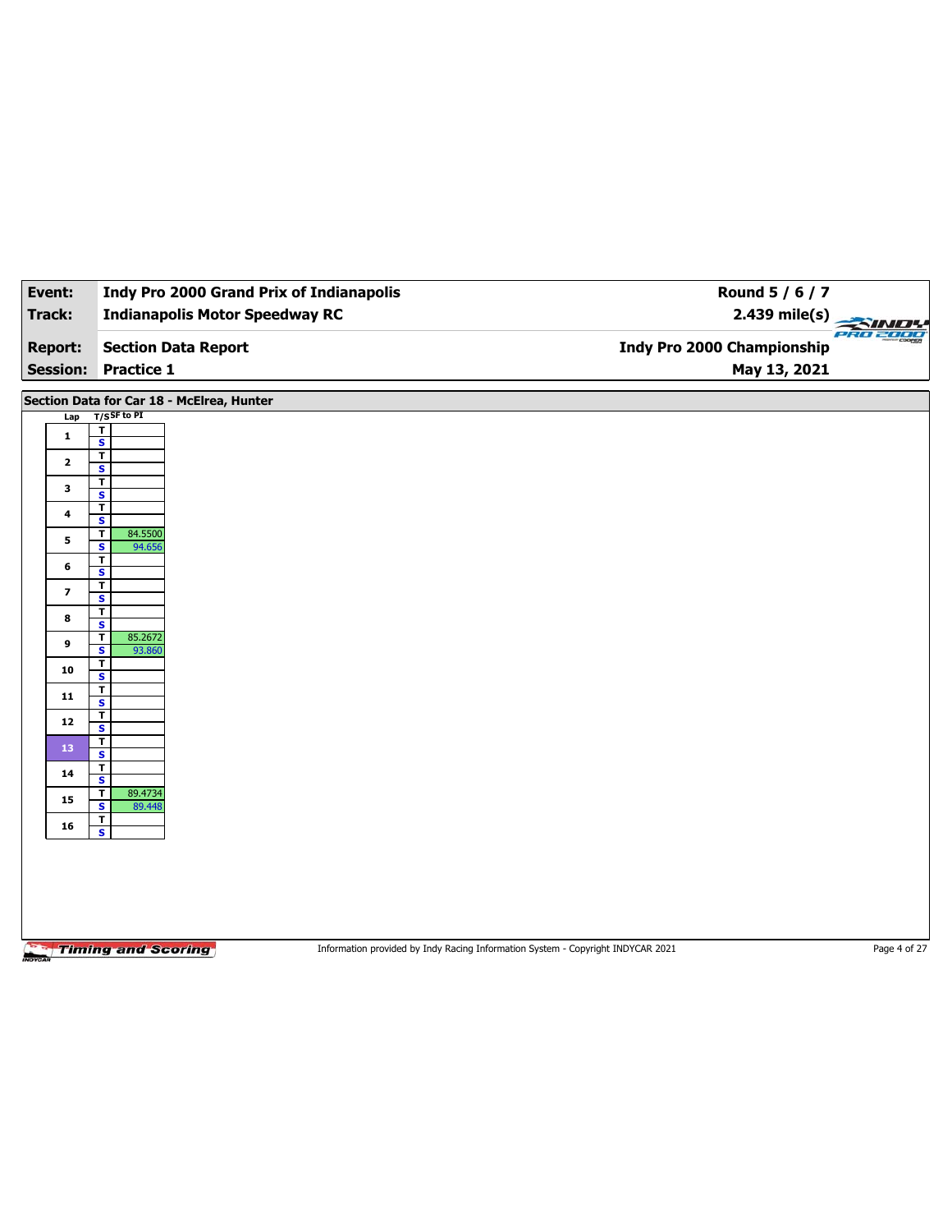| Event:                   | <b>Indy Pro 2000 Grand Prix of Indianapolis</b>                         | Round 5 / 6 / 7                                                                 |              |
|--------------------------|-------------------------------------------------------------------------|---------------------------------------------------------------------------------|--------------|
| <b>Track:</b>            | <b>Indianapolis Motor Speedway RC</b>                                   | $2.439$ mile(s)                                                                 |              |
| <b>Report:</b>           | <b>Section Data Report</b>                                              | <b>Indy Pro 2000 Championship</b>                                               | 780 2000     |
| <b>Session:</b>          | <b>Practice 1</b>                                                       | May 13, 2021                                                                    |              |
|                          | Section Data for Car 18 - McElrea, Hunter                               |                                                                                 |              |
| Lap                      | $T/S$ SF to PI<br>T                                                     |                                                                                 |              |
| $\mathbf{1}$             | $\overline{\mathbf{s}}$                                                 |                                                                                 |              |
| $\mathbf{2}$             | $\overline{\mathbf{r}}$<br>$\mathsf{s}$                                 |                                                                                 |              |
| $\mathbf{3}$             | $\overline{\mathbf{r}}$<br>$\overline{\mathbf{s}}$                      |                                                                                 |              |
| 4                        | $\overline{\mathbf{r}}$<br>S                                            |                                                                                 |              |
| 5                        | $\overline{\mathbf{r}}$<br>84.5500<br>$\overline{\mathbf{s}}$<br>94.656 |                                                                                 |              |
| 6                        | T<br>$\overline{\mathbf{s}}$                                            |                                                                                 |              |
| $\overline{\phantom{a}}$ | $\overline{\mathbf{r}}$<br>$\overline{\mathbf{s}}$                      |                                                                                 |              |
| 8                        | T                                                                       |                                                                                 |              |
| 9                        | S<br>$\overline{\mathbf{r}}$<br>85.2672                                 |                                                                                 |              |
| 10                       | $\overline{\mathbf{s}}$<br>93.860<br>$\overline{\mathbf{r}}$            |                                                                                 |              |
|                          | $\overline{\mathbf{s}}$<br>$\overline{\mathbf{r}}$                      |                                                                                 |              |
| 11                       | $\overline{\mathbf{s}}$<br>$\mathbf{r}$                                 |                                                                                 |              |
| ${\bf 12}$               | $\overline{\mathbf{s}}$<br>$\overline{1}$                               |                                                                                 |              |
| 13                       | $\overline{\mathbf{s}}$                                                 |                                                                                 |              |
| ${\bf 14}$               | $\overline{\mathsf{r}}$<br>$\overline{\mathbf{s}}$                      |                                                                                 |              |
| 15                       | $\overline{\mathbf{r}}$<br>89.4734<br>$\overline{\mathbf{s}}$<br>89.448 |                                                                                 |              |
| 16                       | T.<br>S                                                                 |                                                                                 |              |
|                          |                                                                         |                                                                                 |              |
|                          |                                                                         |                                                                                 |              |
|                          |                                                                         |                                                                                 |              |
|                          |                                                                         |                                                                                 |              |
|                          | <b>Timing and Scoring</b>                                               | Information provided by Indy Racing Information System - Copyright INDYCAR 2021 | Page 4 of 27 |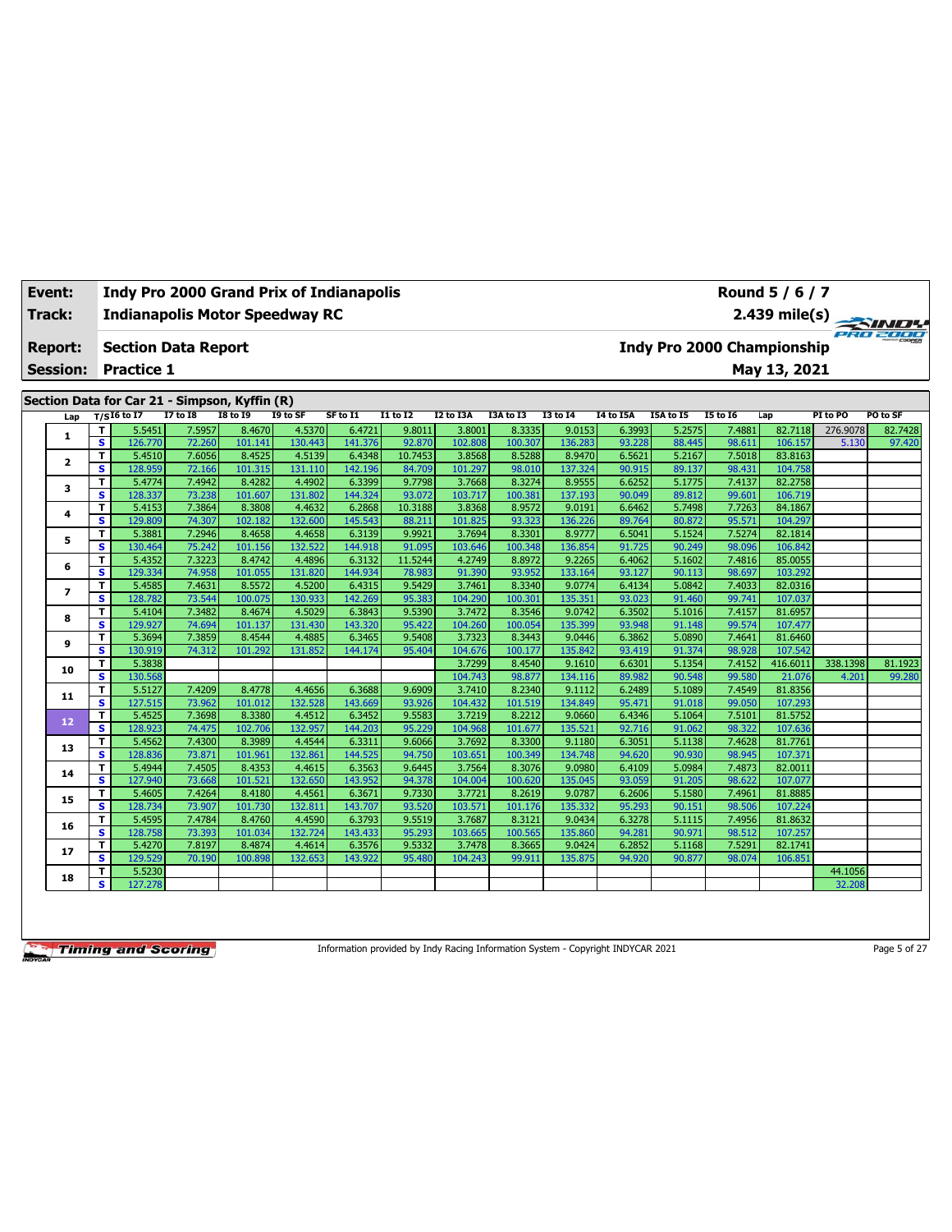| Track:<br><b>Report:</b> | <b>Indianapolis Motor Speedway RC</b> |                   |                            |                                               |                   |                   |                  |                   |                   |                   |                  |                  | 2.439 mile(s) $\frac{2.439 \text{ mJg}}{P_{B} + P_{C}}$ |                                   |          |          |  |  |
|--------------------------|---------------------------------------|-------------------|----------------------------|-----------------------------------------------|-------------------|-------------------|------------------|-------------------|-------------------|-------------------|------------------|------------------|---------------------------------------------------------|-----------------------------------|----------|----------|--|--|
|                          |                                       |                   | <b>Section Data Report</b> |                                               |                   |                   |                  |                   |                   |                   |                  |                  |                                                         | <b>Indy Pro 2000 Championship</b> |          |          |  |  |
| <b>Session:</b>          |                                       | <b>Practice 1</b> |                            |                                               |                   |                   |                  |                   |                   |                   |                  |                  |                                                         | May 13, 2021                      |          |          |  |  |
|                          |                                       |                   |                            | Section Data for Car 21 - Simpson, Kyffin (R) |                   |                   |                  |                   |                   |                   |                  |                  |                                                         |                                   |          |          |  |  |
| Lap                      |                                       | $T/SI6$ to I7     | <b>I7 to I8</b>            | <b>I8 to I9</b>                               | I9 to SF          | SF to I1          | <b>I1 to I2</b>  | <b>I2 to I3A</b>  | I3A to I3         | <b>I3 to 14</b>   | <b>I4 to I5A</b> | <b>I5A to I5</b> | <b>I5 to 16</b>                                         | Lap                               | PI to PO | PO to SF |  |  |
|                          | т                                     | 5.5451            | 7.5957                     | 8.4670                                        | 4.5370            | 6.4721            | 9.8011           | 3.8001            | 8.3335            | 9.0153            | 6.3993           | 5.2575           | 7.4881                                                  | 82.7118                           | 276.9078 | 82.7428  |  |  |
| 1                        | $\overline{\mathbf{s}}$               | 126,770           | 72.260                     | 101.141                                       | 130.443           | 141.376           | 92.870           | 102.808           | 100.307           | 136.283           | 93.228           | 88.445           | 98.611                                                  | 106.157                           | 5.130    | 97.420   |  |  |
|                          | $\mathbf{T}$                          | 5.4510            | 7.6056                     | 8.4525                                        | 4.5139            | 6.4348            | 10.7453          | 3.8568            | 8.5288            | 8.9470            | 6.5621           | 5.2167           | 7.5018                                                  | 83.8163                           |          |          |  |  |
| $\overline{\mathbf{2}}$  | s                                     | 128.959           | 72.166                     | 101.315                                       | 131.110           | 142.196           | 84.709           | 101.297           | 98.010            | 137.324           | 90.915           | 89.137           | 98.431                                                  | 104.758                           |          |          |  |  |
|                          | т                                     | 5.4774            | 7.4942                     | 8.4282                                        | 4.4902            | 6.3399            | 9.7798           | 3.7668            | 8.3274            | 8.9555            | 6.6252           | 5.1775           | 7.4137                                                  | 82.2758                           |          |          |  |  |
| 3                        | $\mathbf{s}$                          | 128.337           | 73.238                     | 101.607                                       | 131.802           | 144.324           | 93.072           | 103.717           | 100.381           | 137.193           | 90.049           | 89.812           | 99.601                                                  | 106.719                           |          |          |  |  |
| 4                        | T                                     | 5.4153            | 7.3864                     | 8.3808                                        | 4.4632            | 6.2868            | 10.3188          | 3.8368            | 8.9572            | 9.0191            | 6.6462           | 5.7498           | 7.7263                                                  | 84.1867                           |          |          |  |  |
|                          | s                                     | 129.809           | 74.307                     | 102.182                                       | 132.600           | 145.543           | 88.211           | 101.825           | 93.323            | 136.226           | 89.764           | 80.872           | 95.571                                                  | 104.297                           |          |          |  |  |
| 5                        | T                                     | 5.3881            | 7.2946                     | 8.4658                                        | 4.4658            | 6.3139            | 9.9921           | 3.7694            | 8.3301            | 8.9777            | 6.5041           | 5.1524           | 7.5274                                                  | 82.1814                           |          |          |  |  |
|                          | $\mathbf{s}$                          | 130.464           | 75.242                     | 101.156                                       | 132.522           | 144.918           | 91.095           | 103.646           | 100.348           | 136.854           | 91.725           | 90.249           | 98.096                                                  | 106.842                           |          |          |  |  |
| 6                        | т                                     | 5.4352            | 7.3223                     | 8.4742                                        | 4.4896            | 6.3132            | 11.5244          | 4.2749            | 8.8972            | 9.2265            | 6.4062           | 5.1602           | 7.4816                                                  | 85.0055                           |          |          |  |  |
|                          | s                                     | 129.334           | 74.958                     | 101.055                                       | 131.820           | 144.934           | 78.983           | 91.390            | 93.952            | 133.164           | 93.127           | 90.113           | 98.697                                                  | 103.292                           |          |          |  |  |
| $\overline{\phantom{a}}$ | т                                     | 5.4585            | 7.4631                     | 8.5572                                        | 4.5200            | 6.4315            | 9.5429           | 3.7461            | 8.3340            | 9.0774            | 6.4134           | 5.0842           | 7.4033                                                  | 82.0316                           |          |          |  |  |
|                          | s<br>т                                | 128.782<br>5.4104 | 73.544<br>7.3482           | 100.075<br>8.4674                             | 130.933<br>4.5029 | 142.269<br>6.3843 | 95.383<br>9.5390 | 104.290<br>3.7472 | 100.301<br>8.3546 | 135.351<br>9.0742 | 93.023<br>6.3502 | 91.460<br>5.1016 | 99.741<br>7.4157                                        | 107.037<br>81.6957                |          |          |  |  |
| 8                        | s                                     | 129.927           | 74.694                     | 101.137                                       | 131.430           | 143.320           | 95.422           | 104.260           | 100.054           | 135.399           | 93.948           | 91.148           | 99.574                                                  | 107.477                           |          |          |  |  |
|                          | T                                     | 5.3694            | 7.3859                     | 8.4544                                        | 4.4885            | 6.3465            | 9.5408           | 3.7323            | 8.3443            | 9.0446            | 6.3862           | 5.0890           | 7.4641                                                  | 81.6460                           |          |          |  |  |
| 9                        | s                                     | 130.919           | 74.312                     | 101.292                                       | 131.852           | 144.174           | 95.404           | 104.676           | 100.177           | 135.842           | 93.419           | 91.374           | 98.928                                                  | 107.542                           |          |          |  |  |
|                          | т                                     | 5.3838            |                            |                                               |                   |                   |                  | 3.7299            | 8.4540            | 9.1610            | 6.6301           | 5.1354           | 7.4152                                                  | 416.6011                          | 338.1398 | 81.1923  |  |  |
| 10                       | s                                     | 130.568           |                            |                                               |                   |                   |                  | 104.743           | 98.877            | 134.116           | 89.982           | 90.548           | 99.580                                                  | 21.076                            | 4.201    | 99.280   |  |  |
|                          | т                                     | 5.5127            | 7.4209                     | 8.4778                                        | 4.4656            | 6.3688            | 9.6909           | 3.7410            | 8.2340            | 9.1112            | 6.2489           | 5.1089           | 7.4549                                                  | 81.8356                           |          |          |  |  |
| 11                       | s                                     | 127.515           | 73.962                     | 101.012                                       | 132.528           | 143.669           | 93.926           | 104.432           | 101.519           | 134.849           | 95.471           | 91.018           | 99.050                                                  | 107.293                           |          |          |  |  |
| 12                       | T                                     | 5.4525            | 7.3698                     | 8.3380                                        | 4.4512            | 6.3452            | 9.5583           | 3.7219            | 8.2212            | 9.0660            | 6.4346           | 5.1064           | 7.5101                                                  | 81.5752                           |          |          |  |  |
|                          | s                                     | 128.923           | 74.475                     | 102.706                                       | 132.957           | 144.203           | 95.229           | 104.968           | 101.677           | 135.521           | 92.716           | 91.062           | 98.322                                                  | 107.636                           |          |          |  |  |
| 13                       | Т                                     | 5.4562            | 7.4300                     | 8.3989                                        | 4.4544            | 6.3311            | 9.6066           | 3.7692            | 8.3300            | 9.1180            | 6.3051           | 5.1138           | 7.4628                                                  | 81.7761                           |          |          |  |  |
|                          | $\mathbf{s}$                          | 128,836           | 73.871                     | 101.961                                       | 132.861           | 144.525           | 94.750           | 103.651           | 100.349           | 134.748           | 94.620           | 90.930           | 98.945                                                  | 107.371                           |          |          |  |  |
| 14                       | т                                     | 5.4944            | 7.4505                     | 8.4353                                        | 4.4615            | 6.3563            | 9.6445           | 3.7564            | 8.3076            | 9.0980            | 6.4109           | 5.0984           | 7.4873                                                  | 82.0011                           |          |          |  |  |
|                          |                                       | 127040            | 72.00                      | <b>101.531</b>                                | 12225             | 14200             | 04.270           | 104.004           | 100,020           | <b>IDE OAF</b>    | 02.050           | 04.205           | 00022                                                   | 107.077                           |          |          |  |  |

**S** 127.940 73.668 101.521 132.650 143.952 94.378 104.004 100.620 135.045 93.059 91.205 98.622 107.077 **<sup>15</sup> <sup>T</sup>** 5.4605 7.4264 8.4180 4.4561 6.3671 9.7330 3.7721 8.2619 9.0787 6.2606 5.1580 7.4961 81.8885 **S** 128.734 73.907 101.730 132.811 143.707 93.520 103.571 101.176 135.332 95.293 90.151 98.506 107.224 **<sup>16</sup> <sup>T</sup>** 5.4595 7.4784 8.4760 4.4590 6.3793 9.5519 3.7687 8.3121 9.0434 6.3278 5.1115 7.4956 81.8632 **S** 128.758 73.393 101.034 132.724 143.433 95.293 103.665 100.565 135.860 94.281 90.971 98.512 107.257 **<sup>17</sup> <sup>T</sup>** 5.4270 7.8197 8.4874 4.4614 6.3576 9.5332 3.7478 8.3665 9.0424 6.2852 5.1168 7.5291 82.1741 **S** 129.529 70.190 100.898 132.653 143.922 95.480 104.243 99.911 135.875 94.920 90.877 98.074 106.851 **<sup>18</sup> <sup>T</sup>** 5.5230 44.1056 **S** 127.278 32.208

**Timing and Scoring** 

**Event: Indy Pro 2000 Grand Prix of Indianapolis**

Information provided by Indy Racing Information System - Copyright INDYCAR 2021 Page 5 of 27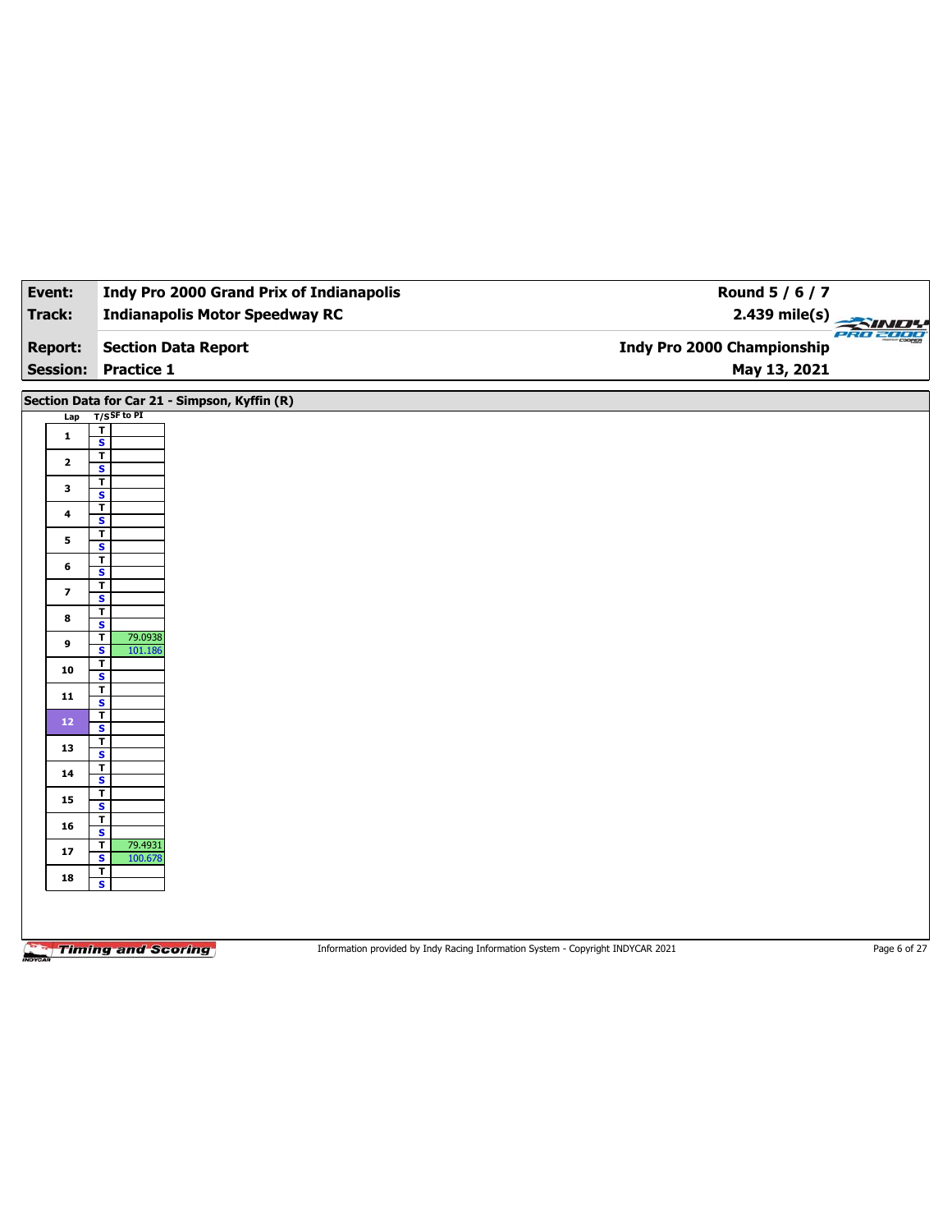| Event:                  | <b>Indy Pro 2000 Grand Prix of Indianapolis</b>                                                              | Round 5 / 6 / 7            |              |
|-------------------------|--------------------------------------------------------------------------------------------------------------|----------------------------|--------------|
| Track:                  | <b>Indianapolis Motor Speedway RC</b>                                                                        | $2.439$ mile(s)            |              |
| <b>Report:</b>          | <b>Section Data Report</b>                                                                                   | Indy Pro 2000 Championship | PRO 2000     |
| <b>Session:</b>         | <b>Practice 1</b>                                                                                            | May 13, 2021               |              |
|                         | Section Data for Car 21 - Simpson, Kyffin (R)                                                                |                            |              |
| Lap                     | $T/S$ SF to PI                                                                                               |                            |              |
| $\mathbf 1$             | $\overline{\mathbf{r}}$<br>$\overline{\mathbf{s}}$                                                           |                            |              |
| $\mathbf{2}$            | $\overline{1}$                                                                                               |                            |              |
|                         | $\mathbf{s}$<br>$\mathbf T$                                                                                  |                            |              |
| 3                       | $\overline{\mathbf{s}}$                                                                                      |                            |              |
| 4                       | $\mathbf{T}$<br>$\overline{\mathbf{s}}$                                                                      |                            |              |
| 5                       | $\overline{\mathbf{r}}$<br>$\overline{\mathbf{s}}$                                                           |                            |              |
| 6                       | $\overline{\mathbf{r}}$                                                                                      |                            |              |
|                         | $\overline{\mathbf{s}}$<br>$\overline{\mathbf{r}}$                                                           |                            |              |
| $\overline{\mathbf{z}}$ | $\overline{\mathbf{s}}$                                                                                      |                            |              |
| 8                       | $\overline{\mathbf{r}}$<br>$\overline{\mathbf{s}}$                                                           |                            |              |
| 9                       | 79.0938<br>T<br>$\overline{\mathbf{s}}$<br>101.186                                                           |                            |              |
| 10                      | T<br>S                                                                                                       |                            |              |
| 11                      | $\overline{\mathbf{r}}$<br>$\overline{\mathbf{s}}$                                                           |                            |              |
| 12                      | $\overline{\mathbf{r}}$<br>S                                                                                 |                            |              |
| 13                      | $\overline{\mathbf{r}}$                                                                                      |                            |              |
| 14                      | $\overline{\mathbf{s}}$<br>$\overline{\mathbf{r}}$                                                           |                            |              |
|                         | $\overline{\mathbf{s}}$<br>$\overline{\mathbf{r}}$                                                           |                            |              |
| 15                      | $\overline{\mathbf{s}}$                                                                                      |                            |              |
| 16                      | $\overline{\mathsf{r}}$<br>$\mathbf{s}$                                                                      |                            |              |
| 17                      | $\mathbf T$<br>79.4931<br>$\overline{\mathbf{s}}$<br>100.678                                                 |                            |              |
| 18                      | T<br>$\overline{\mathbf{s}}$                                                                                 |                            |              |
|                         |                                                                                                              |                            |              |
|                         |                                                                                                              |                            |              |
|                         | <b>Timing and Scoring</b><br>Information provided by Indy Racing Information System - Copyright INDYCAR 2021 |                            | Page 6 of 27 |
|                         |                                                                                                              |                            |              |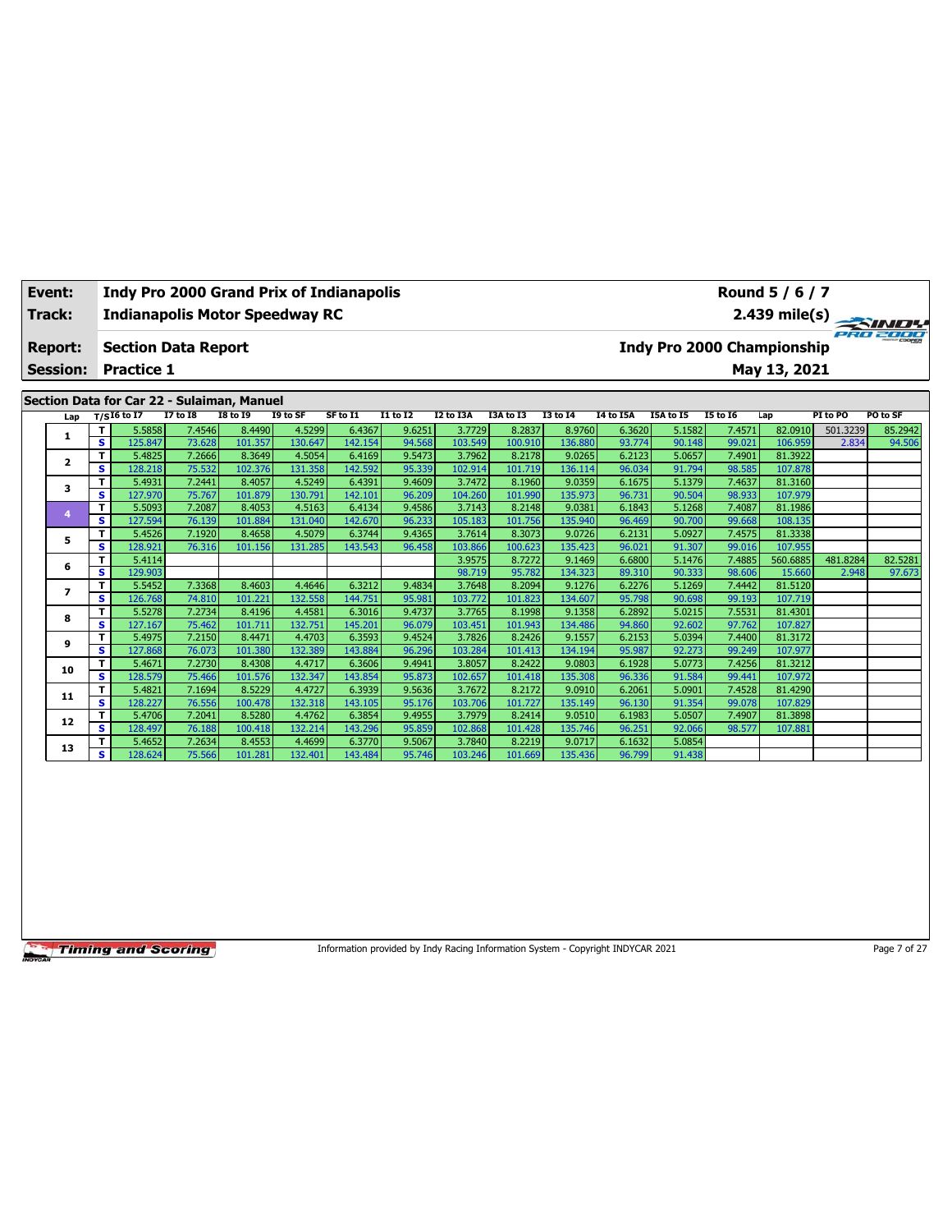|  | Event:                                     |        |                     |                                       |                                           |                    | <b>Indy Pro 2000 Grand Prix of Indianapolis</b> |                      |             |           | Round 5 / 6 / 7 |                  |           |                            |           |          |                         |  |  |
|--|--------------------------------------------|--------|---------------------|---------------------------------------|-------------------------------------------|--------------------|-------------------------------------------------|----------------------|-------------|-----------|-----------------|------------------|-----------|----------------------------|-----------|----------|-------------------------|--|--|
|  | Track:                                     |        |                     | <b>Indianapolis Motor Speedway RC</b> |                                           |                    |                                                 |                      |             |           |                 |                  |           |                            |           |          | $2.439 \text{ mile(s)}$ |  |  |
|  |                                            |        |                     |                                       |                                           |                    |                                                 |                      |             |           |                 |                  |           |                            |           |          | PRO 2000                |  |  |
|  | <b>Report:</b>                             |        |                     | <b>Section Data Report</b>            |                                           |                    |                                                 |                      |             |           |                 |                  |           | Indy Pro 2000 Championship |           |          |                         |  |  |
|  | <b>Practice 1</b><br><b>Session:</b>       |        |                     |                                       |                                           |                    |                                                 |                      |             |           |                 |                  |           |                            |           |          |                         |  |  |
|  |                                            |        |                     |                                       |                                           |                    |                                                 |                      |             |           |                 |                  |           | May 13, 2021               |           |          |                         |  |  |
|  |                                            |        |                     |                                       |                                           |                    |                                                 |                      |             |           |                 |                  |           |                            |           |          |                         |  |  |
|  | Section Data for Car 22 - Sulaiman, Manuel |        |                     |                                       |                                           |                    |                                                 |                      |             |           |                 |                  |           |                            |           |          |                         |  |  |
|  |                                            |        | Lap $T/SI6$ to $I7$ | <b>I7 to I8</b>                       | <b>I8 to I9</b>                           | I9 to SF           | SF to I1                                        | I1 to I2             | I2 to I3A   | I3A to I3 | 13 to 14        | <b>I4 to I5A</b> | I5A to I5 | 15 to 16                   | Lap       | PI to PO | PO to SF                |  |  |
|  |                                            |        | 5.5858              | 7.4546                                | 8,4490                                    | 4.5299             | 6.4367                                          | 9.6251               | 3.7729      | 8.2837    | 8.9760          | 6.3620           | 5.1582    | 7.4571                     | 82.0910   | 501.3239 | 85.2942                 |  |  |
|  | л                                          | S      | 125.847             | 73.628                                | 101.357                                   | 130.647            | 142.154                                         | 94.568               | 103.549     | 100.910   | 136.880         | 93.774           | 90.148    | 99.021                     | 106.959   | 2.834    | 94.506                  |  |  |
|  | $\overline{\mathbf{2}}$                    |        | 5.4825              | 7.2666                                | 8.3649                                    | 4.5054             | 6.4169                                          | 9.5473               | 3.7962      | 8.2178    | 9.0265          | 6.2123           | 5.0657    | 7.4901                     | 81.3922   |          |                         |  |  |
|  |                                            | s.     | 128.218             | 75.532                                | 102.376                                   | 131.358            | 142.592                                         | 95.339               | 102.914     | 101.719   | 136.114         | 96.034           | 91.794    | 98.585                     | 107.878   |          |                         |  |  |
|  | 3                                          |        | 5.4931              | 7.2441                                | 8.4057                                    | 4.5249             | 6.4391                                          | 9.4609               | 3.7472      | 8.1960    | 9.0359          | 6.1675           | 5.1379    | 7.4637                     | 81.3160   |          |                         |  |  |
|  |                                            | s.     | 127.970             | 75.767                                | 101.879                                   | 130.791            | 142.101                                         | 96.209               | 104.260     | 101.990   | 135.973         | 96.731           | 90.504    | 98.933                     | 107.979   |          |                         |  |  |
|  |                                            | $\sim$ | $  -$               | - -----                               | $\sim$ $\sim$ $\sim$ $\sim$ $\sim$ $\sim$ | $\sim$ $ \sim$ $-$ | $   -$                                          | $\sim$ $\sim$ $\sim$ | $- - - - -$ | 0.0200    | 0.0001          | $-10.12$         | $   -$    | $ -$                       | as seemed |          |                         |  |  |

|    | T. | 5.58581 | 7.4546 I | 8.44901 | 4.52991 | 6.4367  | 9.6251 | 3.77291 | 8.2837  | 8.9760  | 6.3620 | 5.15821 | 7.45711 | 82.0910  | 501.3239 | 85.2942 |
|----|----|---------|----------|---------|---------|---------|--------|---------|---------|---------|--------|---------|---------|----------|----------|---------|
|    | s  | 125.847 | 73.628   | 101.357 | 130.647 | 142.154 | 94.568 | 103.549 | 100.910 | 136.880 | 93.774 | 90.148  | 99.021  | 106.959  | 2.834    | 94.506  |
| 2  | T. | 5.4825  | 7.2666   | 8.3649  | 4.5054  | 6.4169  | 9.5473 | 3.7962  | 8.2178  | 9.0265  | 6.2123 | 5.0657  | 7.4901  | 81.3922  |          |         |
|    | s  | 128.218 | 75.532   | 102.376 | 131.358 | 142.592 | 95.339 | 102.914 | 101.719 | 136.114 | 96.034 | 91.794  | 98.585  | 107.878  |          |         |
| 3  | T. | 5.4931  | 7.2441   | 8.4057  | 4.5249  | 6.4391  | 9.4609 | 3.7472  | 8.1960  | 9.0359  | 6.1675 | 5.1379  | 7.4637  | 81.3160  |          |         |
|    | s  | 127.970 | 75.767   | 101.879 | 130.791 | 142.101 | 96.209 | 104.260 | 101.990 | 135.973 | 96.731 | 90.504  | 98.933  | 107.979  |          |         |
| 4  | T. | 5.5093  | 7.2087   | 8.4053  | 4.5163  | 6.4134  | 9.4586 | 3.7143  | 8.2148  | 9.0381  | 6.1843 | 5.1268  | 7.4087  | 81.1986  |          |         |
|    | s  | 127.594 | 76.139   | 101.884 | 131.040 | 142.670 | 96.233 | 105.183 | 101.756 | 135.940 | 96.469 | 90.700  | 99.668  | 108.135  |          |         |
| 5  | T. | 5.4526  | 7.1920   | 8.4658  | 4.5079  | 6.3744  | 9.4365 | 3.7614  | 8.3073  | 9.0726  | 6.2131 | 5.0927  | 7.4575  | 81.3338  |          |         |
|    | s  | 128.921 | 76.316   | 101.156 | 131.285 | 143.543 | 96.458 | 103.866 | 100.623 | 135.423 | 96.021 | 91.307  | 99.016  | 107.955  |          |         |
| 6  | T. | 5.4114  |          |         |         |         |        | 3.9575  | 8.7272  | 9.1469  | 6.6800 | 5.1476  | 7.4885  | 560.6885 | 481.8284 | 82.5281 |
|    | s  | 129.903 |          |         |         |         |        | 98.719  | 95.782  | 134.323 | 89.310 | 90.333  | 98.606  | 15.660   | 2.948    | 97.673  |
|    | T. | 5.5452  | 7.3368   | 8.4603  | 4.4646  | 6.3212  | 9.4834 | 3.7648  | 8.2094  | 9.1276  | 6.2276 | 5.1269  | 7.4442  | 81.5120  |          |         |
|    | s  | 126.768 | 74.810   | 101.221 | 132.558 | 144.751 | 95.981 | 103.772 | 101.823 | 134.607 | 95.798 | 90.698  | 99.193  | 107.719  |          |         |
| 8  | T  | 5.5278  | 7.2734   | 8.4196  | 4.4581  | 6.3016  | 9.4737 | 3.7765  | 8.1998  | 9.1358  | 6.2892 | 5.0215  | 7.5531  | 81.4301  |          |         |
|    | s  | 127.167 | 75.462   | 101.711 | 132.751 | 145.201 | 96.079 | 103.451 | 101.943 | 134.486 | 94.860 | 92.602  | 97.762  | 107.827  |          |         |
| 9  | T. | 5.4975  | 7.2150   | 8.4471  | 4.4703  | 6.3593  | 9.4524 | 3.7826  | 8.2426  | 9.1557  | 6.2153 | 5.0394  | 7.4400  | 81.3172  |          |         |
|    | s  | 127.868 | 76.073   | 101.380 | 132.389 | 143.884 | 96.296 | 103.284 | 101.413 | 134.194 | 95.987 | 92.273  | 99.249  | 107.977  |          |         |
| 10 | T. | 5.4671  | 7.2730   | 8.4308  | 4.4717  | 6.3606  | 9.4941 | 3.8057  | 8.2422  | 9.0803  | 6.1928 | 5.0773  | 7.4256  | 81.3212  |          |         |
|    | s  | 128.579 | 75.466   | 101.576 | 132.347 | 143.854 | 95.873 | 102.657 | 101.418 | 135.308 | 96.336 | 91.584  | 99.441  | 107.972  |          |         |
| 11 | T. | 5.4821  | 7.1694   | 8.5229  | 4.4727  | 6.3939  | 9.5636 | 3.7672  | 8.2172  | 9.0910  | 6.2061 | 5.0901  | 7.4528  | 81.4290  |          |         |
|    | s  | 128.227 | 76.556   | 100.478 | 132.318 | 143.105 | 95.176 | 103.706 | 101.727 | 135.149 | 96.130 | 91.354  | 99.078  | 107.829  |          |         |
| 12 | T  | 5.4706  | 7.2041   | 8.5280  | 4.4762  | 6.3854  | 9.4955 | 3.7979  | 8.2414  | 9.0510  | 6.1983 | 5.0507  | 7.4907  | 81.3898  |          |         |
|    | s  | 128.497 | 76.188   | 100.418 | 132.214 | 143.296 | 95.859 | 102.868 | 101.428 | 135.746 | 96.251 | 92.066  | 98.577  | 107.881  |          |         |
| 13 | T. | 5.4652  | 7.2634   | 8.4553  | 4.4699  | 6.3770  | 9.5067 | 3.7840  | 8.2219  | 9.0717  | 6.1632 | 5.0854  |         |          |          |         |
|    | s. | 128.624 | 75.566   | 101.281 | 132.401 | 143.484 | 95.746 | 103.246 | 101.669 | 135.436 | 96.799 | 91.438  |         |          |          |         |

Information provided by Indy Racing Information System - Copyright INDYCAR 2021 Page 7 of 27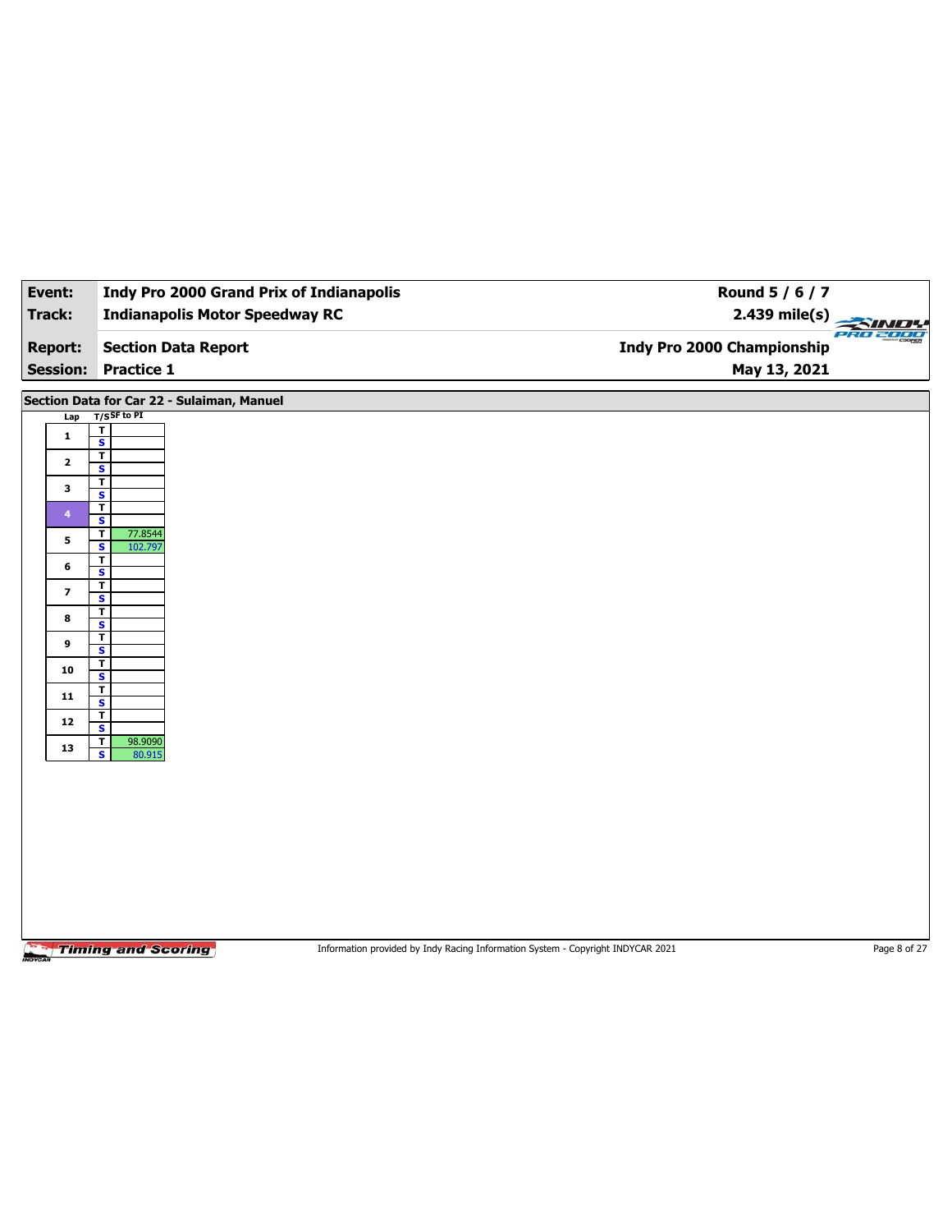| Event:                   | Indy Pro 2000 Grand Prix of Indianapolis            | Round 5 / 6 / 7                                                                 |              |
|--------------------------|-----------------------------------------------------|---------------------------------------------------------------------------------|--------------|
| <b>Track:</b>            | <b>Indianapolis Motor Speedway RC</b>               | 2.439 mile(s)                                                                   | PRO 2000     |
| <b>Report:</b>           | <b>Section Data Report</b>                          | <b>Indy Pro 2000 Championship</b>                                               |              |
| <b>Session:</b>          | <b>Practice 1</b>                                   | May 13, 2021                                                                    |              |
|                          | Section Data for Car 22 - Sulaiman, Manuel          |                                                                                 |              |
| Lap                      | $T/S$ SF to PI<br>T                                 |                                                                                 |              |
| $\mathbf 1$              | $\overline{\mathbf{s}}$<br>$\overline{\mathbf{r}}$  |                                                                                 |              |
| $\mathbf{2}$             | S<br>T.                                             |                                                                                 |              |
| 3                        | $\overline{\mathbf{s}}$<br>$\overline{\mathbf{r}}$  |                                                                                 |              |
| 4                        | S                                                   |                                                                                 |              |
| 5                        | T.<br>77.8544<br>$\overline{\mathbf{s}}$<br>102.797 |                                                                                 |              |
| 6                        | T<br>S                                              |                                                                                 |              |
| $\overline{\phantom{a}}$ | T.<br>$\overline{\mathbf{s}}$                       |                                                                                 |              |
| 8                        | T<br>S                                              |                                                                                 |              |
| 9                        | T.<br>$\overline{\mathbf{s}}$                       |                                                                                 |              |
| 10                       | T<br>S                                              |                                                                                 |              |
| 11                       | T<br>$\overline{\mathbf{s}}$                        |                                                                                 |              |
| 12                       | Τ                                                   |                                                                                 |              |
| 13                       | S<br>$\overline{1}$<br>98.9090                      |                                                                                 |              |
|                          | $\overline{\mathbf{s}}$<br>80.915                   |                                                                                 |              |
|                          |                                                     |                                                                                 |              |
|                          |                                                     |                                                                                 |              |
|                          |                                                     |                                                                                 |              |
|                          |                                                     |                                                                                 |              |
|                          |                                                     |                                                                                 |              |
|                          |                                                     |                                                                                 |              |
|                          |                                                     |                                                                                 |              |
|                          | <b>Timing and Scoring</b>                           | Information provided by Indy Racing Information System - Copyright INDYCAR 2021 | Page 8 of 27 |

┑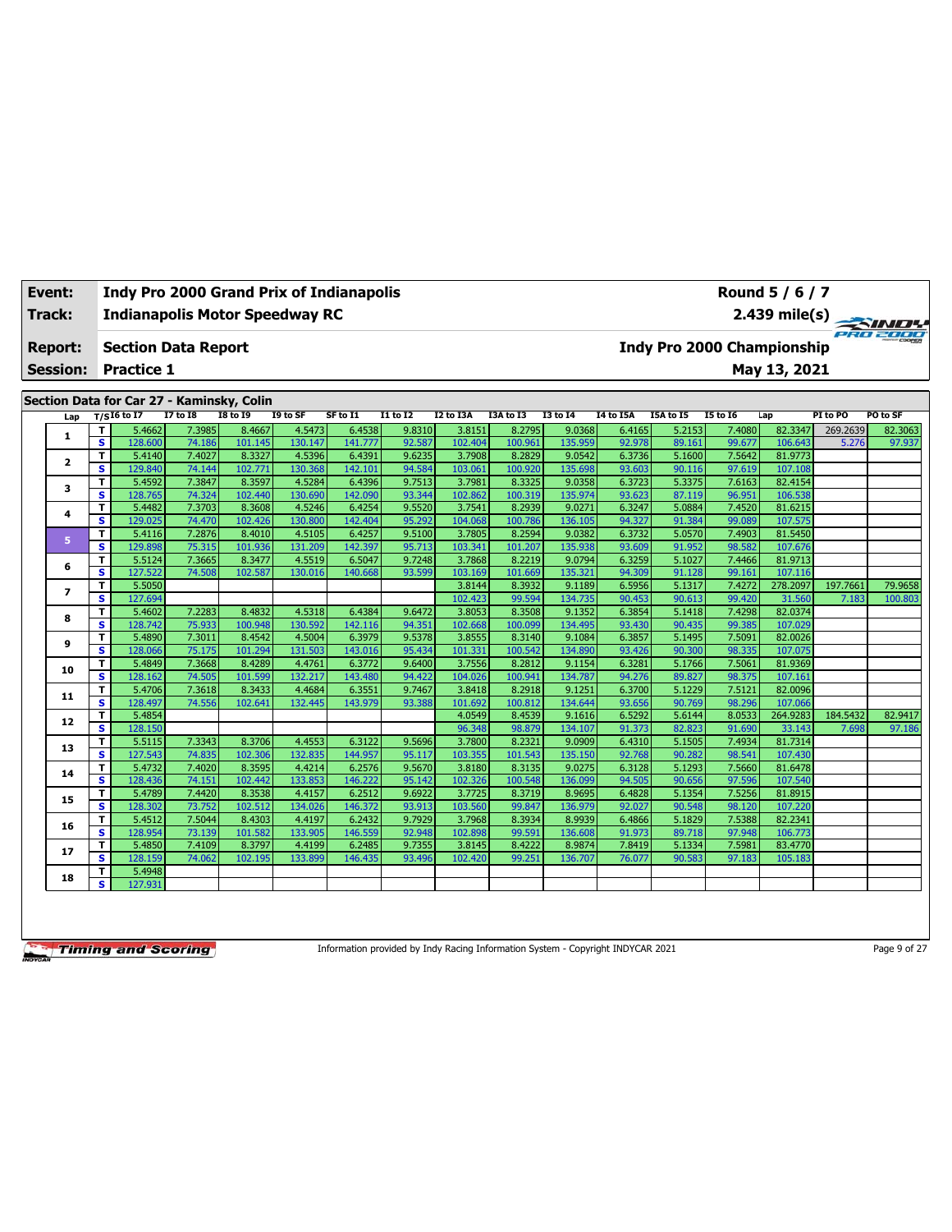| Track:<br><b>Indianapolis Motor Speedway RC</b> |                            |                                           |                  |                   |                   |                   |                  |                   |                   |                   |                  |                                   |                  |                    | 2.439 mile(s) $\frac{2}{\sqrt{100}}$ |          |
|-------------------------------------------------|----------------------------|-------------------------------------------|------------------|-------------------|-------------------|-------------------|------------------|-------------------|-------------------|-------------------|------------------|-----------------------------------|------------------|--------------------|--------------------------------------|----------|
| <b>Report:</b>                                  | <b>Section Data Report</b> |                                           |                  |                   |                   |                   |                  |                   |                   |                   |                  | <b>Indy Pro 2000 Championship</b> |                  |                    |                                      |          |
| <b>Session:</b>                                 |                            | <b>Practice 1</b>                         |                  |                   |                   |                   |                  |                   |                   |                   |                  |                                   |                  | May 13, 2021       |                                      |          |
|                                                 |                            |                                           |                  |                   |                   |                   |                  |                   |                   |                   |                  |                                   |                  |                    |                                      |          |
|                                                 |                            | Section Data for Car 27 - Kaminsky, Colin |                  |                   |                   |                   |                  |                   |                   |                   |                  |                                   |                  |                    |                                      |          |
| Lap                                             |                            | $T/SI6$ to I7                             | $I7$ to $I8$     | <b>I8 to 19</b>   | I9 to SF          | SF to I1          | $I1$ to $I2$     | I2 to I3A         | I3A to I3         | <b>I3 to 14</b>   | <b>I4 to I5A</b> | I5A to I5                         | <b>I5 to 16</b>  | Lap                | PI to PO                             | PO to SF |
| 1                                               | T                          | 5.4662                                    | 7.3985           | 8.4667            | 4.5473            | 6.4538            | 9.8310           | 3.8151            | 8.2795            | 9.0368            | 6.4165           | 5.2153                            | 7.4080           | 82.3347            | 269.2639                             | 82.3063  |
|                                                 | $\overline{\mathbf{s}}$    | 128,600                                   | 74.186           | 101.145           | 130.147           | 141.777           | 92.587           | 102.404           | 100.961           | 135.959           | 92.978           | 89.161                            | 99.677           | 106.643            | 5.276                                | 97.937   |
| $\mathbf{z}$                                    | т                          | 5.4140                                    | 7.4027           | 8.3327            | 4.5396            | 6.4391            | 9.6235           | 3.7908            | 8.2829            | 9.0542            | 6.3736           | 5.1600                            | 7.5642           | 81.9773            |                                      |          |
|                                                 | s                          | 129.840                                   | 74.144           | 102.771           | 130.368           | 142.101           | 94.584           | 103.061           | 100.920           | 135.698           | 93.603           | 90.116                            | 97.619           | 107.108            |                                      |          |
| з                                               | т                          | 5.4592                                    | 7.3847           | 8.3597<br>102.440 | 4.5284<br>130.690 | 6.4396            | 9.7513           | 3.7981<br>102.862 | 8.3325<br>100.319 | 9.0358            | 6.3723<br>93.623 | 5.3375<br>87.119                  | 7.6163<br>96.951 | 82.4154<br>106.538 |                                      |          |
|                                                 | s<br>T                     | 128.765<br>5.4482                         | 74.324<br>7.3703 | 8.3608            | 4.5246            | 142.090<br>6.4254 | 93.344<br>9.5520 | 3.7541            | 8.2939            | 135.974<br>9.0271 | 6.3247           | 5.0884                            | 7.4520           | 81.6215            |                                      |          |
| 4                                               | s                          | 129.025                                   | 74.470           | 102.426           | 130,800           | 142.404           | 95.292           | 104.068           | 100.786           | 136.105           | 94.327           | 91.384                            | 99.089           | 107.575            |                                      |          |
|                                                 | т                          | 5.4116                                    | 7.2876           | 8.4010            | 4.5105            | 6.4257            | 9.5100           | 3.7805            | 8.2594            | 9.0382            | 6.3732           | 5.0570                            | 7.4903           | 81.5450            |                                      |          |
| 5                                               | s                          | 129.898                                   | 75.315           | 101.936           | 131.209           | 142.397           | 95.713           | 103.341           | 101.207           | 135.938           | 93.609           | 91.952                            | 98.582           | 107.676            |                                      |          |
|                                                 | T                          | 5.5124                                    | 7.3665           | 8.3477            | 4.5519            | 6.5047            | 9.7248           | 3.7868            | 8.2219            | 9.0794            | 6.3259           | 5.1027                            | 7.4466           | 81.9713            |                                      |          |
| 6                                               | s                          | 127.522                                   | 74.508           | 102.587           | 130.016           | 140.668           | 93.599           | 103.169           | 101.669           | 135.321           | 94.309           | 91.128                            | 99.161           | 107.116            |                                      |          |
|                                                 | т                          | 5.5050                                    |                  |                   |                   |                   |                  | 3.8144            | 8.3932            | 9.1189            | 6.5956           | 5.1317                            | 7.4272           | 278,2097           | 197.7661                             | 79.9658  |
| $\overline{ }$                                  | s                          | 127.694                                   |                  |                   |                   |                   |                  | 102.423           | 99.594            | 134.735           | 90.453           | 90.613                            | 99.420           | 31.560             | 7.183                                | 100.803  |
|                                                 | T                          | 5.4602                                    | 7.2283           | 8.4832            | 4.5318            | 6.4384            | 9.6472           | 3.8053            | 8.3508            | 9.1352            | 6.3854           | 5.1418                            | 7.4298           | 82.0374            |                                      |          |
| 8                                               | s                          | 128.742                                   | 75.933           | 100.948           | 130.592           | 142.116           | 94.351           | 102.668           | 100.099           | 134.495           | 93.430           | 90.435                            | 99.385           | 107.029            |                                      |          |
|                                                 | т                          | 5.4890                                    | 7.3011           | 8.4542            | 4.5004            | 6.3979            | 9.5378           | 3.8555            | 8.3140            | 9.1084            | 6.3857           | 5.1495                            | 7.5091           | 82.0026            |                                      |          |
| 9                                               | s                          | 128.066                                   | 75.175           | 101.294           | 131.503           | 143.016           | 95.434           | 101.331           | 100.542           | 134.890           | 93.426           | 90.300                            | 98.335           | 107.075            |                                      |          |
| 10                                              | T                          | 5.4849                                    | 7.3668           | 8.4289            | 4.4761            | 6.3772            | 9.6400           | 3.7556            | 8.2812            | 9.1154            | 6.3281           | 5.1766                            | 7.5061           | 81.9369            |                                      |          |
|                                                 | s                          | 128.162                                   | 74.505           | 101.599           | 132.217           | 143.480           | 94.422           | 104.026           | 100.941           | 134.787           | 94.276           | 89.827                            | 98.375           | 107.161            |                                      |          |
| 11                                              | т                          | 5.4706                                    | 7.3618           | 8.3433            | 4.4684            | 6.3551            | 9.7467           | 3.8418            | 8.2918            | 9.1251            | 6.3700           | 5.1229                            | 7.5121           | 82.0096            |                                      |          |
|                                                 | s                          | 128,497                                   | 74.556           | 102.641           | 132.445           | 143.979           | 93.388           | 101.692           | 100.812           | 134.644           | 93.656           | 90.769                            | 98.296           | 107.066            |                                      |          |
| 12                                              | T                          | 5.4854                                    |                  |                   |                   |                   |                  | 4.0549            | 8.4539            | 9.1616            | 6.5292           | 5.6144                            | 8.0533           | 264.9283           | 184.5432                             | 82.9417  |
|                                                 | s                          | 128.150                                   |                  |                   |                   |                   |                  | 96.348            | 98.879            | 134.107           | 91.373           | 82.823                            | 91.690           | 33.143             | 7.698                                | 97.186   |
| 13                                              | т                          | 5.5115                                    | 7.3343           | 8.3706            | 4.4553            | 6.3122            | 9.5696           | 3.7800            | 8.2321            | 9.0909            | 6.4310           | 5.1505                            | 7.4934           | 81.7314            |                                      |          |
|                                                 | s                          | 127.543                                   | 74.835           | 102.306           | 132.835           | 144.957           | 95.117           | 103.355           | 101.543           | 135.150           | 92.768           | 90.282                            | 98.541           | 107.430            |                                      |          |
| 14                                              | т                          | 5.4732                                    | 7.4020           | 8.3595            | 4.4214            | 6.2576            | 9.5670           | 3.8180            | 8.3135            | 9.0275            | 6.3128           | 5.1293                            | 7.5660           | 81.6478            |                                      |          |
|                                                 | s                          | 128.436                                   | 74.151           | 102.442           | 133.853           | 146.222           | 95.142           | 102.326           | 100.548           | 136.099           | 94.505           | 90.656                            | 97.596           | 107.540            |                                      |          |
| 15                                              | т<br>s                     | 5.4789<br>128.302                         | 7.4420<br>73.752 | 8.3538<br>102.512 | 4.4157<br>134.026 | 6.2512<br>146.372 | 9.6922<br>93.913 | 3.7725<br>103.560 | 8.3719<br>99.847  | 8.9695<br>136.979 | 6.4828<br>92.027 | 5.1354<br>90.548                  | 7.5256<br>98.120 | 81.8915<br>107.220 |                                      |          |
|                                                 | T                          | 5.4512                                    | 7.5044           | 8.4303            | 4.4197            | 6.2432            | 9.7929           | 3.7968            | 8.3934            | 8.9939            | 6.4866           | 5.1829                            | 7.5388           | 82.2341            |                                      |          |
| 16                                              | s                          | 128.954                                   | 73.139           | 101.582           | 133.905           | 146.559           | 92.948           | 102.898           | 99.591            | 136,608           | 91.973           | 89.718                            | 97.948           | 106.773            |                                      |          |
|                                                 | T                          | 5.4850                                    | 7.4109           | 8.3797            | 4.4199            | 6.2485            | 9.7355           | 3.8145            | 8.4222            | 8.9874            | 7.8419           | 5.1334                            | 7.5981           | 83.4770            |                                      |          |
| 17                                              |                            |                                           |                  |                   |                   |                   |                  |                   |                   |                   |                  |                                   |                  |                    |                                      |          |

**18 T** 5.4948 **S** 127.931

**Event: Indy Pro 2000 Grand Prix of Indianapolis**

Information provided by Indy Racing Information System - Copyright INDYCAR 2021 Page 9 of 27

**S** 128.159 74.062 102.195 133.899 146.435 93.496 102.420 99.251 136.707 76.077 90.583 97.183 105.183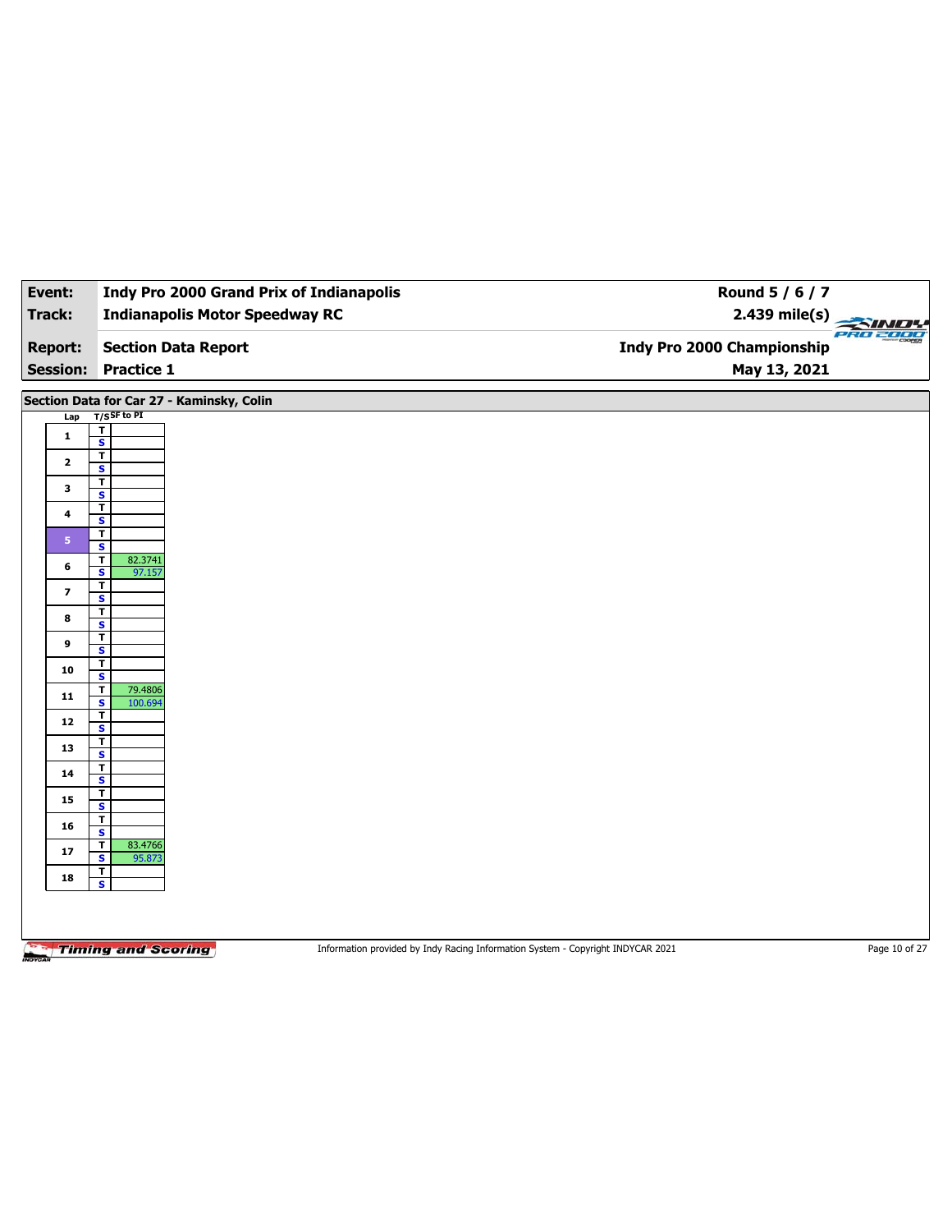| Event:                  | <b>Indy Pro 2000 Grand Prix of Indianapolis</b>              | Round 5 / 6 / 7                                                                                  |  |
|-------------------------|--------------------------------------------------------------|--------------------------------------------------------------------------------------------------|--|
| Track:                  | <b>Indianapolis Motor Speedway RC</b>                        | $2.439$ mile(s)<br>PRO 2000                                                                      |  |
| <b>Report:</b>          | <b>Section Data Report</b>                                   | <b>Indy Pro 2000 Championship</b>                                                                |  |
| <b>Session:</b>         | <b>Practice 1</b>                                            | May 13, 2021                                                                                     |  |
|                         | Section Data for Car 27 - Kaminsky, Colin                    |                                                                                                  |  |
| Lap                     | $T/S$ SF to PI                                               |                                                                                                  |  |
| $\mathbf{1}$            | т<br>$\overline{\mathbf{s}}$                                 |                                                                                                  |  |
| $\mathbf{2}$            | $\overline{\mathbf{r}}$                                      |                                                                                                  |  |
|                         | S<br>$\mathbf T$                                             |                                                                                                  |  |
| 3                       | $\overline{\mathbf{s}}$                                      |                                                                                                  |  |
| 4                       | T<br>S                                                       |                                                                                                  |  |
| 5 <sup>°</sup>          | T                                                            |                                                                                                  |  |
|                         | $\overline{\mathbf{s}}$<br>82.3741<br>T                      |                                                                                                  |  |
| 6                       | S<br>97.157                                                  |                                                                                                  |  |
| $\overline{\mathbf{z}}$ | T<br>$\overline{\mathbf{s}}$                                 |                                                                                                  |  |
| 8                       | T                                                            |                                                                                                  |  |
|                         | S<br>$\mathbf T$                                             |                                                                                                  |  |
| 9                       | $\overline{\mathbf{s}}$                                      |                                                                                                  |  |
| 10                      | T<br>S                                                       |                                                                                                  |  |
| 11                      | $\overline{\mathbf{r}}$<br>79.4806                           |                                                                                                  |  |
|                         | $\overline{\mathbf{s}}$<br>100.694<br>T                      |                                                                                                  |  |
| 12                      | S                                                            |                                                                                                  |  |
| 13                      | $\overline{\mathbf{r}}$<br>$\overline{\mathbf{s}}$           |                                                                                                  |  |
| 14                      | T                                                            |                                                                                                  |  |
|                         | s<br>T                                                       |                                                                                                  |  |
| 15                      | $\overline{\mathbf{s}}$                                      |                                                                                                  |  |
| 16                      | T<br>$\overline{\mathbf{s}}$                                 |                                                                                                  |  |
| 17                      | 83.4766<br>T                                                 |                                                                                                  |  |
|                         | $\overline{\mathbf{s}}$<br>95.873<br>$\overline{\mathbf{r}}$ |                                                                                                  |  |
| 18                      | $\mathbf{s}$                                                 |                                                                                                  |  |
|                         |                                                              |                                                                                                  |  |
|                         |                                                              |                                                                                                  |  |
|                         | <b>Timing and Scoring</b>                                    | Information provided by Indy Racing Information System - Copyright INDYCAR 2021<br>Page 10 of 27 |  |
|                         |                                                              |                                                                                                  |  |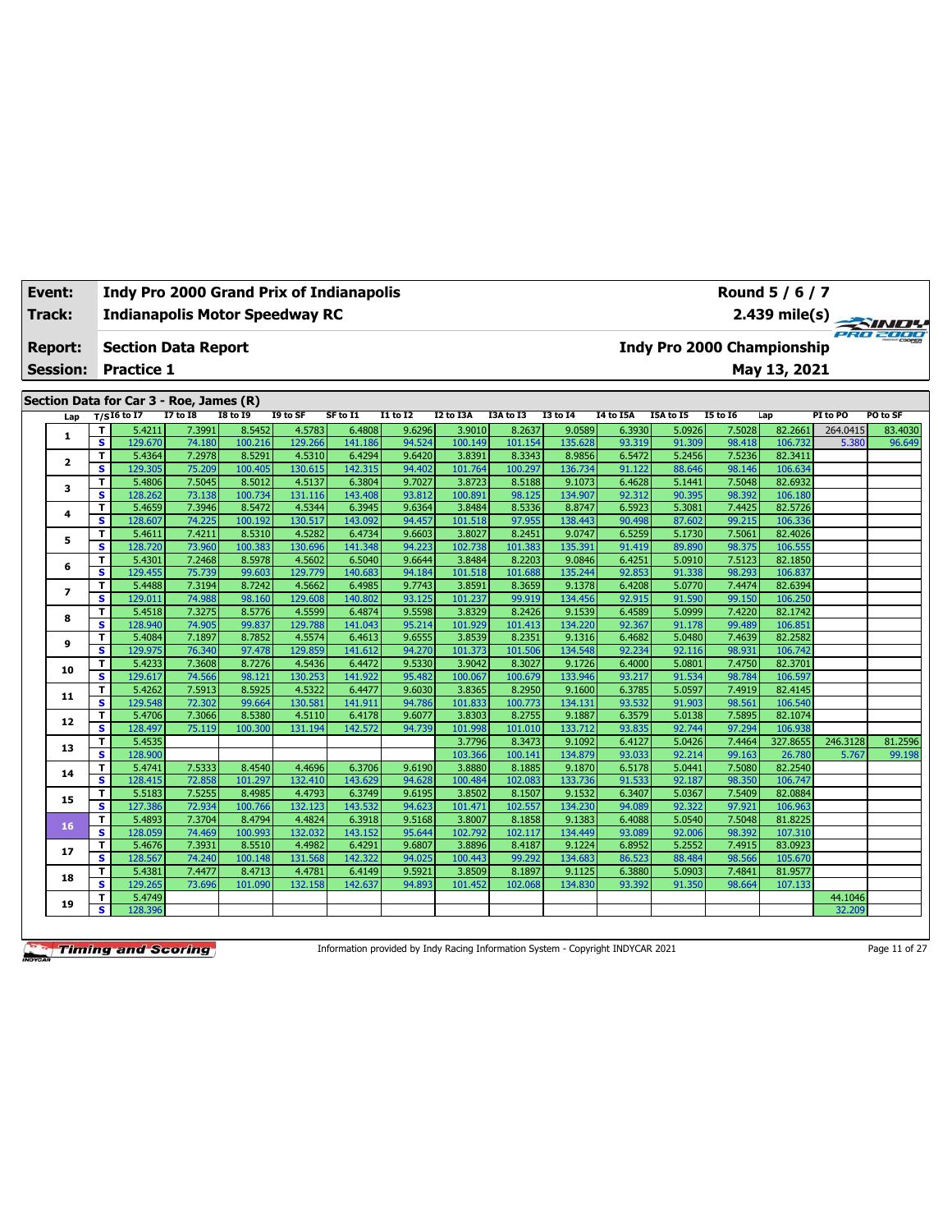| Track:          |                         |                   | <b>Indianapolis Motor Speedway RC</b>   |                   |                   |                   |                  |                   |                   |                   |                  |                                   |                  |                    |          | 2.439 mile(s) $\frac{2.439 \text{ mle(s)}}{\sqrt{2.40 \text{ mlog}^2}}$ |
|-----------------|-------------------------|-------------------|-----------------------------------------|-------------------|-------------------|-------------------|------------------|-------------------|-------------------|-------------------|------------------|-----------------------------------|------------------|--------------------|----------|-------------------------------------------------------------------------|
| <b>Report:</b>  |                         |                   | <b>Section Data Report</b>              |                   |                   |                   |                  |                   |                   |                   |                  | <b>Indy Pro 2000 Championship</b> |                  |                    |          |                                                                         |
| <b>Session:</b> |                         | <b>Practice 1</b> |                                         |                   |                   |                   |                  |                   |                   |                   |                  |                                   |                  | May 13, 2021       |          |                                                                         |
|                 |                         |                   | Section Data for Car 3 - Roe, James (R) |                   |                   |                   |                  |                   |                   |                   |                  |                                   |                  |                    |          |                                                                         |
| Lap             |                         | $T/SI6$ to I7     | <b>I7 to I8</b>                         | <b>I8 to 19</b>   | I9 to SF          | SF to I1          | $I1$ to $I2$     | I2 to I3A         | I3A to I3         | <b>I3 to 14</b>   | <b>I4 to I5A</b> | <b>I5A to I5</b>                  | <b>I5 to 16</b>  | Lap                | PI to PO | PO to SF                                                                |
|                 | т                       | 5.4211            | 7.3991                                  | 8.5452            | 4.5783            | 6.4808            | 9.6296           | 3.9010            | 8.2637            | 9.0589            | 6.3930           | 5.0926                            | 7.5028           | 82.2661            | 264.0415 | 83.4030                                                                 |
| 1               | $\overline{\mathbf{s}}$ | 129.670           | 74.180                                  | 100.216           | 129.266           | 141.186           | 94.524           | 100.149           | 101.154           | 135.628           | 93.319           | 91.309                            | 98.418           | 106.732            | 5.380    | 96.649                                                                  |
|                 | T                       | 5.4364            | 7.2978                                  | 8.5291            | 4.5310            | 6.4294            | 9.6420           | 3.8391            | 8.3343            | 8.9856            | 6.5472           | 5.2456                            | 7.5236           | 82.3411            |          |                                                                         |
| 2               | s                       | 129.305           | 75.209                                  | 100.405           | 130.615           | 142.315           | 94.402           | 101.764           | 100.297           | 136.734           | 91.122           | 88.646                            | 98.146           | 106.634            |          |                                                                         |
|                 | T                       | 5.4806            | 7.5045                                  | 8.5012            | 4.5137            | 6.3804            | 9.7027           | 3.8723            | 8.5188            | 9.1073            | 6.4628           | 5.1441                            | 7.5048           | 82.6932            |          |                                                                         |
| 3               | s                       | 128.262           | 73.138                                  | 100.734           | 131.116           | 143.408           | 93.812           | 100.891           | 98.125            | 134.907           | 92.312           | 90.395                            | 98.392           | 106.180            |          |                                                                         |
| 4               | T                       | 5.4659            | 7.3946                                  | 8.5472            | 4.5344            | 6.3945            | 9.6364           | 3.8484            | 8.5336            | 8.8747            | 6.5923           | 5.3081                            | 7.4425           | 82.5726            |          |                                                                         |
|                 | $\overline{\mathbf{s}}$ | 128.607           | 74.225                                  | 100.192           | 130.517           | 143.092           | 94.457           | 101.518           | 97.955            | 138.443           | 90.498           | 87.602                            | 99.215           | 106.336            |          |                                                                         |
| 5               | т                       | 5.4611            | 7.4211                                  | 8.5310            | 4.5282            | 6.4734            | 9.6603           | 3.8027            | 8.2451            | 9.0747            | 6.5259           | 5.1730                            | 7.5061           | 82.4026            |          |                                                                         |
|                 | s.                      | 128.720           | 73.960                                  | 100.383           | 130.696           | 141.348           | 94.223           | 102.738           | 101.383           | 135.391           | 91.419           | 89.890                            | 98.375           | 106.555            |          |                                                                         |
| 6               | T                       | 5.4301            | 7.2468                                  | 8.5978            | 4.5602            | 6.5040            | 9.6644           | 3.8484            | 8.2203            | 9.0846            | 6.4251           | 5.0910                            | 7.5123           | 82.1850            |          |                                                                         |
|                 | s                       | 129.455           | 75.739                                  | 99.603            | 129.779           | 140.683           | 94.184           | 101.518           | 101.688           | 135.244           | 92.853           | 91.338                            | 98.293           | 106.837            |          |                                                                         |
| 7               | T                       | 5.4488            | 7.3194                                  | 8.7242            | 4.5662            | 6.4985            | 9.7743           | 3.8591            | 8.3659            | 9.1378            | 6.4208           | 5.0770                            | 7.4474           | 82.6394            |          |                                                                         |
|                 | s                       | 129.011           | 74.988                                  | 98.160            | 129.608           | 140.802           | 93.125           | 101.237           | 99.919            | 134.456           | 92.915           | 91.590                            | 99.150           | 106.250            |          |                                                                         |
| 8               | T<br>s                  | 5.4518            | 7.3275<br>74.905                        | 8.5776<br>99.837  | 4.5599<br>129.788 | 6.4874<br>141.043 | 9.5598<br>95.214 | 3.8329            | 8.2426            | 9.1539            | 6.4589           | 5.0999<br>91.178                  | 7.4220           | 82.1742<br>106.851 |          |                                                                         |
|                 | T                       | 128.940<br>5.4084 | 7.1897                                  | 8.7852            | 4.5574            | 6.4613            | 9.6555           | 101.929<br>3.8539 | 101.413<br>8.2351 | 134.220<br>9.1316 | 92.367<br>6.4682 | 5.0480                            | 99.489<br>7.4639 | 82.2582            |          |                                                                         |
| 9               | $\overline{\mathbf{s}}$ | 129.975           | 76.340                                  | 97.478            | 129.859           | 141.612           | 94.270           | 101.373           | 101.506           | 134.548           | 92.234           | 92.116                            | 98.931           | 106.742            |          |                                                                         |
|                 | т                       | 5.4233            | 7.3608                                  | 8.7276            | 4.5436            | 6.4472            | 9.5330           | 3.9042            | 8.3027            | 9.1726            | 6.4000           | 5.0801                            | 7.4750           | 82.3701            |          |                                                                         |
| 10              | s                       | 129.617           | 74.566                                  | 98.121            | 130.253           | 141.922           | 95.482           | 100.067           | 100.679           | 133.946           | 93.217           | 91.534                            | 98.784           | 106.597            |          |                                                                         |
|                 | T                       | 5.4262            | 7.5913                                  | 8.5925            | 4.5322            | 6.4477            | 9.6030           | 3.8365            | 8.2950            | 9.1600            | 6.3785           | 5.0597                            | 7.4919           | 82.4145            |          |                                                                         |
| 11              | s                       | 129.548           | 72.302                                  | 99.664            | 130.581           | 141.911           | 94.786           | 101.833           | 100.773           | 134.131           | 93.532           | 91.903                            | 98.561           | 106.540            |          |                                                                         |
|                 | T                       | 5.4706            | 7.3066                                  | 8.5380            | 4.5110            | 6.4178            | 9.6077           | 3.8303            | 8.2755            | 9.1887            | 6.3579           | 5.0138                            | 7.5895           | 82.1074            |          |                                                                         |
| 12              | s                       | 128.497           | 75.119                                  | 100.300           | 131.194           | 142.572           | 94.739           | 101.998           | 101.010           | 133.712           | 93.835           | 92.744                            | 97.294           | 106.938            |          |                                                                         |
|                 | T                       | 5.4535            |                                         |                   |                   |                   |                  | 3.7796            | 8.3473            | 9.1092            | 6.4127           | 5.0426                            | 7.4464           | 327.8655           | 246.3128 | 81.2596                                                                 |
| 13              | s                       | 128,900           |                                         |                   |                   |                   |                  | 103.366           | 100.141           | 134,879           | 93.033           | 92.214                            | 99.163           | 26.780             | 5.767    | 99.198                                                                  |
| 14              | T                       | 5.4741            | 7.5333                                  | 8.4540            | 4.4696            | 6.3706            | 9.6190           | 3.8880            | 8.1885            | 9.1870            | 6.5178           | 5.0441                            | 7.5080           | 82.2540            |          |                                                                         |
|                 | s                       | 128.415           | 72.858                                  | 101.297           | 132.410           | 143.629           | 94.628           | 100.484           | 102.083           | 133.736           | 91.533           | 92.187                            | 98.350           | 106.747            |          |                                                                         |
| 15              | T                       | 5.5183            | 7.5255                                  | 8.4985            | 4.4793            | 6.3749            | 9.6195           | 3.8502            | 8.1507            | 9.1532            | 6.3407           | 5.0367                            | 7.5409           | 82.0884            |          |                                                                         |
|                 | s                       | 127.386           | 72.934                                  | 100.766           | 132.123           | 143.532           | 94.623           | 101.471           | 102.557           | 134.230           | 94.089           | 92.322                            | 97.921           | 106.963            |          |                                                                         |
| 16              | T                       | 5.4893            | 7.3704                                  | 8.4794            | 4.4824            | 6.3918            | 9.5168           | 3.8007            | 8.1858            | 9.1383            | 6.4088           | 5.0540                            | 7.5048           | 81.8225            |          |                                                                         |
|                 | s                       | 128.059           | 74.469                                  | 100.993           | 132.032           | 143.152           | 95.644           | 102.792           | 102.117           | 134.449           | 93.089           | 92.006                            | 98.392           | 107.310            |          |                                                                         |
| 17              | T                       | 5.4676            | 7.3931                                  | 8.5510            | 4.4982            | 6.4291            | 9.6807           | 3.8896            | 8.4187            | 9.1224            | 6.8952           | 5.2552                            | 7.4915           | 83.0923            |          |                                                                         |
|                 | s                       | 128.567           | 74.240                                  | 100.148           | 131.568           | 142.322           | 94.025           | 100.443           | 99.292            | 134.683           | 86.523           | 88.484                            | 98.566           | 105.670            |          |                                                                         |
| 18              | т<br>s                  | 5.4381<br>129.265 | 7.4477<br>73.696                        | 8.4713<br>101.090 | 4.4781<br>132.158 | 6.4149<br>142.637 | 9.5921<br>94.893 | 3.8509<br>101.452 | 8.1897<br>102.068 | 9.1125<br>134.830 | 6.3880<br>93.392 | 5.0903<br>91.350                  | 7.4841<br>98.664 | 81.9577<br>107.133 |          |                                                                         |
|                 | T                       | 5.4749            |                                         |                   |                   |                   |                  |                   |                   |                   |                  |                                   |                  |                    | 44.1046  |                                                                         |
| 19              | s.                      | 128.396           |                                         |                   |                   |                   |                  |                   |                   |                   |                  |                                   |                  |                    | 32.209   |                                                                         |
|                 |                         |                   |                                         |                   |                   |                   |                  |                   |                   |                   |                  |                                   |                  |                    |          |                                                                         |

**Event: Indy Pro 2000 Grand Prix of Indianapolis**

Information provided by Indy Racing Information System - Copyright INDYCAR 2021 Page 11 of 27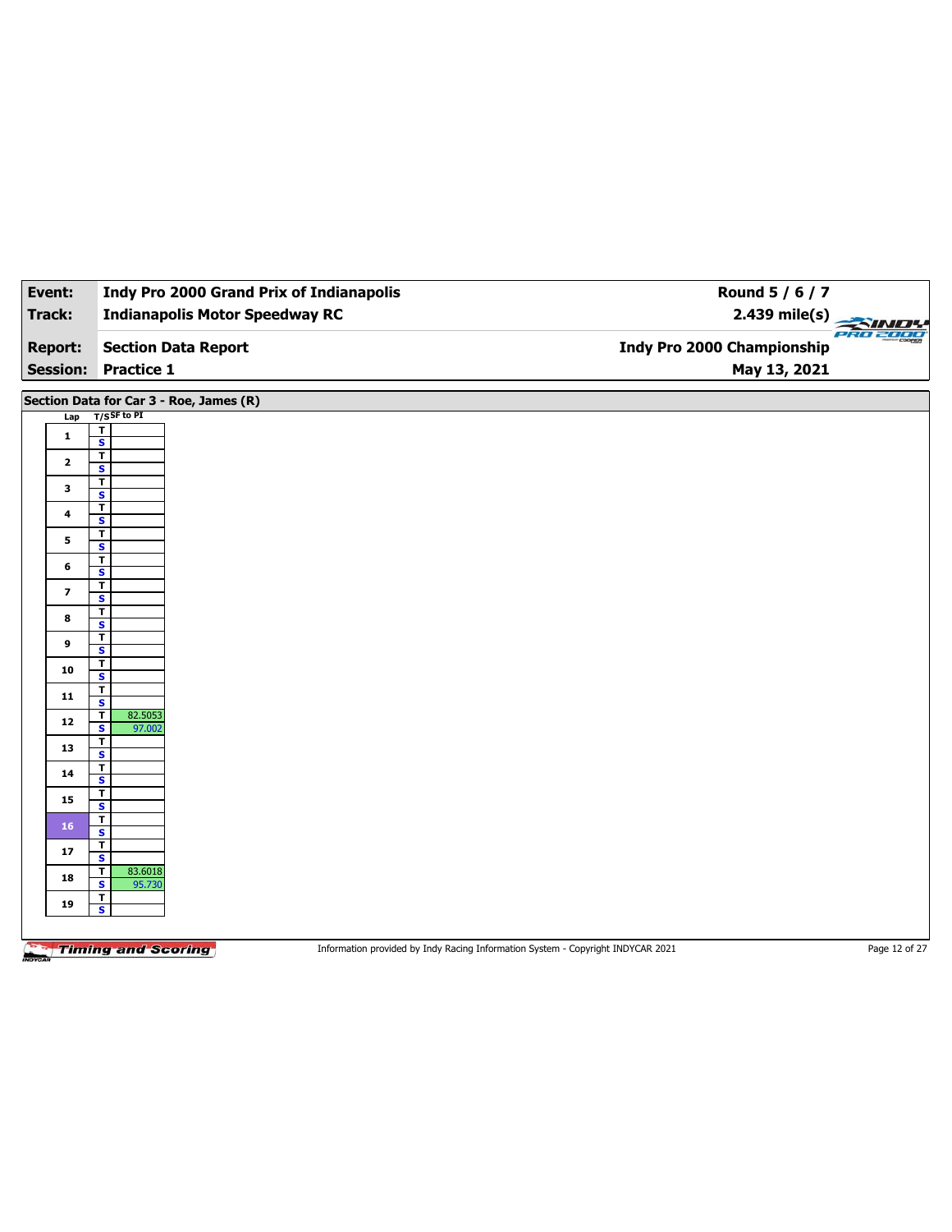| Event:          |                |                                                   | <b>Indy Pro 2000 Grand Prix of Indianapolis</b> | Round 5 / 6 / 7                   |  |
|-----------------|----------------|---------------------------------------------------|-------------------------------------------------|-----------------------------------|--|
| Track:          |                |                                                   | <b>Indianapolis Motor Speedway RC</b>           | $2.439$ mile(s)                   |  |
| <b>Report:</b>  |                |                                                   | <b>Section Data Report</b>                      | <b>Indy Pro 2000 Championship</b> |  |
| <b>Session:</b> |                | <b>Practice 1</b>                                 |                                                 | May 13, 2021                      |  |
|                 |                |                                                   | Section Data for Car 3 - Roe, James (R)         |                                   |  |
|                 | Lap            | T/SSF to PI                                       |                                                 |                                   |  |
|                 | $\mathbf{1}$   | T<br>$\overline{\mathbf{s}}$                      |                                                 |                                   |  |
|                 |                | $\mathbf{T}$                                      |                                                 |                                   |  |
|                 | $\mathbf{2}$   | $\mathbf{s}$                                      |                                                 |                                   |  |
|                 | 3              | $\mathbf T$                                       |                                                 |                                   |  |
|                 |                | $\mathbf{s}$                                      |                                                 |                                   |  |
|                 | 4              | $\mathbf T$                                       |                                                 |                                   |  |
|                 |                | $\mathbf{s}$                                      |                                                 |                                   |  |
|                 | 5              | $\mathbf{T}$                                      |                                                 |                                   |  |
|                 |                | $\mathbf{s}$                                      |                                                 |                                   |  |
|                 | 6              | $\mathbf{T}$<br>$\mathbf{s}$                      |                                                 |                                   |  |
|                 |                | $\mathbf T$                                       |                                                 |                                   |  |
|                 | $\overline{ }$ | $\overline{\mathbf{s}}$                           |                                                 |                                   |  |
|                 |                | $\mathbf T$                                       |                                                 |                                   |  |
|                 | 8              | $\overline{\mathbf{s}}$                           |                                                 |                                   |  |
|                 |                | $\mathbf T$                                       |                                                 |                                   |  |
|                 | 9              | $\overline{\mathbf{s}}$                           |                                                 |                                   |  |
|                 | 10             | $\mathbf T$                                       |                                                 |                                   |  |
|                 |                | $\overline{\mathbf{s}}$                           |                                                 |                                   |  |
|                 | 11             | $\mathbf T$                                       |                                                 |                                   |  |
|                 |                | $\overline{\mathbf{s}}$                           |                                                 |                                   |  |
|                 | 12             | 82.5053<br>Т<br>$\overline{\mathbf{s}}$<br>97.002 |                                                 |                                   |  |
|                 |                | т                                                 |                                                 |                                   |  |
|                 | 13             | $\mathbf{s}$                                      |                                                 |                                   |  |
|                 | 14             | $\overline{\mathbf{r}}$                           |                                                 |                                   |  |

**18 b S** 95.730

**<sup>19</sup> <sup>T</sup> S**

**<sup>14</sup> <sup>T</sup>**

**<sup>15</sup> <sup>T</sup>**

**S**

**S S** 17  $\frac{1}{s}$ 

Information provided by Indy Racing Information System - Copyright INDYCAR 2021 Page 12 of 27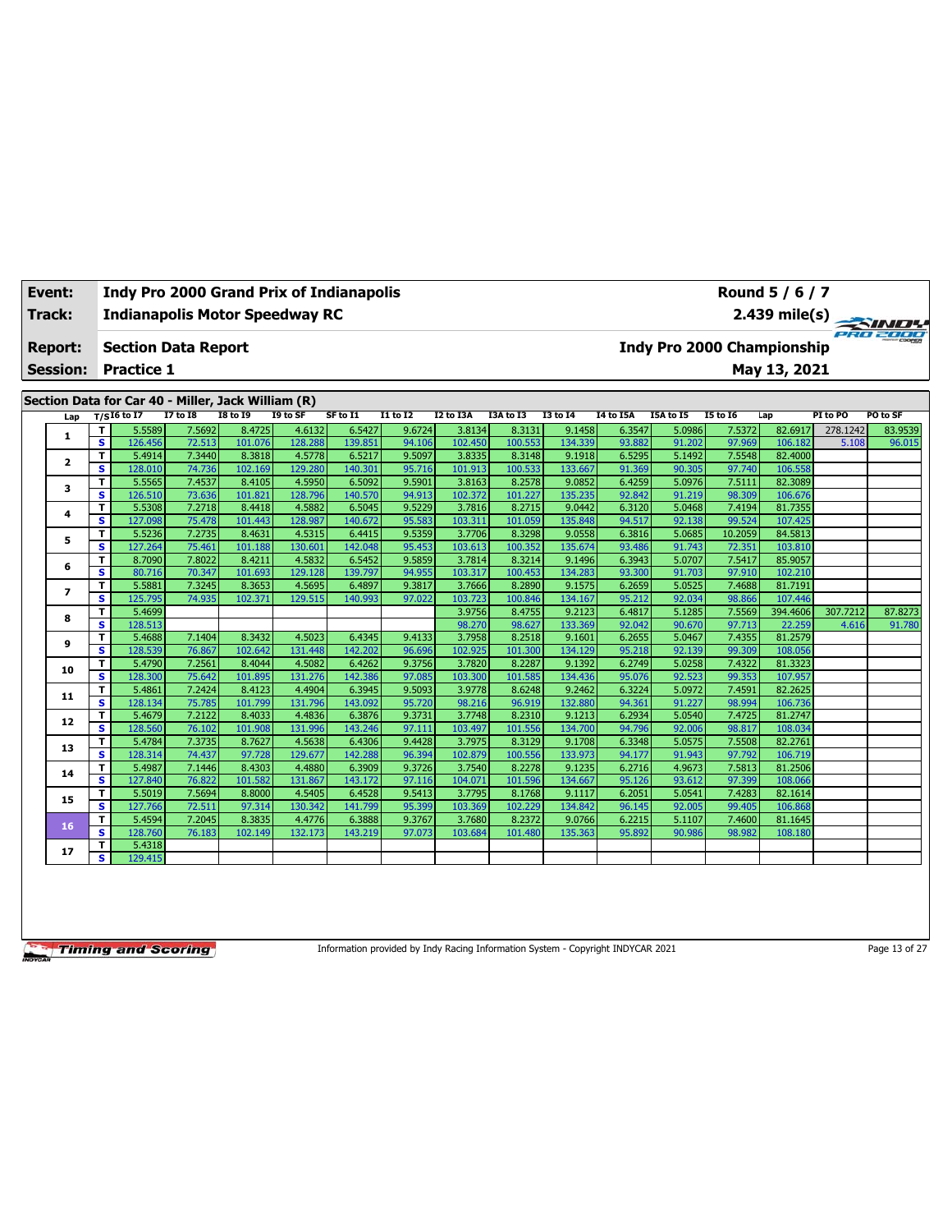| Track:          |        | <b>Indianapolis Motor Speedway RC</b>              |                  |                   |                   |                   |                  |                   |                   |                   |                  |                  |                  | $2.439$ mile(s)                   |          | <b>PRO 2000</b> |
|-----------------|--------|----------------------------------------------------|------------------|-------------------|-------------------|-------------------|------------------|-------------------|-------------------|-------------------|------------------|------------------|------------------|-----------------------------------|----------|-----------------|
| <b>Report:</b>  |        | <b>Section Data Report</b>                         |                  |                   |                   |                   |                  |                   |                   |                   |                  |                  |                  | <b>Indy Pro 2000 Championship</b> |          |                 |
| <b>Session:</b> |        | <b>Practice 1</b>                                  |                  |                   |                   |                   |                  |                   |                   |                   |                  |                  |                  | May 13, 2021                      |          |                 |
|                 |        | Section Data for Car 40 - Miller, Jack William (R) |                  |                   |                   |                   |                  |                   |                   |                   |                  |                  |                  |                                   |          |                 |
| Lap             |        | $T/SI6$ to I7                                      | <b>I7 to I8</b>  | <b>I8 to 19</b>   | I9 to SF          | SF to I1          | <b>I1 to I2</b>  | I2 to I3A         | I3A to I3         | <b>I3 to 14</b>   | <b>I4 to I5A</b> | I5A to I5        | <b>I5 to 16</b>  | Lap                               | PI to PO | PO to SF        |
|                 | T      | 5.5589                                             | 7.5692           | 8.4725            | 4.6132            | 6.5427            | 9.6724           | 3.8134            | 8.3131            | 9.1458            | 6.3547           | 5.0986           | 7.5372           | 82.6917                           | 278.1242 | 83.9539         |
| 1               | s      | 126.456                                            | 72.513           | 101.076           | 128.288           | 139.851           | 94.106           | 102.450           | 100.553           | 134.339           | 93.882           | 91.202           | 97.969           | 106.182                           | 5.108    | 96.015          |
| $\mathbf{2}$    | T      | 5.4914                                             | 7.3440           | 8.3818            | 4.5778            | 6.5217            | 9.5097           | 3.8335            | 8.3148            | 9.1918            | 6.5295           | 5.1492           | 7.5548           | 82.4000                           |          |                 |
|                 | s.     | 128.010                                            | 74.736           | 102.169           | 129.280           | 140.30            | 95.716           | 101.913           | 100.533           | 133.667           | 91.369           | 90.305           | 97.740           | 106.558                           |          |                 |
| 3               | T      | 5.5565                                             | 7.4537           | 8.4105            | 4.5950            | 6.5092            | 9.5901           | 3.8163            | 8.2578            | 9.0852            | 6.4259           | 5.0976           | 7.5111           | 82.3089                           |          |                 |
|                 | s      | 126.510                                            | 73.636           | 101.821           | 128.796           | 140.570           | 94.913           | 102.372           | 101.227           | 135.235           | 92.842           | 91.219           | 98.309           | 106.676                           |          |                 |
| 4               | T      | 5.5308                                             | 7.2718           | 8.4418            | 4.5882            | 6.5045            | 9.5229           | 3.7816            | 8.2715            | 9.0442            | 6.3120           | 5.0468           | 7.4194           | 81.7355                           |          |                 |
|                 | s      | 127.098                                            | 75.478           | 101.443           | 128.987           | 140.672           | 95.583           | 103.311           | 101.059           | 135.848           | 94.517           | 92.138           | 99.524           | 107.425                           |          |                 |
| 5               | т      | 5.5236                                             | 7.2735           | 8.4631            | 4.5315            | 6.4415            | 9.5359           | 3.7706            | 8.3298            | 9.0558            | 6.3816           | 5.0685           | 10.2059          | 84.5813                           |          |                 |
|                 | s      | 127.264                                            | 75.461           | 101.188           | 130.601           | 142.048           | 95.453           | 103.613           | 100.352           | 135.674           | 93.486           | 91.743           | 72.351           | 103.810                           |          |                 |
| 6               | т      | 8.7090                                             | 7.8022           | 8.4211            | 4.5832            | 6.5452            | 9.5859           | 3.7814            | 8.3214            | 9.1496            | 6.3943           | 5.0707           | 7.5417           | 85.9057                           |          |                 |
|                 | s      | 80.716                                             | 70.347           | 101.693           | 129.128           | 139.797           | 94.955           | 103.317           | 100.453           | 134.283           | 93.300           | 91.703           | 97.910           | 102.210                           |          |                 |
| 7               | T      | 5.5881                                             | 7.3245           | 8.3653            | 4.5695            | 6.4897            | 9.3817           | 3.7666            | 8.2890            | 9.1575            | 6.2659           | 5.0525           | 7.4688           | 81.7191                           |          |                 |
|                 | s.     | 125.795                                            | 74.935           | 102.371           | 129.515           | 140.993           | 97.022           | 103.723           | 100.846           | 134.167           | 95.212           | 92.034           | 98.866           | 107.446                           |          |                 |
| 8               | T      | 5.4699                                             |                  |                   |                   |                   |                  | 3.9756            | 8.4755            | 9.2123            | 6.4817           | 5.1285           | 7.5569           | 394.4606                          | 307.7212 | 87.8273         |
|                 | s      | 128.513                                            |                  |                   |                   |                   |                  | 98.270            | 98.627            | 133.369           | 92.042           | 90.670           | 97.713           | 22.259                            | 4.616    | 91.780          |
| 9               | т<br>s | 5.4688                                             | 7.1404           | 8.3432<br>102.642 | 4.5023            | 6.4345            | 9.4133           | 3.7958<br>102.925 | 8.2518<br>101.300 | 9.1601            | 6.2655           | 5.0467           | 7.4355           | 81.2579<br>108.056                |          |                 |
|                 | T      | 128.539<br>5.4790                                  | 76.867<br>7.2561 | 8.4044            | 131.448<br>4.5082 | 142.202<br>6.4262 | 96.696<br>9.3756 | 3.7820            | 8.2287            | 134.129<br>9.1392 | 95.218<br>6.2749 | 92.139<br>5.0258 | 99.309<br>7.4322 | 81.3323                           |          |                 |
| 10              | s      | 128.300                                            | 75.642           | 101.895           | 131.276           | 142.386           | 97.085           | 103.300           | 101.585           | 134.436           | 95.076           | 92.523           | 99.353           | 107.957                           |          |                 |
|                 | T      | 5.4861                                             | 7.2424           | 8.4123            | 4.4904            | 6.3945            | 9.5093           | 3.9778            | 8.6248            | 9.2462            | 6.3224           | 5.0972           | 7.4591           | 82.2625                           |          |                 |
| 11              | s.     | 128.134                                            | 75.785           | 101.799           | 131.796           | 143.092           | 95.720           | 98.216            | 96.919            | 132.880           | 94.361           | 91.227           | 98.994           | 106.736                           |          |                 |
|                 | T      | 5.4679                                             | 7.2122           | 8.4033            | 4.4836            | 6.3876            | 9.3731           | 3.7748            | 8.2310            | 9.1213            | 6.2934           | 5.0540           | 7.4725           | 81.2747                           |          |                 |
| 12              | s      | 128.560                                            | 76.102           | 101.908           | 131.996           | 143.246           | 97.111           | 103.497           | 101.556           | 134.700           | 94.796           | 92.006           | 98.817           | 108.034                           |          |                 |
|                 | T      | 5.4784                                             | 7.3735           | 8.7627            | 4.5638            | 6.4306            | 9.4428           | 3.7975            | 8.3129            | 9.1708            | 6.3348           | 5.0575           | 7.5508           | 82.2761                           |          |                 |
| 13              | s      | 128.314                                            | 74.437           | 97.728            | 129.677           | 142.288           | 96.394           | 102.879           | 100.556           | 133.973           | 94.177           | 91.943           | 97.792           | 106.719                           |          |                 |
|                 | Τ      | 5.4987                                             | 7.1446           | 8.4303            | 4.4880            | 6.3909            | 9.3726           | 3.7540            | 8.2278            | 9.1235            | 6.2716           | 4.9673           | 7.5813           | 81.2506                           |          |                 |
| 14              | s      | 127.840                                            | 76.822           | 101.582           | 131.867           | 143.172           | 97.116           | 104.071           | 101.596           | 134.667           | 95.126           | 93.612           | 97.399           | 108.066                           |          |                 |
|                 | T      | 5.5019                                             | 7.5694           | 8.8000            | 4.5405            | 6.4528            | 9.5413           | 3.7795            | 8.1768            | 9.1117            | 6.2051           | 5.0541           | 7.4283           | 82.1614                           |          |                 |
| 15              | s      | 127.766                                            | 72.511           | 97.314            | 130.342           | 141.799           | 95.399           | 103.369           | 102.229           | 134.842           | 96.145           | 92.005           | 99.405           | 106.868                           |          |                 |
| 16              | T      | 5.4594                                             | 7.2045           | 8.3835            | 4.4776            | 6.3888            | 9.3767           | 3.7680            | 8.2372            | 9.0766            | 6.2215           | 5.1107           | 7.4600           | 81.1645                           |          |                 |
|                 | s      | 128.760                                            | 76.183           | 102.149           | 132.173           | 143.219           | 97.073           | 103.684           | 101.480           | 135.363           | 95.892           | 90.986           | 98.982           | 108.180                           |          |                 |
| 17              | т      | 5.4318                                             |                  |                   |                   |                   |                  |                   |                   |                   |                  |                  |                  |                                   |          |                 |
|                 | s.     | 129.415                                            |                  |                   |                   |                   |                  |                   |                   |                   |                  |                  |                  |                                   |          |                 |

**Event: Indy Pro 2000 Grand Prix of Indianapolis**

Information provided by Indy Racing Information System - Copyright INDYCAR 2021 Page 13 of 27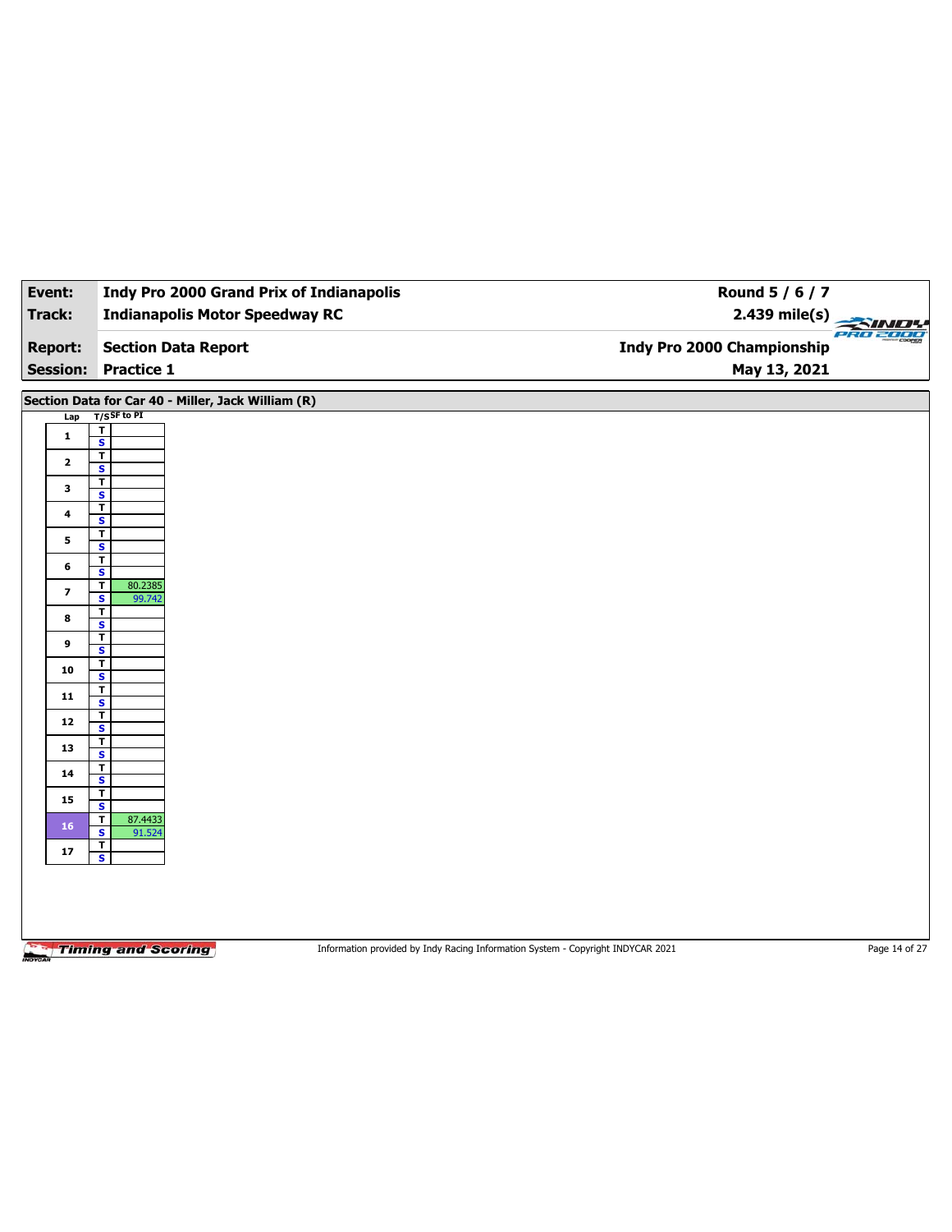| Event:                            | <b>Indy Pro 2000 Grand Prix of Indianapolis</b>    | Round 5 / 6 / 7                                                                 |               |
|-----------------------------------|----------------------------------------------------|---------------------------------------------------------------------------------|---------------|
| <b>Track:</b>                     | <b>Indianapolis Motor Speedway RC</b>              | $2.439$ mile(s)                                                                 | PRO 2000      |
| <b>Report:</b><br><b>Session:</b> | <b>Section Data Report</b><br><b>Practice 1</b>    | <b>Indy Pro 2000 Championship</b><br>May 13, 2021                               |               |
|                                   | Section Data for Car 40 - Miller, Jack William (R) |                                                                                 |               |
| Lap                               | $T/S$ SF to PI                                     |                                                                                 |               |
| $\mathbf{1}$                      | $\overline{\mathsf{r}}$<br>$\overline{\mathbf{s}}$ |                                                                                 |               |
| $\mathbf{2}$                      | $\overline{\mathsf{r}}$                            |                                                                                 |               |
|                                   | $\overline{\mathbf{s}}$<br>T                       |                                                                                 |               |
| 3                                 | $\overline{\mathbf{s}}$                            |                                                                                 |               |
| $\overline{\mathbf{4}}$           | T<br>S                                             |                                                                                 |               |
| 5                                 | T<br>$\overline{\mathbf{s}}$                       |                                                                                 |               |
| 6                                 | T                                                  |                                                                                 |               |
|                                   | $\overline{\mathbf{s}}$<br>T<br>80.2385            |                                                                                 |               |
| 7                                 | $\overline{\mathbf{s}}$<br>99.742<br>T             |                                                                                 |               |
| 8                                 | $\mathbf{s}$                                       |                                                                                 |               |
| 9                                 | $\mathbf T$<br>$\overline{\mathbf{s}}$             |                                                                                 |               |
| 10                                | T<br>$\overline{\mathbf{s}}$                       |                                                                                 |               |
| 11                                | T                                                  |                                                                                 |               |
|                                   | $\overline{\mathbf{s}}$<br>T                       |                                                                                 |               |
| 12                                | S                                                  |                                                                                 |               |
| 13                                | T<br>$\overline{\mathbf{s}}$                       |                                                                                 |               |
| 14                                | T<br>S                                             |                                                                                 |               |
| 15                                | т                                                  |                                                                                 |               |
| 16                                | $\overline{\mathbf{s}}$<br>T<br>87.4433            |                                                                                 |               |
|                                   | S<br>91.524<br>Τ                                   |                                                                                 |               |
| 17                                | $\overline{\mathbf{s}}$                            |                                                                                 |               |
|                                   |                                                    |                                                                                 |               |
|                                   |                                                    |                                                                                 |               |
|                                   |                                                    |                                                                                 |               |
|                                   | <b>Timing and Scoring</b>                          | Information provided by Indy Racing Information System - Copyright INDYCAR 2021 | Page 14 of 27 |
|                                   |                                                    |                                                                                 |               |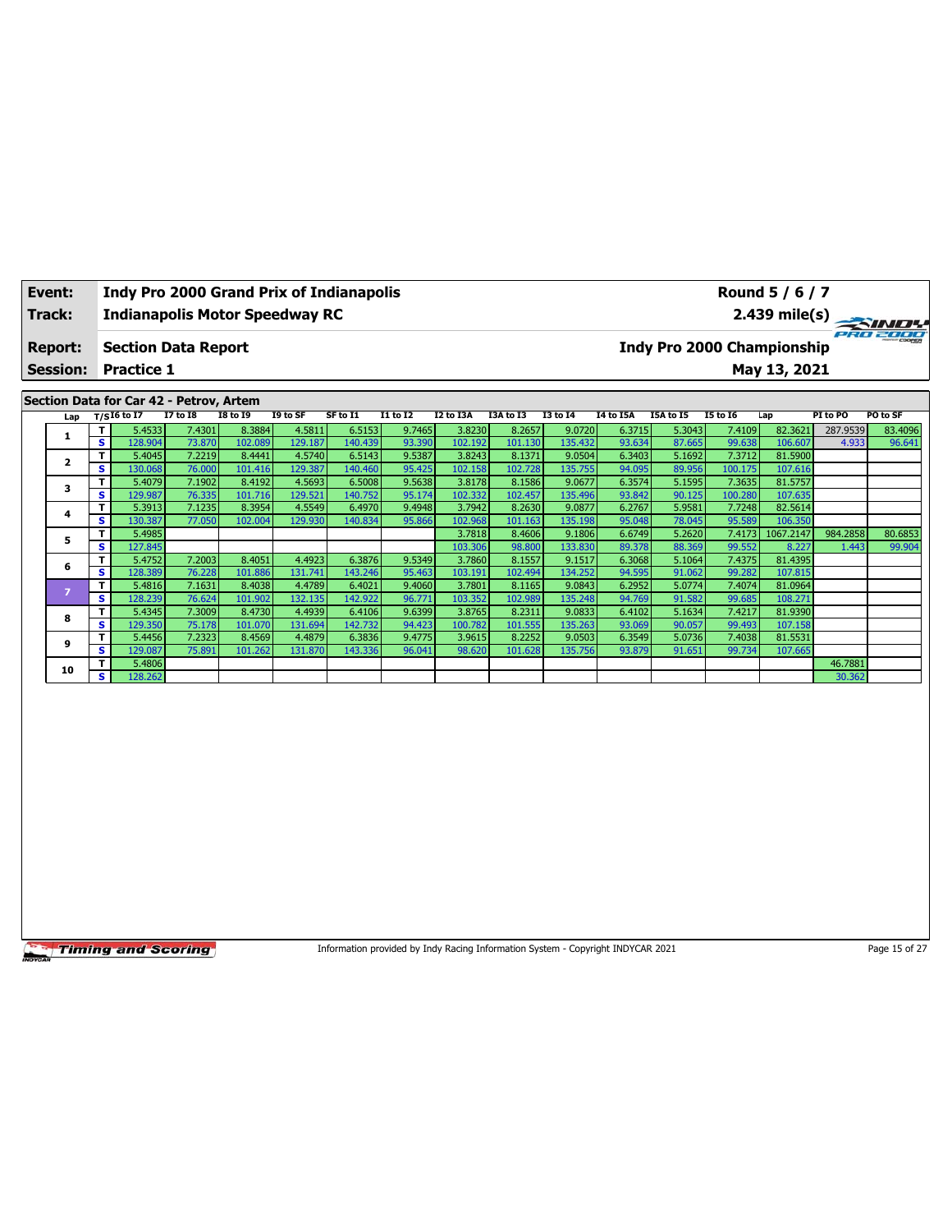| Event:                            |     |                                                 |                 | <b>Indy Pro 2000 Grand Prix of Indianapolis</b> |          |          |                 |           |           |                 |           |           |                            | Round 5 / 6 / 7 |          |                         |
|-----------------------------------|-----|-------------------------------------------------|-----------------|-------------------------------------------------|----------|----------|-----------------|-----------|-----------|-----------------|-----------|-----------|----------------------------|-----------------|----------|-------------------------|
| Track:                            |     |                                                 |                 | <b>Indianapolis Motor Speedway RC</b>           |          |          |                 |           |           |                 |           |           |                            |                 |          | $2.439 \text{ mile(s)}$ |
| <b>Report:</b><br><b>Session:</b> |     | <b>Section Data Report</b><br><b>Practice 1</b> |                 |                                                 |          |          |                 |           |           |                 |           |           | Indy Pro 2000 Championship | May 13, 2021    |          | PRO 2000                |
|                                   |     |                                                 |                 |                                                 |          |          |                 |           |           |                 |           |           |                            |                 |          |                         |
|                                   |     | Section Data for Car 42 - Petrov, Artem         |                 |                                                 |          |          |                 |           |           |                 |           |           |                            |                 |          |                         |
| Lap                               |     | T/SI6 to I7                                     | <b>I7 to I8</b> | <b>I8 to 19</b>                                 | I9 to SF | SF to I1 | <b>I1 to I2</b> | I2 to I3A | I3A to I3 | <b>I3 to 14</b> | I4 to I5A | I5A to I5 | <b>I5 to I6</b>            | Lap             | PI to PO | PO to SF                |
|                                   |     | 5.4533                                          | 7.4301          | 8.3884                                          | 4.5811   | 6.5153   | 9.7465          | 3.8230    | 8.2657    | 9.0720          | 6.3715    | 5.3043    | 7.4109                     | 82.3621         | 287.9539 | 83.4096                 |
|                                   | s l | 128.904                                         | 73.870          | 102.089                                         | 129.187  | 140.439  | 93.390          | 102.192   | 101.130   | 135.432         | 93.634    | 87.665    | 99.638                     | 106.607         | 4.933    | 96.641                  |
| $\overline{2}$                    |     | 5.4045                                          | 7.2219          | 8.4441                                          | 4.5740   | 6.5143   | 9.5387          | 3.8243    | 8.1371    | 9.0504          | 6.3403    | 5.1692    | 7.3712                     | 81.5900         |          |                         |
|                                   | s l | 130.068                                         | 76.000          | 101.416                                         | 129.387  | 140.460  | 95.425          | 102.158   | 102.728   | 135.755         | 94.095    | 89.956    | 100.175                    | 107.616         |          |                         |
| 3                                 |     | 5.4079                                          | 7.1902          | 8.4192                                          | 4.5693   | 6.5008   | 9.5638          | 3.8178    | 8.1586    | 9.0677          | 6.3574    | 5.1595    | 7.3635                     | 81.5757         |          |                         |
|                                   | s l | 129.987                                         | 76.335          | 101.716                                         | 129.521  | 140.752  | 95.174          | 102.332   | 102.457   | 135.496         | 93.842    | 90.125    | 100.280                    | 107.635         |          |                         |

**<sup>5</sup> <sup>T</sup>** 5.4985 3.7818 8.4606 9.1806 6.6749 5.2620 7.4173 1067.2147 984.2858 80.6853 **S** 127.845 103.306 98.800 133.830 89.378 88.369 99.552 8.227 1.443 99.904

**<sup>4</sup> <sup>T</sup>** 5.3913 7.1235 8.3954 4.5549 6.4970 9.4948 3.7942 8.2630 9.0877 6.2767 5.9581 7.7248 82.5614 **S** 130.387 77.050 102.004 129.930 140.834 95.866 102.968 101.163 135.198 95.048 78.045 95.589 106.350

**<sup>6</sup> <sup>T</sup>** 5.4752 7.2003 8.4051 4.4923 6.3876 9.5349 3.7860 8.1557 9.1517 6.3068 5.1064 7.4375 81.4395 **S** 128.389 76.228 101.886 131.741 143.246 95.463 103.191 102.494 134.252 94.595 91.062 99.282 107.815 **<sup>7</sup> <sup>T</sup>** 5.4816 7.1631 8.4038 4.4789 6.4021 9.4060 3.7801 8.1165 9.0843 6.2952 5.0774 7.4074 81.0964 **S** 128.239 76.624 101.902 132.135 142.922 96.771 103.352 102.989 135.248 94.769 91.582 99.685 108.271 **<sup>8</sup> <sup>T</sup>** 5.4345 7.3009 8.4730 4.4939 6.4106 9.6399 3.8765 8.2311 9.0833 6.4102 5.1634 7.4217 81.9390 **S** 129.350 75.178 101.070 131.694 142.732 94.423 100.782 101.555 135.263 93.069 90.057 99.493 107.158 **<sup>9</sup> <sup>T</sup>** 5.4456 7.2323 8.4569 4.4879 6.3836 9.4775 3.9615 8.2252 9.0503 6.3549 5.0736 7.4038 81.5531 **S** 129.087 75.891 101.262 131.870 143.336 96.041 98.620 101.628 135.756 93.879 91.651 99.734 107.665 **<sup>10</sup> <sup>T</sup>** 5.4806 46.7881 **S** 128.262 30.362

### Timing and Scoring

Information provided by Indy Racing Information System - Copyright INDYCAR 2021 Page 15 of 27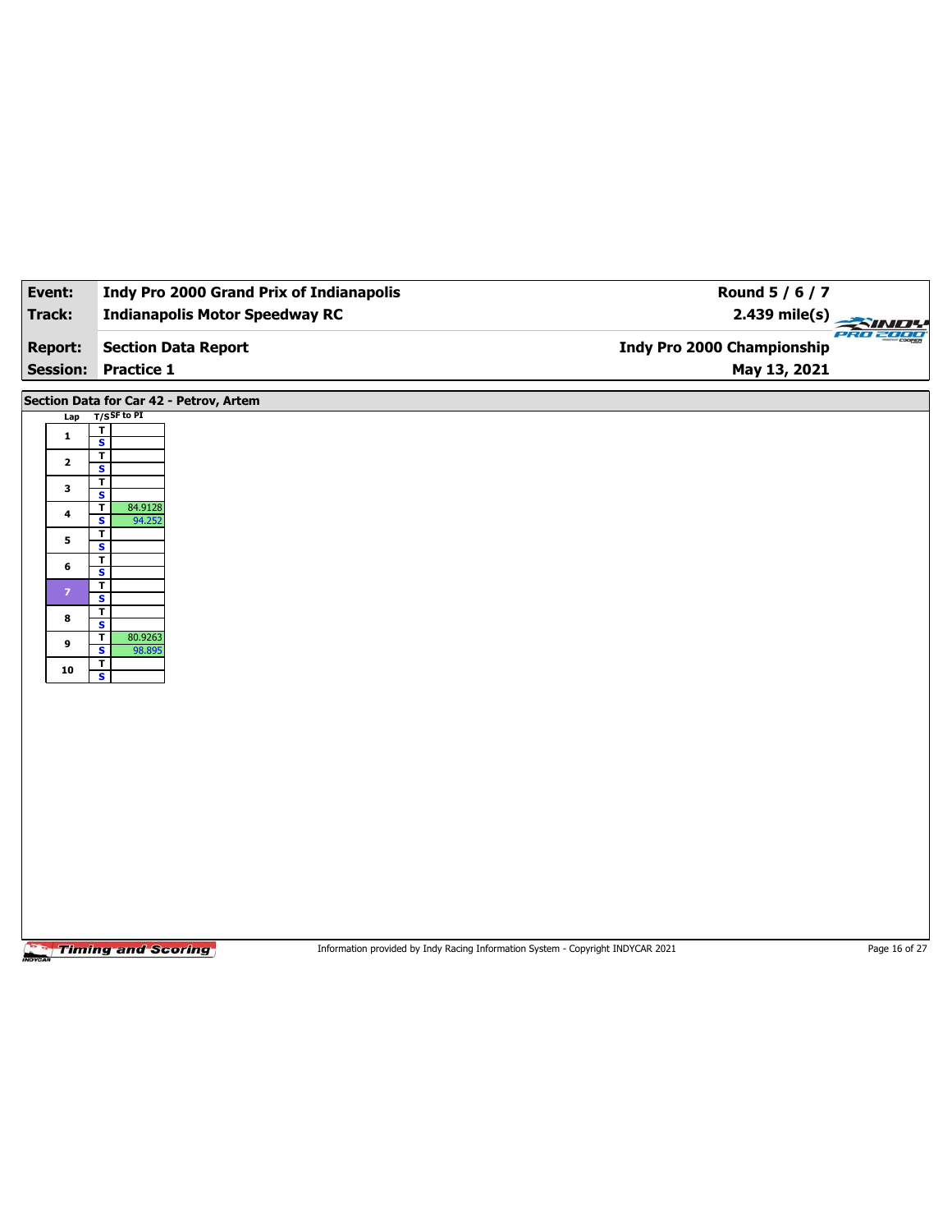| Event:                                                                                                     | <b>Indy Pro 2000 Grand Prix of Indianapolis</b>                                                                                                                                                                                                                                                                                                                    | Round 5 / 6 / 7                                                                 |               |
|------------------------------------------------------------------------------------------------------------|--------------------------------------------------------------------------------------------------------------------------------------------------------------------------------------------------------------------------------------------------------------------------------------------------------------------------------------------------------------------|---------------------------------------------------------------------------------|---------------|
| <b>Track:</b>                                                                                              | <b>Indianapolis Motor Speedway RC</b>                                                                                                                                                                                                                                                                                                                              | 2.439 mile(s)                                                                   |               |
| <b>Report:</b>                                                                                             | <b>Section Data Report</b>                                                                                                                                                                                                                                                                                                                                         | <b>Indy Pro 2000 Championship</b>                                               | PRO 2000      |
| <b>Session:</b>                                                                                            | <b>Practice 1</b>                                                                                                                                                                                                                                                                                                                                                  | May 13, 2021                                                                    |               |
| Lap<br>$\mathbf{1}$<br>$\mathbf{2}$<br>3<br>$\ddot{\phantom{a}}$<br>5<br>6<br>$\mathbf{7}$<br>8<br>9<br>10 | Section Data for Car 42 - Petrov, Artem<br>$T/S$ SF to PI<br>T.<br>$\overline{\mathbf{s}}$<br>$\overline{\mathbf{r}}$<br>S<br>T<br>$\overline{\mathbf{s}}$<br>T<br>84.9128<br>S<br>94.252<br>T<br>$\overline{\mathbf{s}}$<br>T<br>S<br>T<br>$\overline{\mathbf{s}}$<br>T<br>$\overline{\mathbf{s}}$<br>T<br>80.9263<br>$\overline{\mathbf{s}}$<br>98.895<br>T<br>S |                                                                                 |               |
|                                                                                                            | <b>Timing and Scoring</b>                                                                                                                                                                                                                                                                                                                                          | Information provided by Indy Racing Information System - Copyright INDYCAR 2021 | Page 16 of 27 |

 $\overline{\phantom{0}}$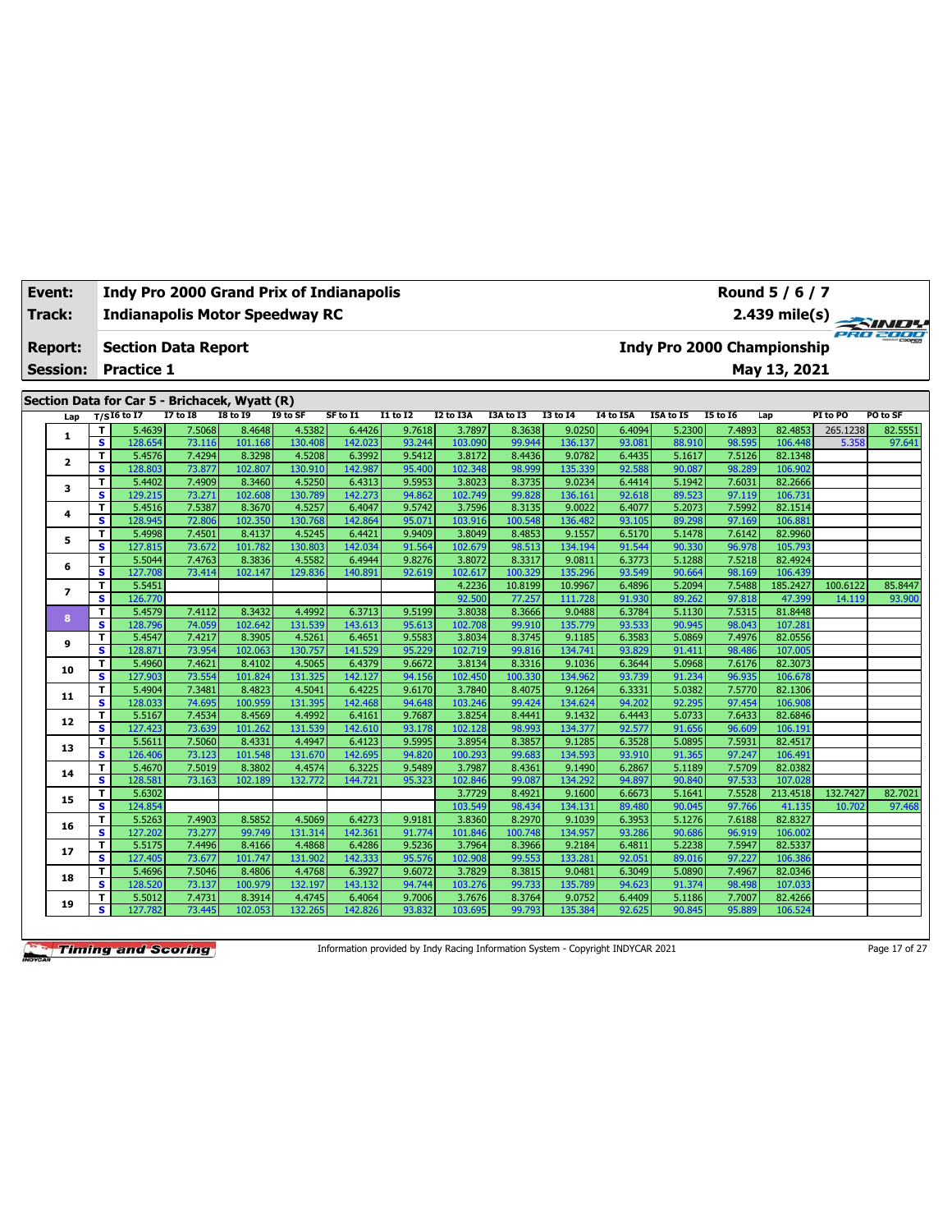| Track:                  |              |                            |                 | <b>Indianapolis Motor Speedway RC</b>         |          |          |                 |                  |           |                 |                  |                  |                                   |              |          | 2.439 mile(s) |
|-------------------------|--------------|----------------------------|-----------------|-----------------------------------------------|----------|----------|-----------------|------------------|-----------|-----------------|------------------|------------------|-----------------------------------|--------------|----------|---------------|
| <b>Report:</b>          |              | <b>Section Data Report</b> |                 |                                               |          |          |                 |                  |           |                 |                  |                  | <b>Indy Pro 2000 Championship</b> |              |          |               |
| <b>Session:</b>         |              | <b>Practice 1</b>          |                 |                                               |          |          |                 |                  |           |                 |                  |                  |                                   | May 13, 2021 |          |               |
|                         |              |                            |                 | Section Data for Car 5 - Brichacek, Wyatt (R) |          |          |                 |                  |           |                 |                  |                  |                                   |              |          |               |
| Lap                     |              | $T/SI6$ to I7              | <b>I7 to I8</b> | <b>I8 to 19</b>                               | I9 to SF | SF to I1 | <b>I1 to I2</b> | <b>I2 to I3A</b> | I3A to I3 | <b>I3 to 14</b> | <b>14 to 15A</b> | <b>I5A to I5</b> | <b>I5 to 16</b>                   | Lap          | PI to PO | PO to SF      |
| 1                       | т            | 5.4639                     | 7.5068          | 8.4648                                        | 4.5382   | 6.4426   | 9.7618          | 3.7897           | 8.3638    | 9.0250          | 6.4094           | 5.2300           | 7.4893                            | 82.4853      | 265.1238 | 82.5551       |
|                         | s            | 128.654                    | 73.116          | 101.168                                       | 130.408  | 142.023  | 93.244          | 103.090          | 99.944    | 136.137         | 93.081           | 88.910           | 98.595                            | 106.448      | 5.358    | 97.641        |
| $\overline{\mathbf{2}}$ | $\mathbf{T}$ | 5.4576                     | 7.4294          | 8.3298                                        | 4.5208   | 6.3992   | 9.5412          | 3.8172           | 8.4436    | 9.0782          | 6.4435           | 5.1617           | 7.5126                            | 82.1348      |          |               |
|                         | s            | 128.803                    | 73.877          | 102.807                                       | 130.910  | 142.987  | 95.400          | 102.348          | 98.999    | 135.339         | 92.588           | 90.087           | 98.289                            | 106.902      |          |               |
| 3                       | т            | 5.4402                     | 7.4909          | 8.3460                                        | 4.5250   | 6.4313   | 9.5953          | 3.8023           | 8.3735    | 9.0234          | 6.4414           | 5.1942           | 7.6031                            | 82.2666      |          |               |
|                         | s            | 129.215                    | 73.271          | 102.608                                       | 130.789  | 142.273  | 94.862          | 102.749          | 99.828    | 136.161         | 92.618           | 89.523           | 97.119                            | 106.731      |          |               |
| 4                       | T            | 5.4516                     | 7.5387          | 8.3670                                        | 4.5257   | 6.4047   | 9.5742          | 3.7596           | 8.3135    | 9.0022          | 6.4077           | 5.2073           | 7.5992                            | 82.1514      |          |               |
|                         | s            | 128.945                    | 72,806          | 102.350                                       | 130.768  | 142.864  | 95.071          | 103.916          | 100.548   | 136.482         | 93.105           | 89.298           | 97.169                            | 106.881      |          |               |
| 5                       | T            | 5.4998                     | 7.4501          | 8.4137                                        | 4.5245   | 6.4421   | 9.9409          | 3.8049           | 8.4853    | 9.1557          | 6.5170           | 5.1478           | 7.6142                            | 82.9960      |          |               |
|                         | s            | 127.815                    | 73.672          | 101.782                                       | 130.803  | 142.034  | 91.564          | 102.679          | 98.513    | 134.194         | 91.544           | 90.330           | 96.978                            | 105.793      |          |               |
| 6                       | т            | 5.5044                     | 7.4763          | 8.3836                                        | 4.5582   | 6.4944   | 9.8276          | 3.8072           | 8.3317    | 9.0811          | 6.3773           | 5.1288           | 7.5218                            | 82.4924      |          |               |
|                         | s            | 127,708                    | 73.414          | 102.147                                       | 129.836  | 140.891  | 92.619          | 102.617          | 100.329   | 135.296         | 93.549           | 90.664           | 98.169                            | 106.439      |          |               |
| 7                       | T            | 5.5451                     |                 |                                               |          |          |                 | 4.2236           | 10.8199   | 10.9967         | 6.4896           | 5.2094           | 7.5488                            | 185.2427     | 100.6122 | 85.8447       |
|                         | s            | 126.770                    |                 |                                               |          |          |                 | 92.500           | 77.257    | 111.728         | 91.930           | 89.262           | 97.818                            | 47.399       | 14.119   | 93.900        |
| 8                       | T            | 5.4579                     | 7.4112          | 8.3432                                        | 4.4992   | 6.3713   | 9.5199          | 3.8038           | 8.3666    | 9.0488          | 6.3784           | 5.1130           | 7.5315                            | 81.8448      |          |               |
|                         | s            | 128.796                    | 74.059          | 102.642                                       | 131.539  | 143.613  | 95.613          | 102.708          | 99.910    | 135,779         | 93.533           | 90.945           | 98.043                            | 107.281      |          |               |
| 9                       | T.           | 5.4547                     | 7.4217          | 8.3905                                        | 4.5261   | 6.4651   | 9.5583          | 3.8034           | 8.3745    | 9.1185          | 6.3583           | 5.0869           | 7.4976                            | 82.0556      |          |               |
|                         | s            | 128,871                    | 73.954          | 102.063                                       | 130.757  | 141.529  | 95.229          | 102.719          | 99.816    | 134.741         | 93.829           | 91.411           | 98.486                            | 107.005      |          |               |
| 10                      | T.           | 5.4960                     | 7.4621          | 8.4102                                        | 4.5065   | 6.4379   | 9.6672          | 3.8134           | 8.3316    | 9.1036          | 6.3644           | 5.0968           | 7.6176                            | 82.3073      |          |               |
|                         | s            | 127.903                    | 73.554          | 101.824                                       | 131.325  | 142.127  | 94.156          | 102.450          | 100.330   | 134.962         | 93.739           | 91.234           | 96.935                            | 106.678      |          |               |
| 11                      | т            | 5.4904                     | 7.3481          | 8.4823                                        | 4.5041   | 6.4225   | 9.6170          | 3.7840           | 8.4075    | 9.1264          | 6.3331           | 5.0382           | 7.5770                            | 82.1306      |          |               |
|                         | s            | 128.033                    | 74.695          | 100.959                                       | 131.395  | 142.468  | 94.648          | 103.246          | 99.424    | 134.624         | 94.202           | 92.295           | 97.454                            | 106.908      |          |               |
| 12                      | T            | 5.5167                     | 7.4534          | 8.4569                                        | 4.4992   | 6.4161   | 9.7687          | 3.8254           | 8.4441    | 9.1432          | 6.4443           | 5.0733           | 7.6433                            | 82.6846      |          |               |
|                         | s            | 127.423                    | 73.639          | 101.262                                       | 131.539  | 142.610  | 93.178          | 102.128          | 98.993    | 134.377         | 92.577           | 91.656           | 96.609                            | 106.191      |          |               |
| 13                      | т            | 5.5611                     | 7.5060          | 8.4331                                        | 4.4947   | 6.4123   | 9.5995          | 3.8954           | 8.3857    | 9.1285          | 6.3528           | 5.0895           | 7.5931                            | 82.4517      |          |               |
|                         | s            | 126.406                    | 73.123          | 101.548                                       | 131.670  | 142.695  | 94.820          | 100.293          | 99.683    | 134.593         | 93.910           | 91.365           | 97.247                            | 106.491      |          |               |

**<sup>14</sup> <sup>T</sup>** 5.4670 7.5019 8.3802 4.4574 6.3225 9.5489 3.7987 8.4361 9.1490 6.2867 5.1189 7.5709 82.0382 **S** 128.581 73.163 102.189 132.772 144.721 95.323 102.846 99.087 134.292 94.897 90.840 97.533 107.028

**<sup>16</sup> <sup>T</sup>** 5.5263 7.4903 8.5852 4.5069 6.4273 9.9181 3.8360 8.2970 9.1039 6.3953 5.1276 7.6188 82.8327 **S** 127.202 73.277 99.749 131.314 142.361 91.774 101.846 100.748 134.957 93.286 90.686 96.919 106.002 **<sup>17</sup> <sup>T</sup>** 5.5175 7.4496 8.4166 4.4868 6.4286 9.5236 3.7964 8.3966 9.2184 6.4811 5.2238 7.5947 82.5337 **S** 127.405 73.677 101.747 131.902 142.333 95.576 102.908 99.553 133.281 92.051 89.016 97.227 106.386 **<sup>18</sup> <sup>T</sup>** 5.4696 7.5046 8.4806 4.4768 6.3927 9.6072 3.7829 8.3815 9.0481 6.3049 5.0890 7.4967 82.0346 **S** 128.520 73.137 100.979 132.197 143.132 94.744 103.276 99.733 135.789 94.623 91.374 98.498 107.033 **<sup>19</sup> <sup>T</sup>** 5.5012 7.4731 8.3914 4.4745 6.4064 9.7006 3.7676 8.3764 9.0752 6.4409 5.1186 7.7007 82.4266 **S** 127.782 73.445 102.053 132.265 142.826 93.832 103.695 99.793 135.384 92.625 90.845 95.889 106.524

**Event: Indy Pro 2000 Grand Prix of Indianapolis**

**Timing and Scoring** 

Information provided by Indy Racing Information System - Copyright INDYCAR 2021 Page 17 of 27

**15 T** 5.6302 3.7729 8.9221 8.49221 8.49221 9.1600 6.6673 5.1600 6.6673 5.1600 6.6673 5.5528 213.4518 132.7427 82.74221 82.74221 8.2.74221 8.2.74221 8.2.74221 8.2.74221 8.2.74221 8.2.74221 8.2.74221 8.2.74221 8.2.74221 8 **S** 124.854 103.549 98.434 134.131 89.480 90.045 97.766 41.135 10.702 97.468



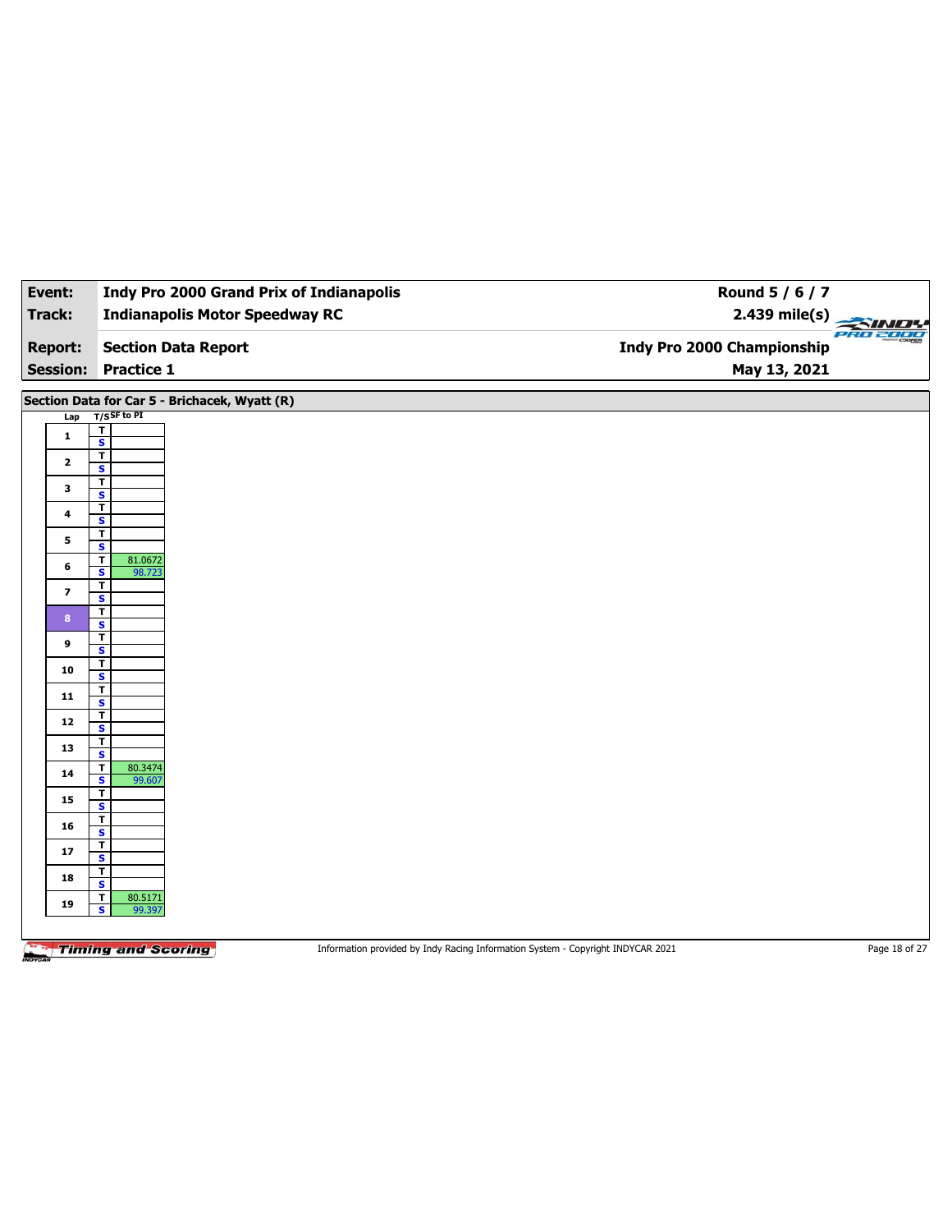| Event:                  | <b>Indy Pro 2000 Grand Prix of Indianapolis</b>                                                              | Round 5 / 6 / 7                   |  |
|-------------------------|--------------------------------------------------------------------------------------------------------------|-----------------------------------|--|
| Track:                  | <b>Indianapolis Motor Speedway RC</b>                                                                        | $2.439$ mile(s)<br>PRO 2000       |  |
| <b>Report:</b>          | <b>Section Data Report</b>                                                                                   | <b>Indy Pro 2000 Championship</b> |  |
| <b>Session:</b>         | <b>Practice 1</b>                                                                                            | May 13, 2021                      |  |
|                         |                                                                                                              |                                   |  |
|                         | Section Data for Car 5 - Brichacek, Wyatt (R)                                                                |                                   |  |
| Lap                     | $T/S$ SF to PI<br>$\mathbf T$                                                                                |                                   |  |
| $\mathbf{1}$            | $\overline{\mathbf{s}}$                                                                                      |                                   |  |
| $\mathbf{2}$            | $\overline{\mathbf{r}}$<br>$\overline{\mathbf{s}}$                                                           |                                   |  |
| 3                       | $\mathbf T$                                                                                                  |                                   |  |
|                         | $\overline{\mathbf{s}}$<br>$\mathbf{T}$                                                                      |                                   |  |
| 4                       | S                                                                                                            |                                   |  |
| 5                       | T<br>$\overline{\mathbf{s}}$                                                                                 |                                   |  |
| 6                       | $\overline{\mathsf{r}}$<br>81.0672                                                                           |                                   |  |
|                         | $\mathbf{s}$<br>98.723<br>$\overline{\mathbf{r}}$                                                            |                                   |  |
| $\overline{\mathbf{z}}$ | $\overline{\mathbf{s}}$                                                                                      |                                   |  |
| $\bf 8$                 | $\overline{\mathsf{r}}$                                                                                      |                                   |  |
|                         | S<br>$\overline{1}$                                                                                          |                                   |  |
| 9                       | $\overline{\mathbf{s}}$                                                                                      |                                   |  |
| 10                      | $\overline{\mathbf{r}}$<br>$\overline{\mathbf{s}}$                                                           |                                   |  |
| 11                      | $\mathbf{T}$                                                                                                 |                                   |  |
|                         | $\overline{\mathbf{s}}$<br>$\overline{\mathbf{r}}$                                                           |                                   |  |
| 12                      | $\overline{\mathbf{s}}$                                                                                      |                                   |  |
| 13                      | $\mathbf T$<br>$\overline{\mathbf{s}}$                                                                       |                                   |  |
| 14                      | T<br>80.3474                                                                                                 |                                   |  |
|                         | $\overline{\mathbf{s}}$<br>99.607<br>$\mathbf T$                                                             |                                   |  |
| 15                      | $\overline{\mathbf{s}}$                                                                                      |                                   |  |
| 16                      | T                                                                                                            |                                   |  |
|                         | S<br>$\overline{1}$                                                                                          |                                   |  |
| 17                      | $\overline{\mathbf{s}}$                                                                                      |                                   |  |
| 18                      | T<br>S                                                                                                       |                                   |  |
| 19                      | $\mathbf T$<br>80.5171                                                                                       |                                   |  |
|                         | $\overline{\mathbf{s}}$<br>99.397                                                                            |                                   |  |
|                         |                                                                                                              |                                   |  |
|                         | <b>Timing and Scoring</b><br>Information provided by Indy Racing Information System - Copyright INDYCAR 2021 | Page 18 of 27                     |  |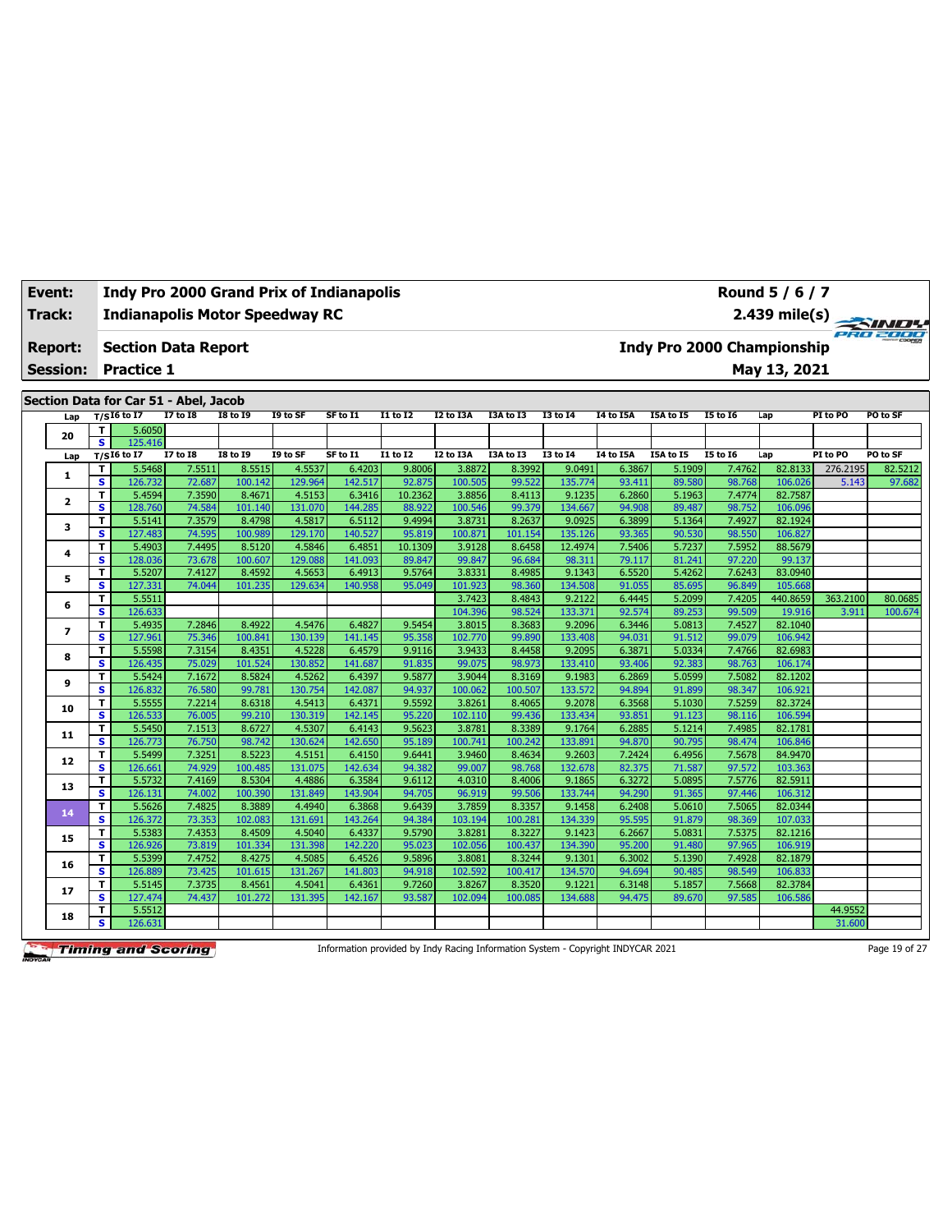#### **Indianapolis Motor Speedway RC Section Data Report Event: Indy Pro 2000 Grand Prix of Indianapolis Track: Report:**

**Session: Practice 1**

**Section Data for Car 51 - Abel, Jacob**

| Lap                     |                         | $T/SI6$ to I7   | <b>I7 to I8</b> | <b>18 to 19</b> | I9 to SF | SF to I1 | I1 to I2        | <b>I2 to I3A</b> | I3A to I3 | I3 to 14        | <b>I4 to I5A</b> | I5A to I5 | <b>I5 to 16</b> | Lap      | PI to PO | PO to SF |
|-------------------------|-------------------------|-----------------|-----------------|-----------------|----------|----------|-----------------|------------------|-----------|-----------------|------------------|-----------|-----------------|----------|----------|----------|
|                         | T.                      | 5.6050          |                 |                 |          |          |                 |                  |           |                 |                  |           |                 |          |          |          |
| 20                      | $\overline{\mathbf{s}}$ | 125.416         |                 |                 |          |          |                 |                  |           |                 |                  |           |                 |          |          |          |
| Lap                     |                         | $T/SI6$ to $I7$ | <b>I7 to I8</b> | <b>I8 to 19</b> | I9 to SF | SF to I1 | <b>I1 to I2</b> | I2 to I3A        | I3A to I3 | <b>I3 to 14</b> | <b>I4 to I5A</b> | I5A to I5 | <b>I5 to 16</b> | Lap      | PI to PO | PO to SF |
| 1                       | T                       | 5.5468          | 7.5511          | 8.5515          | 4.5537   | 6.4203   | 9.8006          | 3.8872           | 8.3992    | 9.0491          | 6.3867           | 5.1909    | 7.4762          | 82.8133  | 276.2195 | 82.5212  |
|                         | $\mathbf{s}$            | 126.732         | 72.687          | 100.142         | 129.964  | 142.517  | 92.875          | 100.505          | 99.522    | 135,774         | 93.411           | 89.580    | 98.768          | 106.026  | 5.143    | 97.682   |
| $\overline{\mathbf{2}}$ | T.                      | 5.4594          | 7.3590          | 8.4671          | 4.5153   | 6.3416   | 10.2362         | 3.8856           | 8.4113    | 9.1235          | 6.2860           | 5.1963    | 7.4774          | 82.7587  |          |          |
|                         | $\mathbf{s}$            | 128.760         | 74.584          | 101.140         | 131.070  | 144.285  | 88.922          | 100.546          | 99.379    | 134.667         | 94.908           | 89.487    | 98.752          | 106.096  |          |          |
| 3                       | т                       | 5.5141          | 7.3579          | 8.4798          | 4.5817   | 6.5112   | 9.4994          | 3.8731           | 8.2637    | 9.0925          | 6.3899           | 5.1364    | 7.4927          | 82.1924  |          |          |
|                         | s                       | 127.483         | 74.595          | 100.989         | 129.170  | 140.527  | 95.819          | 100.871          | 101.154   | 135.126         | 93.365           | 90.530    | 98.550          | 106.827  |          |          |
| 4                       | T                       | 5.4903          | 7.4495          | 8.5120          | 4.5846   | 6.4851   | 10.1309         | 3.9128           | 8.6458    | 12.4974         | 7.5406           | 5.7237    | 7.5952          | 88.5679  |          |          |
|                         | s                       | 128.036         | 73.678          | 100.607         | 129.088  | 141.093  | 89.847          | 99.847           | 96.684    | 98.311          | 79.117           | 81.241    | 97.220          | 99.137   |          |          |
| 5                       | T                       | 5.5207          | 7.4127          | 8.4592          | 4.5653   | 6.4913   | 9.5764          | 3.8331           | 8.4985    | 9.1343          | 6.5520           | 5.4262    | 7.6243          | 83.0940  |          |          |
|                         | s                       | 127.331         | 74.044          | 101.235         | 129.634  | 140.958  | 95.049          | 101.923          | 98.360    | 134.508         | 91.055           | 85.695    | 96.849          | 105.668  |          |          |
| 6                       | T                       | 5.5511          |                 |                 |          |          |                 | 3.7423           | 8.4843    | 9.2122          | 6.4445           | 5.2099    | 7.4205          | 440.8659 | 363.2100 | 80.0685  |
|                         | s                       | 126.633         |                 |                 |          |          |                 | 104.396          | 98.524    | 133.371         | 92.574           | 89.253    | 99.509          | 19.916   | 3.911    | 100.674  |
| 7                       | T                       | 5.4935          | 7.2846          | 8.4922          | 4.5476   | 6.4827   | 9.5454          | 3.8015           | 8.3683    | 9.2096          | 6.3446           | 5.0813    | 7.4527          | 82.1040  |          |          |
|                         | $\mathbf{s}$            | 127.961         | 75.346          | 100.841         | 130.139  | 141.145  | 95.358          | 102.770          | 99.890    | 133.408         | 94.031           | 91.512    | 99.079          | 106.942  |          |          |
| 8                       | T                       | 5.5598          | 7.3154          | 8.4351          | 4.5228   | 6.4579   | 9.9116          | 3.9433           | 8.4458    | 9.2095          | 6.3871           | 5.0334    | 7.4766          | 82.6983  |          |          |
|                         | $\mathbf{s}$            | 126.435         | 75.029          | 101.524         | 130.852  | 141.687  | 91.835          | 99.075           | 98.973    | 133.410         | 93.406           | 92.383    | 98.763          | 106.174  |          |          |
| 9                       | т                       | 5.5424          | 7.1672          | 8.5824          | 4.5262   | 6.4397   | 9.5877          | 3.9044           | 8.3169    | 9.1983          | 6.2869           | 5.0599    | 7.5082          | 82.1202  |          |          |
|                         | s                       | 126.832         | 76.580          | 99.781          | 130.754  | 142.087  | 94.937          | 100.062          | 100.507   | 133.572         | 94.894           | 91.899    | 98.347          | 106.921  |          |          |
| 10                      | T                       | 5.5555          | 7.2214          | 8.6318          | 4.5413   | 6.4371   | 9.5592          | 3.8261           | 8.4065    | 9.2078          | 6.3568           | 5.1030    | 7.5259          | 82.3724  |          |          |
|                         | s                       | 126.533         | 76.005          | 99.210          | 130.319  | 142.145  | 95.220          | 102.110          | 99.436    | 133.434         | 93.851           | 91.123    | 98.116          | 106.594  |          |          |
| 11                      | T                       | 5.5450          | 7.1513          | 8.6727          | 4.5307   | 6.4143   | 9.5623          | 3.8781           | 8.3389    | 9.1764          | 6.2885           | 5.1214    | 7.4985          | 82.1781  |          |          |
|                         | S                       | 126.773         | 76.750          | 98.742          | 130.624  | 142.650  | 95.189          | 100.741          | 100.242   | 133.891         | 94.870           | 90.795    | 98.474          | 106.846  |          |          |
| 12                      | T                       | 5.5499          | 7.3251          | 8.5223          | 4.5151   | 6.4150   | 9.6441          | 3.9460           | 8.4634    | 9.2603          | 7.2424           | 6.4956    | 7.5678          | 84.9470  |          |          |
|                         | s                       | 126.661         | 74.929          | 100.485         | 131.075  | 142.634  | 94.382          | 99.007           | 98.768    | 132.678         | 82.375           | 71.587    | 97.572          | 103.363  |          |          |
| 13                      | T                       | 5.5732          | 7.4169          | 8.5304          | 4.4886   | 6.3584   | 9.6112          | 4.0310           | 8.4006    | 9.1865          | 6.3272           | 5.0895    | 7.5776          | 82.5911  |          |          |
|                         | s                       | 126.131         | 74.002          | 100.390         | 131.849  | 143.904  | 94.705          | 96.919           | 99.506    | 133.744         | 94.290           | 91.365    | 97.446          | 106.312  |          |          |
| 14                      | $\mathbf{T}$            | 5.5626          | 7.4825          | 8.3889          | 4.4940   | 6.3868   | 9.6439          | 3.7859           | 8.3357    | 9.1458          | 6.2408           | 5.0610    | 7.5065          | 82.0344  |          |          |
|                         | s                       | 126.372         | 73.353          | 102.083         | 131.691  | 143.264  | 94.384          | 103.194          | 100.281   | 134.339         | 95.595           | 91.879    | 98.369          | 107.033  |          |          |
| 15                      | т                       | 5.5383          | 7.4353          | 8.4509          | 4.5040   | 6.4337   | 9.5790          | 3.8281           | 8.3227    | 9.1423          | 6.2667           | 5.0831    | 7.5375          | 82.1216  |          |          |
|                         | $\overline{\mathbf{s}}$ | 126.926         | 73.819          | 101.334         | 131.398  | 142.220  | 95.023          | 102.056          | 100.437   | 134.390         | 95.200           | 91.480    | 97.965          | 106.919  |          |          |
| 16                      | T.                      | 5.5399          | 7.4752          | 8.4275          | 4.5085   | 6.4526   | 9.5896          | 3.8081           | 8.3244    | 9.1301          | 6.3002           | 5.1390    | 7.4928          | 82.1879  |          |          |
|                         | $\mathbf{s}$            | 126.889         | 73.425          | 101.615         | 131.267  | 141.803  | 94.918          | 102.592          | 100.417   | 134.570         | 94.694           | 90.485    | 98.549          | 106.833  |          |          |
| 17                      | T                       | 5.5145          | 7.3735          | 8.4561          | 4.5041   | 6.4361   | 9.7260          | 3.8267           | 8.3520    | 9.1221          | 6.3148           | 5.1857    | 7.5668          | 82.3784  |          |          |
|                         | s                       | 127.474         | 74.437          | 101.272         | 131.395  | 142.167  | 93.587          | 102.094          | 100.085   | 134.688         | 94.475           | 89.670    | 97.585          | 106.586  |          |          |
| 18                      | T                       | 5.5512          |                 |                 |          |          |                 |                  |           |                 |                  |           |                 |          | 44.9552  |          |
|                         | s                       | 126.631         |                 |                 |          |          |                 |                  |           |                 |                  |           |                 |          | 31.600   |          |

**Timing and Scoring** 

Information provided by Indy Racing Information System - Copyright INDYCAR 2021 Page 19 of 27

**2.439 mile(s)**

WU

**Indy Pro 2000 Championship**

**May 13, 2021**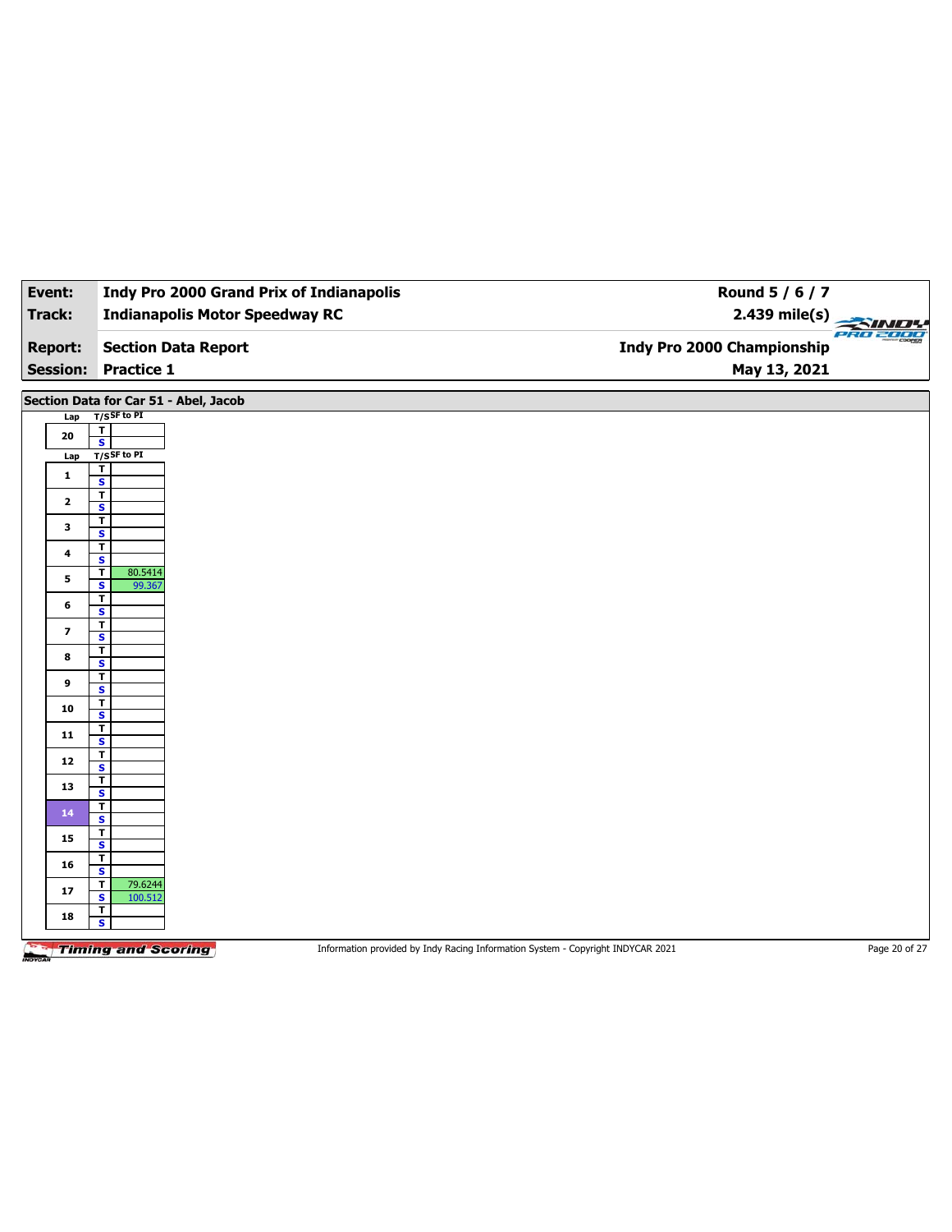| Event:                  | <b>Indy Pro 2000 Grand Prix of Indianapolis</b>                          | Round 5 / 6 / 7                                                                 |               |
|-------------------------|--------------------------------------------------------------------------|---------------------------------------------------------------------------------|---------------|
| Track:                  | <b>Indianapolis Motor Speedway RC</b>                                    | 2.439 mile(s)                                                                   |               |
| <b>Report:</b>          | <b>Section Data Report</b>                                               | <b>Indy Pro 2000 Championship</b>                                               | PRO 2000      |
| <b>Session:</b>         | <b>Practice 1</b>                                                        | May 13, 2021                                                                    |               |
|                         | Section Data for Car 51 - Abel, Jacob                                    |                                                                                 |               |
| Lap                     | $T/S$ SF to PI                                                           |                                                                                 |               |
| 20                      | $\mathbf T$<br>$\overline{\mathbf{s}}$                                   |                                                                                 |               |
| Lap                     | T/SSF to PI                                                              |                                                                                 |               |
| $\mathbf{1}$            | T<br>$\mathbf{s}$                                                        |                                                                                 |               |
| $\mathbf{2}$            | $\overline{1}$                                                           |                                                                                 |               |
|                         | $\overline{\mathbf{s}}$<br>$\overline{\mathbf{r}}$                       |                                                                                 |               |
| $\mathbf{3}$            | S                                                                        |                                                                                 |               |
| 4                       | $\overline{\mathbf{r}}$                                                  |                                                                                 |               |
|                         | $\overline{\mathbf{s}}$<br>80.5414<br>$\overline{\mathbf{r}}$            |                                                                                 |               |
| 5                       | $\overline{\mathbf{s}}$<br>99.367                                        |                                                                                 |               |
| 6                       | $\overline{\mathbf{r}}$<br>$\mathsf{s}$                                  |                                                                                 |               |
| $\overline{\mathbf{z}}$ | $\overline{\mathsf{r}}$                                                  |                                                                                 |               |
|                         | $\mathbf{s}$<br>$\overline{\mathbf{r}}$                                  |                                                                                 |               |
| 8                       | $\overline{\mathbf{s}}$                                                  |                                                                                 |               |
| 9                       | T<br>$\mathbf{s}$                                                        |                                                                                 |               |
|                         | $\overline{\mathbf{r}}$                                                  |                                                                                 |               |
| 10                      | $\overline{\mathbf{s}}$                                                  |                                                                                 |               |
| 11                      | T<br>S                                                                   |                                                                                 |               |
| 12                      | $\overline{\mathbf{r}}$                                                  |                                                                                 |               |
|                         | $\mathbf{s}$<br>$\overline{\mathbf{r}}$                                  |                                                                                 |               |
| 13                      | $\overline{\mathbf{s}}$                                                  |                                                                                 |               |
| 14                      | $\overline{\mathbf{r}}$<br>S                                             |                                                                                 |               |
|                         | $\overline{\mathbf{r}}$                                                  |                                                                                 |               |
| 15                      | $\mathbf{s}$                                                             |                                                                                 |               |
| 16                      | $\overline{\mathbf{r}}$<br>$\mathsf{s}$                                  |                                                                                 |               |
| 17                      | 79.6244<br>$\overline{\mathbf{r}}$<br>$\overline{\mathbf{s}}$<br>100.512 |                                                                                 |               |
| 18                      | $\overline{\mathsf{r}}$                                                  |                                                                                 |               |
|                         | S                                                                        |                                                                                 |               |
|                         | <b>Timing and Scoring</b>                                                | Information provided by Indy Racing Information System - Copyright INDYCAR 2021 | Page 20 of 27 |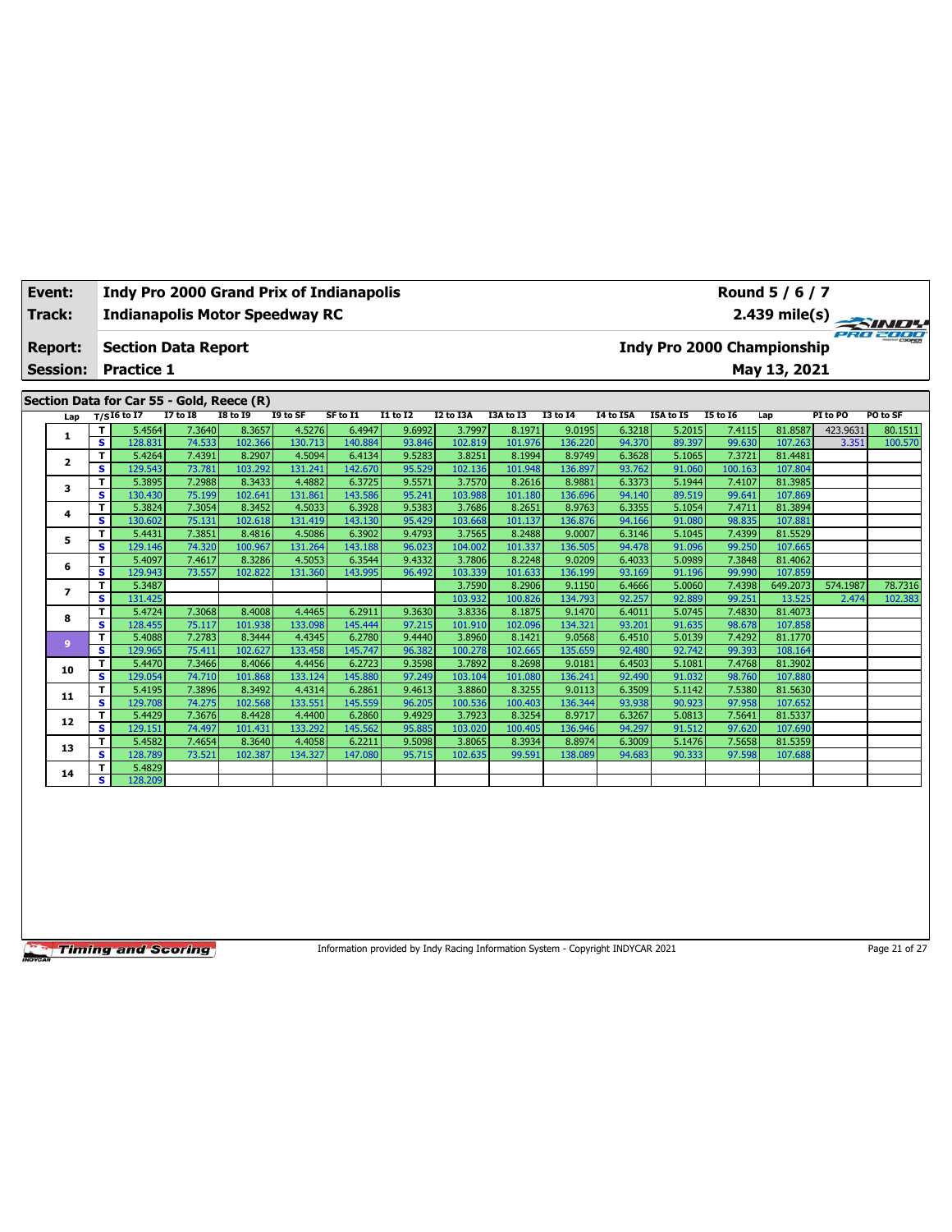| Event:<br>Track:           |                              | <b>Indianapolis Motor Speedway RC</b>           |                  |                   |                   | <b>Indy Pro 2000 Grand Prix of Indianapolis</b> |                  |                   |                   |                   |                  |                  |                                   | Round 5 / 6 / 7    |          |               |
|----------------------------|------------------------------|-------------------------------------------------|------------------|-------------------|-------------------|-------------------------------------------------|------------------|-------------------|-------------------|-------------------|------------------|------------------|-----------------------------------|--------------------|----------|---------------|
| Report:<br><b>Session:</b> |                              | <b>Section Data Report</b><br><b>Practice 1</b> |                  |                   |                   |                                                 |                  |                   |                   |                   |                  |                  | <b>Indy Pro 2000 Championship</b> | May 13, 2021       |          | 2.439 mile(s) |
|                            |                              | Section Data for Car 55 - Gold, Reece (R)       |                  |                   |                   |                                                 |                  |                   |                   |                   |                  |                  |                                   |                    |          |               |
| Lap                        |                              | $T/SI6$ to I7                                   | <b>I7 to I8</b>  | <b>I8 to I9</b>   | I9 to SF          | SF to I1                                        | $I1$ to $I2$     | I2 to I3A         | I3A to I3         | <b>I3 to 14</b>   | <b>I4 to I5A</b> | I5A to I5        | <b>I5 to 16</b>                   | Lap                | PI to PO | PO to SF      |
| 1                          | т                            | 5.4564                                          | 7.3640           | 8.3657            | 4.5276            | 6.4947                                          | 9.6992           | 3.7997            | 8.1971            | 9.0195            | 6.3218           | 5.2015           | 7.4115                            | 81.8587            | 423.9631 | 80.1511       |
|                            | s                            | 128.831                                         | 74.533           | 102.366           | 130.713           | 140.884                                         | 93.846           | 102.819           | 101.976           | 136.220           | 94.370           | 89.397           | 99.630                            | 107.263            | 3.351    | 100.570       |
| $\overline{\mathbf{2}}$    | T                            | 5.4264                                          | 7.4391           | 8.2907            | 4.5094            | 6.4134                                          | 9.5283           | 3.8251            | 8.1994            | 8.9749            | 6.3628           | 5.1065           | 7.3721                            | 81.4481            |          |               |
|                            | s                            | 129.543                                         | 73.781           | 103.292           | 131.241           | 142.670                                         | 95.529           | 102.136           | 101.948           | 136.897           | 93.762           | 91.060           | 100.163                           | 107.804            |          |               |
| 3                          | T<br>$\overline{\mathbf{s}}$ | 5.3895                                          | 7.2988           | 8.3433            | 4.4882            | 6.3725                                          | 9.5571           | 3.7570            | 8.2616            | 8.9881            | 6.3373           | 5.1944           | 7.4107                            | 81.3985            |          |               |
|                            | т                            | 130.430<br>5.3824                               | 75.199<br>7.3054 | 102.641<br>8.3452 | 131.861<br>4.5033 | 143.586<br>6.3928                               | 95.241<br>9.5383 | 103.988<br>3.7686 | 101.180<br>8.2651 | 136.696<br>8.9763 | 94.140<br>6.3355 | 89.519<br>5.1054 | 99.641<br>7.4711                  | 107.869<br>81.3894 |          |               |
| 4                          | s                            | 130.602                                         | 75.131           | 102.618           | 131.419           | 143.130                                         | 95.429           | 103.668           | 101.137           | 136.876           | 94.166           | 91.080           | 98.835                            | 107.881            |          |               |
|                            | т                            | 5.4431                                          | 7.3851           | 8.4816            | 4.5086            | 6.3902                                          | 9.4793           | 3.7565            | 8.2488            | 9.0007            | 6.3146           | 5.1045           | 7.4399                            | 81.5529            |          |               |
| 5                          | s                            | 129.146                                         | 74.320           | 100.967           | 131.264           | 143.188                                         | 96.023           | 104.002           | 101.337           | 136.505           | 94.478           | 91.096           | 99.250                            | 107.665            |          |               |
|                            | т                            | 5.4097                                          | 7.4617           | 8.3286            | 4.5053            | 6.3544                                          | 9.4332           | 3.7806            | 8.2248            | 9.0209            | 6.4033           | 5.0989           | 7.3848                            | 81.4062            |          |               |
| 6                          | s                            | 129.943                                         | 73.557           | 102.822           | 131.360           | 143.995                                         | 96.492           | 103.339           | 101.633           | 136.199           | 93.169           | 91.196           | 99.990                            | 107.859            |          |               |
|                            | т                            | 5.3487                                          |                  |                   |                   |                                                 |                  | 3.7590            | 8.2906            | 9.1150            | 6.4666           | 5.0060           | 7.4398                            | 649.2073           | 574.1987 | 78.7316       |
| $\overline{\phantom{a}}$   | s                            | 131.425                                         |                  |                   |                   |                                                 |                  | 103.932           | 100.826           | 134.793           | 92.257           | 92.889           | 99.251                            | 13.525             | 2.474    | 102.383       |
|                            | т                            | 5.4724                                          | 7.3068           | 8.4008            | 4.4465            | 6.2911                                          | 9.3630           | 3.8336            | 8.1875            | 9.1470            | 6.4011           | 5.0745           | 7.4830                            | 81.4073            |          |               |
| 8                          | s                            | 128.455                                         | 75.117           | 101.938           | 133.098           | 145.444                                         | 97.215           | 101.910           | 102.096           | 134.321           | 93.201           | 91.635           | 98.678                            | 107.858            |          |               |
|                            | T                            | 5.4088                                          | 7.2783           | 8.3444            | 4.4345            | 6.2780                                          | 9.4440           | 3.8960            | 8.1421            | 9.0568            | 6.4510           | 5.0139           | 7.4292                            | 81.1770            |          |               |
| $\overline{9}$             | s                            | 129.965                                         | 75.411           | 102.627           | 133.458           | 145.747                                         | 96.382           | 100.278           | 102.665           | 135.659           | 92.480           | 92.742           | 99.393                            | 108.164            |          |               |
|                            | т                            | 5.4470                                          | 7.3466           | 8.4066            | 4.4456            | 6.2723                                          | 9.3598           | 3.7892            | 8.2698            | 9.0181            | 6.4503           | 5.1081           | 7.4768                            | 81.3902            |          |               |
| 10                         | s                            | 129.054                                         | 74.710           | 101.868           | 133.124           | 145.880                                         | 97.249           | 103.104           | 101.080           | 136.241           | 92.490           | 91.032           | 98.760                            | 107.880            |          |               |

**<sup>11</sup> <sup>T</sup>** 5.4195 7.3896 8.3492 4.4314 6.2861 9.4613 3.8860 8.3255 9.0113 6.3509 5.1142 7.5380 81.5630 **S** 129.708 74.275 102.568 133.551 145.559 96.205 100.536 100.403 136.344 93.938 90.923 97.958 107.652 **<sup>12</sup> <sup>T</sup>** 5.4429 7.3676 8.4428 4.4400 6.2860 9.4929 3.7923 8.3254 8.9717 6.3267 5.0813 7.5641 81.5337 **S** 129.151 74.497 101.431 133.292 145.562 95.885 103.020 100.405 136.946 94.297 91.512 97.620 107.690 **<sup>13</sup> <sup>T</sup>** 5.4582 7.4654 8.3640 4.4058 6.2211 9.5098 3.8065 8.3934 8.8974 6.3009 5.1476 7.5658 81.5359 **S** 128.789 73.521 102.387 134.327 147.080 95.715 102.635 99.591 138.089 94.683 90.333 97.598 107.688

**Timing and Scoring** 

14 **T** 5.4829 **S** 128.

Information provided by Indy Racing Information System - Copyright INDYCAR 2021 Page 21 of 27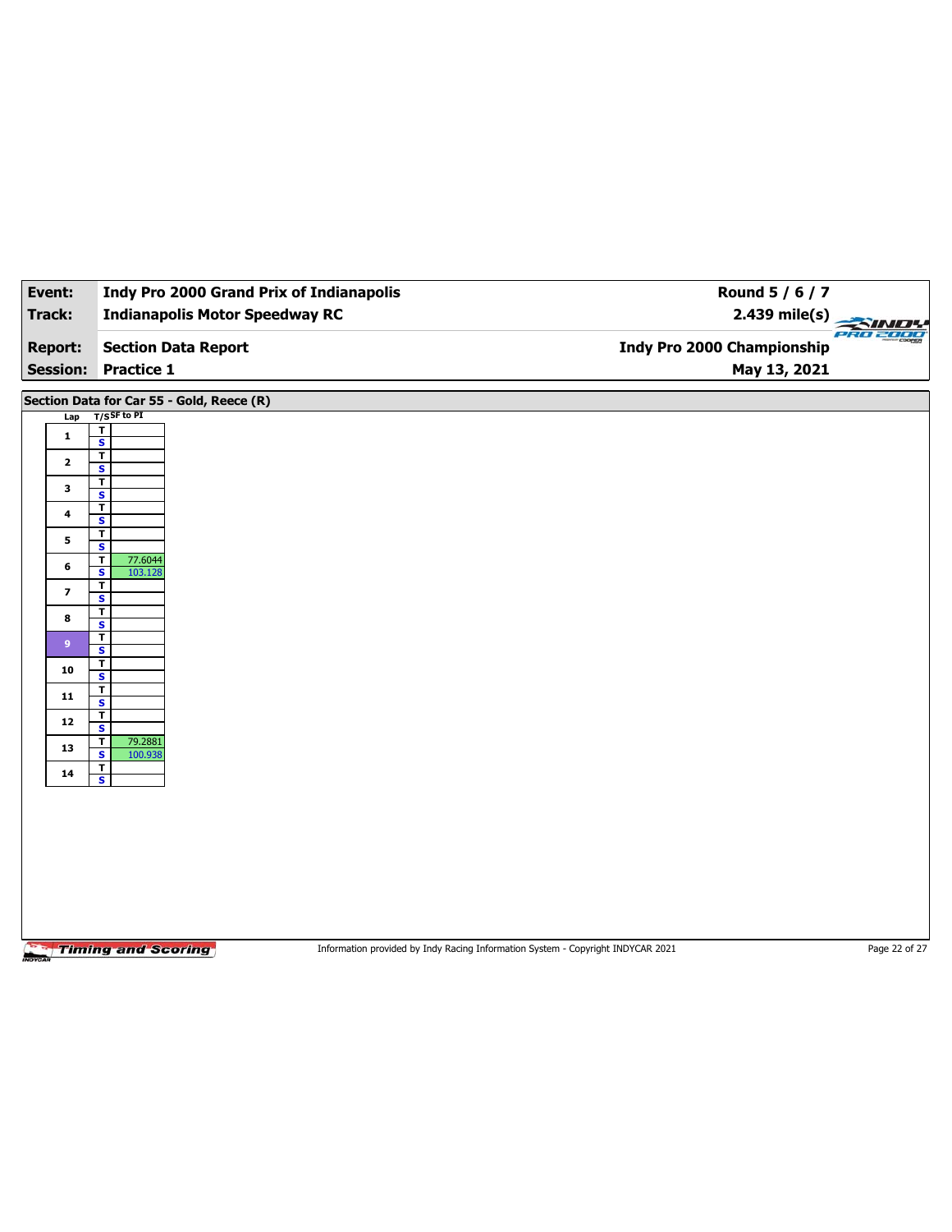| Event:                  | <b>Indy Pro 2000 Grand Prix of Indianapolis</b>               | Round 5 / 6 / 7                                                                 |               |
|-------------------------|---------------------------------------------------------------|---------------------------------------------------------------------------------|---------------|
| Track:                  | <b>Indianapolis Motor Speedway RC</b>                         | $2.439$ mile(s)                                                                 |               |
| <b>Report:</b>          | <b>Section Data Report</b>                                    | <b>Indy Pro 2000 Championship</b>                                               | 2302000       |
|                         | <b>Session: Practice 1</b>                                    | May 13, 2021                                                                    |               |
|                         | Section Data for Car 55 - Gold, Reece (R)                     |                                                                                 |               |
| Lap                     | $T/S$ SF to PI                                                |                                                                                 |               |
| $\mathbf{1}$            | $\mathbf T$<br>$\overline{\mathbf{s}}$                        |                                                                                 |               |
| $\mathbf{2}$            | $\overline{\mathbf{r}}$<br>$\mathbf{s}$                       |                                                                                 |               |
| 3                       | $\mathbf T$                                                   |                                                                                 |               |
|                         | $\overline{\mathbf{s}}$<br>T                                  |                                                                                 |               |
| $\ddot{\phantom{a}}$    | S                                                             |                                                                                 |               |
| 5                       | T<br>$\overline{\mathbf{s}}$                                  |                                                                                 |               |
| 6                       | $\overline{\mathbf{r}}$<br>77.6044<br>$\mathbf{s}$<br>103.128 |                                                                                 |               |
| $\overline{\mathbf{z}}$ | T<br>$\overline{\mathbf{s}}$                                  |                                                                                 |               |
| 8                       | T                                                             |                                                                                 |               |
|                         | S<br>$\mathbf T$                                              |                                                                                 |               |
| 9 <sup>°</sup>          | $\overline{\mathbf{s}}$<br>т                                  |                                                                                 |               |
| 10                      | $\mathbf{s}$                                                  |                                                                                 |               |
| 11                      | T<br>$\overline{\mathbf{s}}$                                  |                                                                                 |               |
| 12                      | T<br>S                                                        |                                                                                 |               |
| 13                      | $\mathbf T$<br>79.2881<br>$\overline{\mathbf{s}}$<br>100.938  |                                                                                 |               |
| 14                      | $\mathbf{T}$<br>$\overline{\mathbf{s}}$                       |                                                                                 |               |
|                         |                                                               |                                                                                 |               |
|                         |                                                               |                                                                                 |               |
|                         |                                                               |                                                                                 |               |
|                         |                                                               |                                                                                 |               |
|                         |                                                               |                                                                                 |               |
|                         |                                                               |                                                                                 |               |
|                         |                                                               |                                                                                 |               |
|                         | <b>Timing and Scoring</b>                                     | Information provided by Indy Racing Information System - Copyright INDYCAR 2021 | Page 22 of 27 |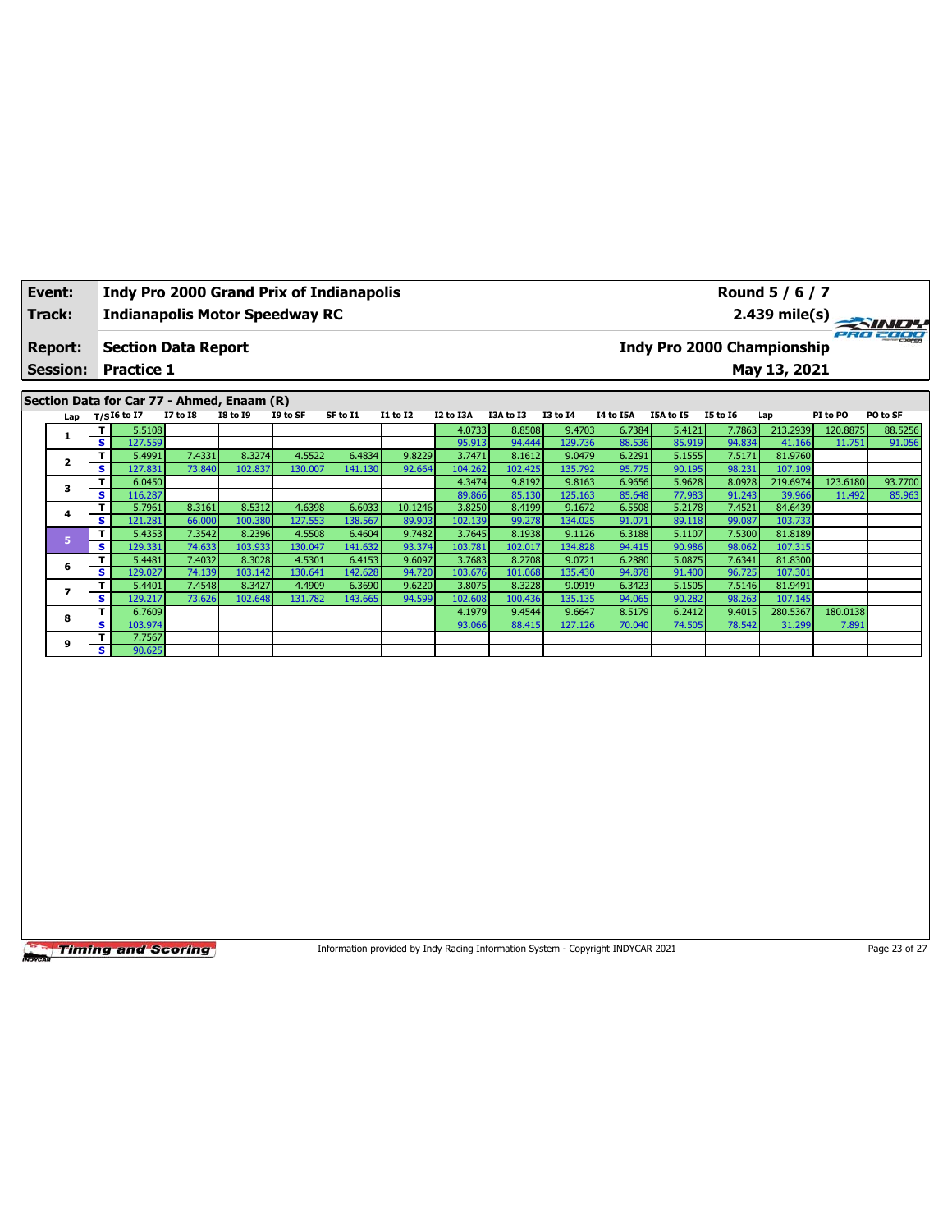| Event:          | <b>Indy Pro 2000 Grand Prix of Indianapolis</b> | Round 5 / 6 / 7                               |
|-----------------|-------------------------------------------------|-----------------------------------------------|
| Track:          | Indianapolis Motor Speedway RC                  | 2.439 mile(s)                                 |
| <b>Report:</b>  | <b>Section Data Report</b>                      | PRO 2000<br><b>Indy Pro 2000 Championship</b> |
| <b>Session:</b> | <b>Practice 1</b>                               | May 13, 2021                                  |
|                 | Costian Data for Car 77 Abmod Engang (D)        |                                               |

|  | Section Data for Car 77 - Ahmed, Enaam (R) |    |                   |                 |                 |          |          |                 |           |           |                 |           |           |                 |          |          |          |
|--|--------------------------------------------|----|-------------------|-----------------|-----------------|----------|----------|-----------------|-----------|-----------|-----------------|-----------|-----------|-----------------|----------|----------|----------|
|  |                                            |    | Lap $T/SI6$ to I7 | <b>I7 to I8</b> | <b>I8 to 19</b> | I9 to SF | SF to I1 | <b>I1 to I2</b> | I2 to I3A | I3A to I3 | <b>I3 to 14</b> | I4 to I5A | I5A to I5 | <b>I5 to I6</b> | Lap      | PI to PO | PO to SF |
|  |                                            | т  | 5.5108            |                 |                 |          |          |                 | 4.0733    | 8.8508    | 9.4703          | 6.7384    | 5.4121    | 7.7863          | 213.2939 | 120.8875 | 88.5256  |
|  |                                            | s. | 127.559           |                 |                 |          |          |                 | 95.913    | 94.444    | 129.736         | 88.536    | 85.919    | 94.834          | 41.166   | 11.751   | 91.056   |
|  |                                            | т  | 5.4991            | 7.4331          | 8.3274          | 4.5522   | 6.4834   | 9.8229          | 3.7471    | 8.1612    | 9.0479          | 6.2291    | 5.1555    | 7.5171          | 81.9760  |          |          |
|  |                                            | s  | 127.831           | 73.840          | 102.837         | 130.007  | 141.130  | 92.664          | 104.262   | 102.425   | 135.792         | 95.775    | 90.195    | 98.231          | 107.109  |          |          |
|  | 3                                          |    | 6.0450            |                 |                 |          |          |                 | 4.3474    | 9.8192    | 9.8163          | 6.9656    | 5.9628    | 8.0928          | 219.6974 | 123.6180 | 93.7700  |
|  |                                            | s  | 116.287           |                 |                 |          |          |                 | 89.866    | 85.130    | 125.163         | 85.648    | 77.983    | 91.243          | 39.966   | 11.492   | 85.963   |
|  | 4                                          | т  | 5.7961            | 8.3161          | 8.5312          | 4.6398   | 6.6033   | 10.1246         | 3.8250    | 8.4199    | 9.1672          | 6.5508    | 5.2178    | 7.4521          | 84.6439  |          |          |
|  |                                            | s  | 121.281           | 66.000          | 100.380         | 127.553  | 138.567  | 89.903          | 102.139   | 99.278    | 134.025         | 91.071    | 89.118    | 99.087          | 103.733  |          |          |
|  | Б                                          |    | 5.4353            | 7.3542          | 8.2396          | 4.5508   | 6.4604   | 9.7482          | 3.7645    | 8.1938    | 9.1126          | 6.3188    | 5.1107    | 7.5300          | 81.8189  |          |          |
|  |                                            | s  | 129.331           | 74.633          | 103.933         | 130.047  | 141.632  | 93.374          | 103.781   | 102.017   | 134.828         | 94.415    | 90.986    | 98.062          | 107.315  |          |          |
|  | 6                                          | т  | 5.4481            | 7.4032          | 8.3028          | 4.5301   | 6.4153   | 9.6097          | 3.7683    | 8.2708    | 9.0721          | 6.2880    | 5.0875    | 7.6341          | 81.8300  |          |          |
|  |                                            | s. | 129.027           | 74.139          | 103.142         | 130.641  | 142.628  | 94.720          | 103.676   | 101.068   | 135.430         | 94.878    | 91.400    | 96.725          | 107.301  |          |          |
|  |                                            | т  | 5.4401            | 7.4548          | 8.3427          | 4.4909   | 6.3690   | 9.6220          | 3.8075    | 8.3228    | 9.0919          | 6.3423    | 5.1505    | 7.5146          | 81.9491  |          |          |
|  |                                            | s. | 129.217           | 73.626          | 102.648         | 131.782  | 143.665  | 94.599          | 102.608   | 100.436   | 135.135         | 94.065    | 90.282    | 98.263          | 107.145  |          |          |
|  | 8                                          |    | 6.7609            |                 |                 |          |          |                 | 4.1979    | 9.4544    | 9.6647          | 8.5179    | 6.2412    | 9.4015          | 280.5367 | 180.0138 |          |
|  |                                            | s  | 103.974           |                 |                 |          |          |                 | 93.066    | 88.415    | 127.126         | 70.040    | 74.505    | 78.542          | 31.299   | 7.891    |          |
|  | 9                                          |    | 7.7567            |                 |                 |          |          |                 |           |           |                 |           |           |                 |          |          |          |
|  |                                            | s. | 90.625            |                 |                 |          |          |                 |           |           |                 |           |           |                 |          |          |          |

Information provided by Indy Racing Information System - Copyright INDYCAR 2021 Page 23 of 27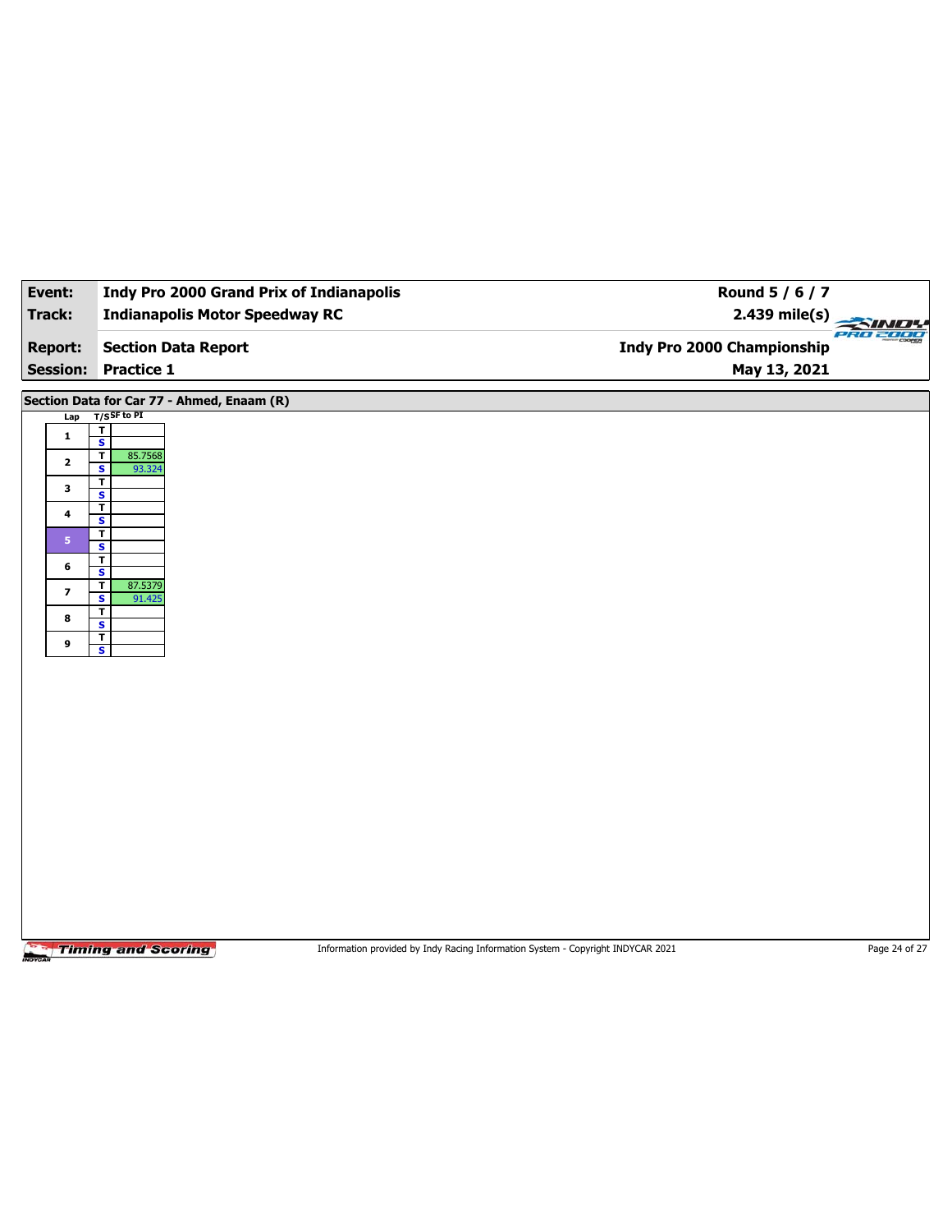| <b>Indianapolis Motor Speedway RC</b><br>Track:                                                                                                                                                                                                                                                                                                                                                                                                                                                                                                                              | 2.439 mile(s)                                                                   |               |
|------------------------------------------------------------------------------------------------------------------------------------------------------------------------------------------------------------------------------------------------------------------------------------------------------------------------------------------------------------------------------------------------------------------------------------------------------------------------------------------------------------------------------------------------------------------------------|---------------------------------------------------------------------------------|---------------|
|                                                                                                                                                                                                                                                                                                                                                                                                                                                                                                                                                                              |                                                                                 | PRO 2000      |
| <b>Report:</b><br><b>Section Data Report</b>                                                                                                                                                                                                                                                                                                                                                                                                                                                                                                                                 | Indy Pro 2000 Championship                                                      |               |
| <b>Session:</b><br><b>Practice 1</b>                                                                                                                                                                                                                                                                                                                                                                                                                                                                                                                                         | May 13, 2021                                                                    |               |
| Section Data for Car 77 - Ahmed, Enaam (R)<br>$T/S$ SF to PI<br>Lap<br>$\overline{\mathbf{r}}$<br>$\mathbf{1}$<br>$\overline{\mathbf{s}}$<br>$\overline{\mathsf{r}}$<br>85.7568<br>$\mathbf{2}$<br>S<br>93.324<br>$\overline{\mathbf{r}}$<br>$\mathbf{3}$<br>$\overline{\mathbf{s}}$<br>T<br>4<br>S<br>$\overline{\mathbf{r}}$<br>5 <sup>1</sup><br>$\overline{\mathbf{s}}$<br>$\overline{\mathbf{r}}$<br>6<br>S<br>87.5379<br>$\mathbf T$<br>$\overline{\phantom{a}}$<br>$\overline{\mathbf{s}}$<br>91.425<br>T<br>8<br>S<br>$\overline{I}$<br>9<br>$\overline{\mathbf{s}}$ |                                                                                 |               |
| <b>Timing and Scoring</b>                                                                                                                                                                                                                                                                                                                                                                                                                                                                                                                                                    | Information provided by Indy Racing Information System - Copyright INDYCAR 2021 | Page 24 of 27 |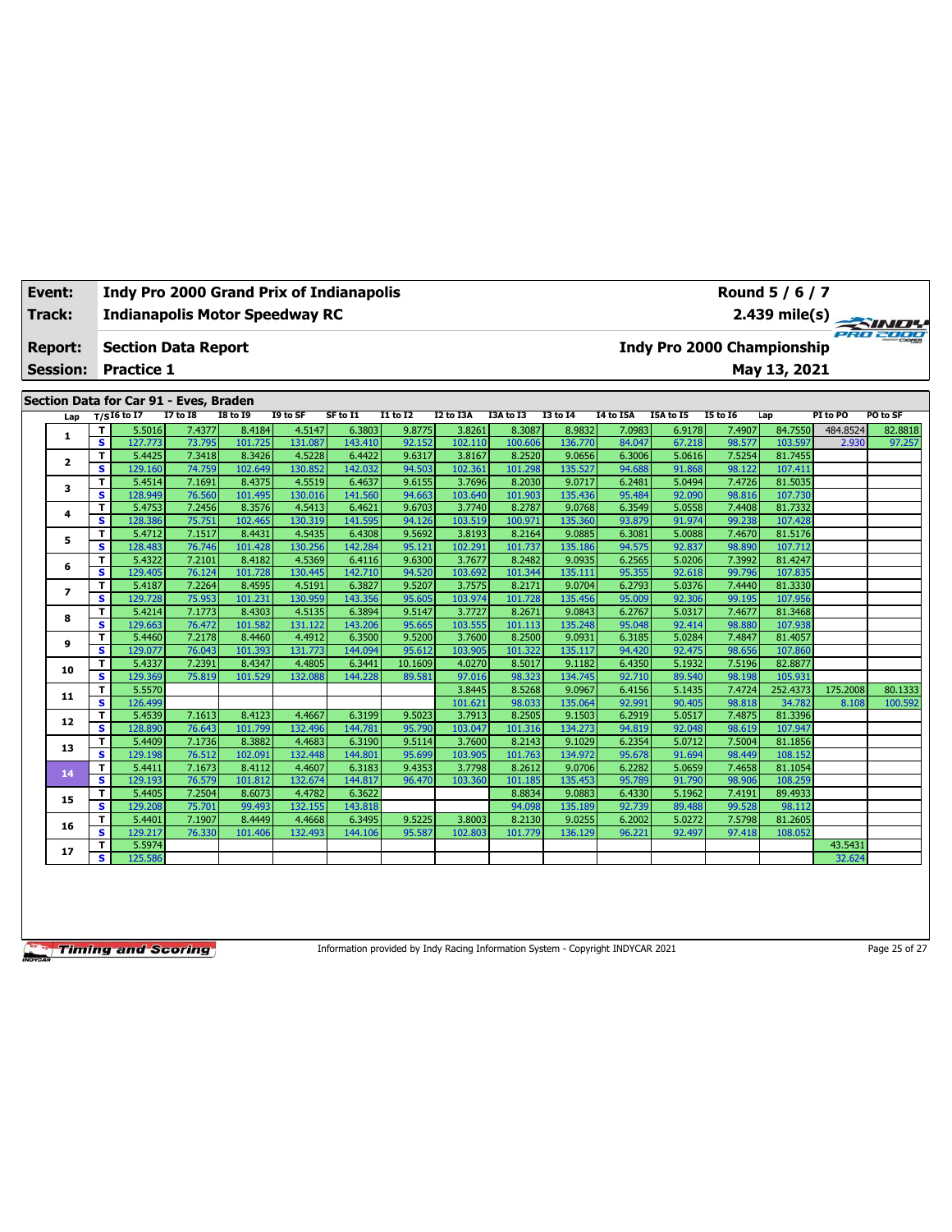| Track:<br>Report: |                                        |   | <b>Indianapolis Motor Speedway RC</b> |                 |                 |             |                                                                                                                         |                 |           |           |                                                |                  |                            | $\frac{2.439 \text{ mile(s)}}{2.439 \text{ mile(s)}}$ |              |          |          |  |  |
|-------------------|----------------------------------------|---|---------------------------------------|-----------------|-----------------|-------------|-------------------------------------------------------------------------------------------------------------------------|-----------------|-----------|-----------|------------------------------------------------|------------------|----------------------------|-------------------------------------------------------|--------------|----------|----------|--|--|
|                   |                                        |   | <b>Section Data Report</b>            |                 |                 |             |                                                                                                                         |                 |           |           |                                                |                  | Indy Pro 2000 Championship |                                                       |              |          |          |  |  |
|                   | <b>Session:</b>                        |   | <b>Practice 1</b>                     |                 |                 |             |                                                                                                                         |                 |           |           |                                                |                  |                            |                                                       | May 13, 2021 |          |          |  |  |
|                   | Section Data for Car 91 - Eves, Braden |   |                                       |                 |                 |             |                                                                                                                         |                 |           |           |                                                |                  |                            |                                                       |              |          |          |  |  |
|                   | Lap                                    |   | $T/SI6$ to $I7$                       | <b>I7 to I8</b> | <b>I8 to I9</b> | I9 to SF    | SF to I1                                                                                                                | <b>I1 to I2</b> | I2 to I3A | I3A to I3 | <b>I3 to 14</b>                                | <b>I4 to I5A</b> | I5A to I5                  | <b>I5 to 16</b>                                       | Lap          | PI to PO | PO to SF |  |  |
|                   |                                        |   | 5.5016                                | 7.4377          | 8.4184          | 4.5147      | 6.3803                                                                                                                  | 9.8775          | 3.8261    | 8.3087    | 8.9832                                         | 7.0983           | 6.9178                     | 7.4907                                                | 84.7550      | 484.8524 | 82.8818  |  |  |
|                   | 1                                      | s | 127.773                               | 73.795          | 101.725         | 131.087     | 143.410                                                                                                                 | 92.152          | 102.110   | 100.606   | 136.770                                        | 84.047           | 67.218                     | 98.577                                                | 103.597      | 2.930    | 97.257   |  |  |
|                   |                                        |   | 5.4425                                | 7.3418          | 8.3426          | 4.5228      | 6.4422                                                                                                                  | 9.6317          | 3.8167    | 8.2520    | 9.0656                                         | 6.3006           | 5.0616                     | 7.5254                                                | 81.7455      |          |          |  |  |
|                   | $\overline{\mathbf{2}}$                | s | 129.160                               | 74.759          | 102.649         | 130.852     | 142.032                                                                                                                 | 94.503          | 102.361   | 101.298   | 135.527                                        | 94.688           | 91.868                     | 98.122                                                | 107.411      |          |          |  |  |
|                   |                                        | т | 5.4514                                | 7.1691          | 8.4375          | 4.5519      | 6.4637                                                                                                                  | 9.6155          | 3.7696    | 8.2030    | 9.0717                                         | 6.2481           | 5.0494                     | 7.4726                                                | 81.5035      |          |          |  |  |
|                   | 3                                      | s | 128.949                               | 76.560          | 101.495         | 130.016     | 141.560                                                                                                                 | 94.663          | 103.640   | 101.903   | 135.436                                        | 95.484           | 92.090                     | 98.816                                                | 107.730      |          |          |  |  |
|                   |                                        |   | 5.4753                                | 7.2456          | 8.3576          | 4.5413      | 6.4621                                                                                                                  | 9.6703          | 3.7740    | 8.2787    | 9.0768                                         | 6.3549           | 5.0558                     | 7.4408                                                | 81.7332      |          |          |  |  |
|                   | 4                                      | s | 128.386                               | 75.751          | 102.465         | 130.319     | 141.595                                                                                                                 | 94.126          | 103.519   | 100.971   | 135.360                                        | 93.879           | 91.974                     | 99.238                                                | 107.428      |          |          |  |  |
|                   |                                        |   | 5.4712                                | 7.1517          | 8.4431          | 4.5435      | 6.4308                                                                                                                  | 9.5692          | 3.8193    | 8.2164    | 9.0885                                         | 6.3081           | 5.0088                     | 7.4670                                                | 81.5176      |          |          |  |  |
|                   | 5                                      | s | 128.483                               | 76.746          | 101.428         | 130.256     | 142.284                                                                                                                 | 95.121          | 102.291   | 101.737   | 135.186                                        | 94.575           | 92.837                     | 98.890                                                | 107.712      |          |          |  |  |
|                   |                                        |   | 5.4322                                | 7.2101          | 8.4182          | 4.5369      | 6.4116                                                                                                                  | 9.6300          | 3.7677    | 8.2482    | 9.0935                                         | 6.2565           | 5.0206                     | 7.3992                                                | 81.4247      |          |          |  |  |
|                   | 6                                      | s | 129.405                               | 76.124          | 101.728         | 130.445     | 142.710                                                                                                                 | 94.520          | 103.692   | 101.344   | 135.111                                        | 95.355           | 92.618                     | 99.796                                                | 107.835      |          |          |  |  |
|                   | 7                                      |   | 5.4187                                | 7.2264          | 8.4595          | 4.5191      | 6.3827                                                                                                                  | 9.5207          | 3.7575    | 8.2171    | 9.0704                                         | 6.2793           | 5.0376                     | 7.4440                                                | 81.3330      |          |          |  |  |
|                   |                                        | s | 129.728                               | 75.953          | 101.231         | 130.959     | 143.356                                                                                                                 | 95.605          | 103.974   | 101.728   | 135.456                                        | 95.009           | 92.306                     | 99.195                                                | 107.956      |          |          |  |  |
|                   |                                        | т | 5.4214                                | 7.1773          | 8.4303          | 4.5135      | 6.3894                                                                                                                  | 9.5147          | 3.7727    | 8.2671    | 9.0843                                         | 6.2767           | 5.0317                     | 7.4677                                                | 81.3468      |          |          |  |  |
|                   | 8                                      | s | 129.663                               | 76.472          | 101.582         | 131.122     | 143.206                                                                                                                 | 95.665          | 103.555   | 101.113   | 135.248                                        | 95.048           | 92.414                     | 98.880                                                | 107.938      |          |          |  |  |
|                   |                                        |   | 5.4460                                | 7.2178          | 8.4460          | 4.4912      | 6.3500                                                                                                                  | 9.5200          | 3.7600    | 8.2500    | 9.0931                                         | 6.3185           | 5.0284                     | 7.4847                                                | 81.4057      |          |          |  |  |
|                   | 9                                      |   | $\sim$ $\sim$ $\sim$ $\sim$           | 70.042          | $\sim$ $\sim$   | $122 - 772$ | $\overline{1}$ $\overline{1}$ $\overline{2}$ $\overline{3}$ $\overline{2}$ $\overline{3}$ $\overline{4}$ $\overline{1}$ | 25.01           | 10200     | 101222    | $\mathbf{A}$ and $\mathbf{A}$ and $\mathbf{A}$ | 0.4.422          | 0.2.475                    | 00000                                                 | 10700        |          |          |  |  |

**S** 129.077 76.043 101.393 131.773 144.094 95.612 103.905 101.322 135.117 94.420 92.475 98.656 107.860 **<sup>10</sup> <sup>T</sup>** 5.4337 7.2391 8.4347 4.4805 6.3441 10.1609 4.0270 8.5017 9.1182 6.4350 5.1932 7.5196 82.8877 **S** 129.369 75.819 101.529 132.088 144.228 89.581 97.016 98.323 134.745 92.710 89.540 98.198 105.931

**<sup>12</sup> <sup>T</sup>** 5.4539 7.1613 8.4123 4.4667 6.3199 9.5023 3.7913 8.2505 9.1503 6.2919 5.0517 7.4875 81.3396 **S** 128.890 76.643 101.799 132.496 144.781 95.790 103.047 101.316 134.273 94.819 92.048 98.619 107.947 **<sup>13</sup> <sup>T</sup>** 5.4409 7.1736 8.3882 4.4683 6.3190 9.5114 3.7600 8.2143 9.1029 6.2354 5.0712 7.5004 81.1856 **S** 129.198 76.512 102.091 132.448 144.801 95.699 103.905 101.763 134.972 95.678 91.694 98.449 108.152 **<sup>14</sup> <sup>T</sup>** 5.4411 7.1673 8.4112 4.4607 6.3183 9.4353 3.7798 8.2612 9.0706 6.2282 5.0659 7.4658 81.1054 **S** 129.193 76.579 101.812 132.674 144.817 96.470 103.360 101.185 135.453 95.789 91.790 98.906 108.259 **<sup>15</sup> <sup>T</sup>** 5.4405 7.2504 8.6073 4.4782 6.3622 8.8834 9.0883 6.4330 5.1962 7.4191 89.4933 **S** 129.208 75.701 99.493 132.155 143.818 94.098 135.189 92.739 89.488 99.528 98.112 **<sup>16</sup> <sup>T</sup>** 5.4401 7.1907 8.4449 4.4668 6.3495 9.5225 3.8003 8.2130 9.0255 6.2002 5.0272 7.5798 81.2605 **S** 129.217 76.330 101.406 132.493 144.106 95.587 102.803 101.779 136.129 96.221 92.497 97.418 108.052 **<sup>17</sup> <sup>T</sup>** 5.5974 43.5431 **S** 125.586 32.624

**11 T** 5.5570 3.8570 3.8445 8.5268 9.0967 6.4156 5.1445 8.5268 9.0967 6.4156 5.1435 7.4724 252.4373 175.2008 80.1333 **S** 126.499 101.621 98.033 135.064 92.991 90.405 98.818 34.782 8.108 100.592

**Timing and Scoring** 

Information provided by Indy Racing Information System - Copyright INDYCAR 2021 Page 25 of 27







# **Event: Indy Pro 2000 Grand Prix of Indianapolis**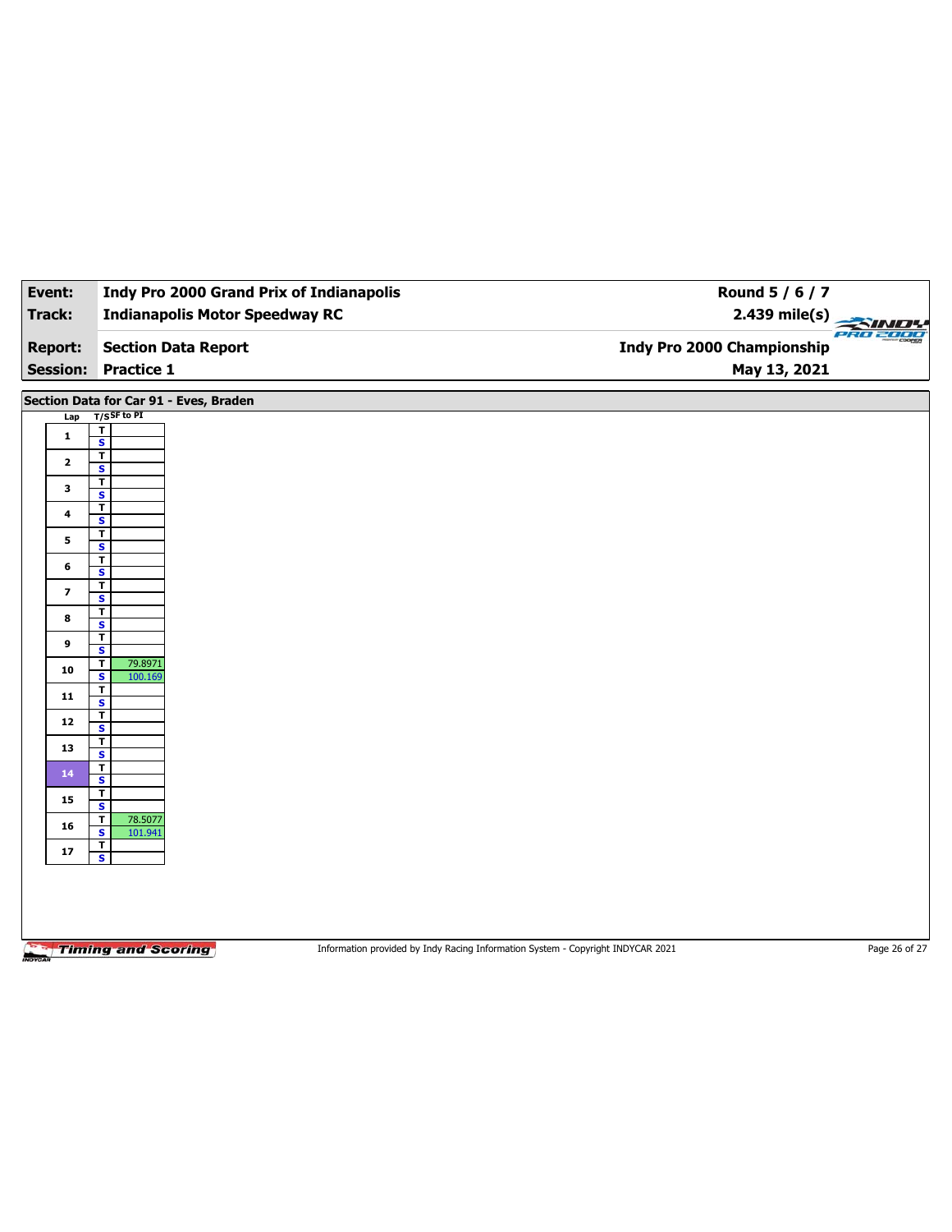| Event:                  | <b>Indy Pro 2000 Grand Prix of Indianapolis</b>    | Round 5 / 6 / 7                                                                 |               |
|-------------------------|----------------------------------------------------|---------------------------------------------------------------------------------|---------------|
| Track:                  | <b>Indianapolis Motor Speedway RC</b>              | 2.439 mile(s)                                                                   |               |
| <b>Report:</b>          | <b>Section Data Report</b>                         | <b>Indy Pro 2000 Championship</b>                                               | PRO 2000      |
| <b>Session:</b>         | <b>Practice 1</b>                                  | May 13, 2021                                                                    |               |
|                         | Section Data for Car 91 - Eves, Braden             |                                                                                 |               |
| Lap                     | $T/S$ SF to PI                                     |                                                                                 |               |
| $\mathbf{1}$            | $\overline{\mathsf{r}}$<br>$\overline{\mathbf{s}}$ |                                                                                 |               |
|                         | $\overline{\mathbf{r}}$                            |                                                                                 |               |
| $\mathbf{2}$            | $\mathbf{s}$                                       |                                                                                 |               |
| 3                       | $\mathbf T$<br>$\overline{\mathbf{s}}$             |                                                                                 |               |
| $\overline{\mathbf{4}}$ | $\overline{\mathbf{r}}$                            |                                                                                 |               |
|                         | $\mathbf{s}$                                       |                                                                                 |               |
| 5                       | $\mathbf T$<br>$\overline{\mathbf{s}}$             |                                                                                 |               |
| 6                       | $\overline{\mathbf{r}}$                            |                                                                                 |               |
|                         | $\mathbf{s}$<br>$\overline{\mathbf{r}}$            |                                                                                 |               |
| $\overline{\mathbf{z}}$ | $\overline{\mathbf{s}}$                            |                                                                                 |               |
| 8                       | $\mathbf T$                                        |                                                                                 |               |
|                         | S<br>$\mathbf T$                                   |                                                                                 |               |
| 9                       | $\overline{\mathbf{s}}$                            |                                                                                 |               |
| 10                      | T<br>79.8971<br>$\mathbf{s}$<br>100.169            |                                                                                 |               |
| 11                      | $\overline{\mathbf{r}}$<br>$\overline{\mathbf{s}}$ |                                                                                 |               |
| 12                      | T<br>$\overline{\mathbf{s}}$                       |                                                                                 |               |
| 13                      | $\mathbf T$<br>$\overline{\mathbf{s}}$             |                                                                                 |               |
| 14                      | T                                                  |                                                                                 |               |
|                         | $\mathbf{s}$<br>$\overline{\mathbf{r}}$            |                                                                                 |               |
| 15                      | $\overline{\mathbf{s}}$<br>T<br>78.5077            |                                                                                 |               |
| 16                      | $\mathbf{s}$<br>101.941<br>$\mathbf T$             |                                                                                 |               |
| ${\bf 17}$              | $\overline{\mathbf{s}}$                            |                                                                                 |               |
|                         |                                                    |                                                                                 |               |
|                         |                                                    |                                                                                 |               |
|                         |                                                    |                                                                                 |               |
|                         | <b>Timing and Scoring</b>                          | Information provided by Indy Racing Information System - Copyright INDYCAR 2021 | Page 26 of 27 |
|                         |                                                    |                                                                                 |               |